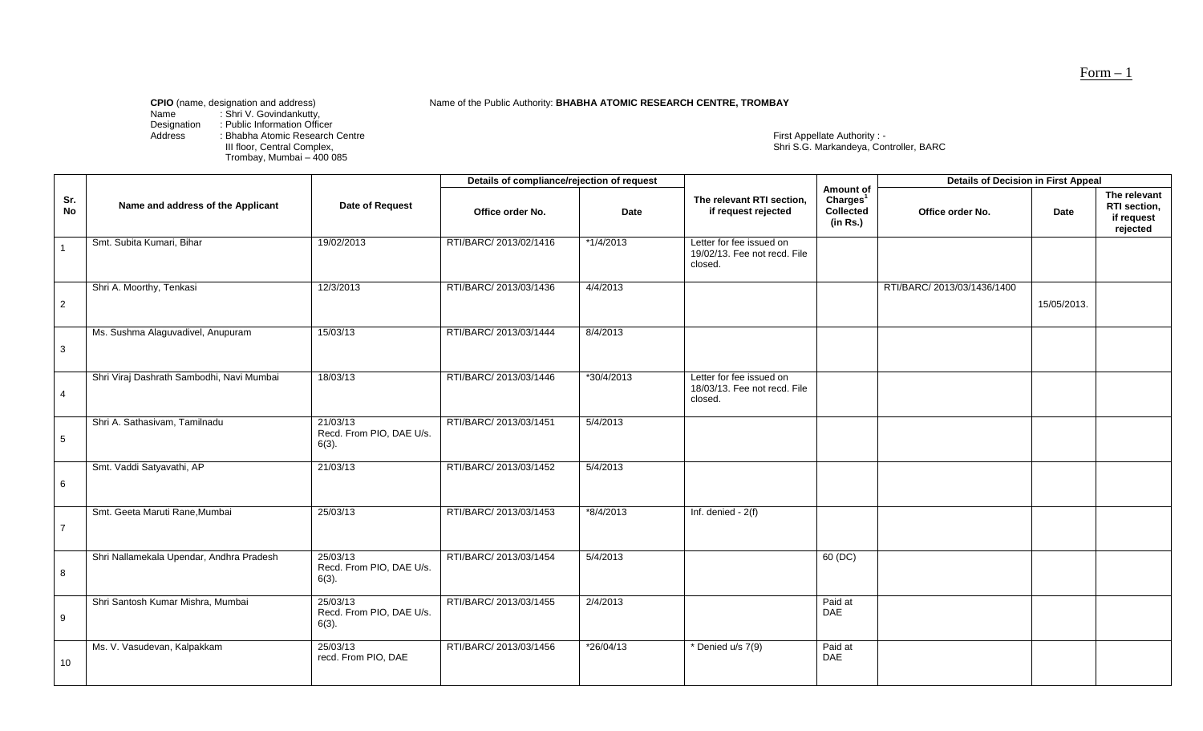Name of the Public Authority: **BHABHA ATOMIC RESEARCH CENTRE, TROMBAY** 

Name : Shri V. Govindankutty,

Designation : Public Information Officer

III floor, Central Complex,<br>Trombay, Mumbai – 400 085

Address : Bhabha Atomic Research Centre First Appellate Authority : - First Appellate Authority : -<br>Shri S.G. Markandeya, Controller, BARC

|                  |                                           |                                                  | Details of compliance/rejection of request |             |                                                                     |                                                            | <b>Details of Decision in First Appeal</b> |             |                                                        |
|------------------|-------------------------------------------|--------------------------------------------------|--------------------------------------------|-------------|---------------------------------------------------------------------|------------------------------------------------------------|--------------------------------------------|-------------|--------------------------------------------------------|
| Sr.<br><b>No</b> | Name and address of the Applicant         | Date of Request                                  | Office order No.                           | Date        | The relevant RTI section,<br>if request rejected                    | Amount of<br>Charles <sup>1</sup><br>Collected<br>(in Rs.) | Office order No.                           | <b>Date</b> | The relevant<br>RTI section,<br>if request<br>rejected |
|                  | Smt. Subita Kumari, Bihar                 | 19/02/2013                                       | RTI/BARC/ 2013/02/1416                     | $*1/4/2013$ | Letter for fee issued on<br>19/02/13. Fee not recd. File<br>closed. |                                                            |                                            |             |                                                        |
| $\overline{2}$   | Shri A. Moorthy, Tenkasi                  | 12/3/2013                                        | RTI/BARC/ 2013/03/1436                     | 4/4/2013    |                                                                     |                                                            | RTI/BARC/ 2013/03/1436/1400                | 15/05/2013. |                                                        |
| $\mathbf{3}$     | Ms. Sushma Alaguvadivel, Anupuram         | 15/03/13                                         | RTI/BARC/ 2013/03/1444                     | 8/4/2013    |                                                                     |                                                            |                                            |             |                                                        |
| $\overline{4}$   | Shri Viraj Dashrath Sambodhi, Navi Mumbai | 18/03/13                                         | RTI/BARC/ 2013/03/1446                     | *30/4/2013  | Letter for fee issued on<br>18/03/13. Fee not recd. File<br>closed. |                                                            |                                            |             |                                                        |
| $\sqrt{5}$       | Shri A. Sathasivam, Tamilnadu             | 21/03/13<br>Recd. From PIO, DAE U/s.<br>$6(3)$ . | RTI/BARC/ 2013/03/1451                     | 5/4/2013    |                                                                     |                                                            |                                            |             |                                                        |
| $\,6\,$          | Smt. Vaddi Satyavathi, AP                 | 21/03/13                                         | RTI/BARC/ 2013/03/1452                     | 5/4/2013    |                                                                     |                                                            |                                            |             |                                                        |
| $\overline{7}$   | Smt. Geeta Maruti Rane, Mumbai            | 25/03/13                                         | RTI/BARC/ 2013/03/1453                     | $*8/4/2013$ | Inf. denied $-2(f)$                                                 |                                                            |                                            |             |                                                        |
| 8                | Shri Nallamekala Upendar, Andhra Pradesh  | 25/03/13<br>Recd. From PIO, DAE U/s.<br>$6(3)$ . | RTI/BARC/ 2013/03/1454                     | 5/4/2013    |                                                                     | 60(DC)                                                     |                                            |             |                                                        |
| 9                | Shri Santosh Kumar Mishra, Mumbai         | 25/03/13<br>Recd. From PIO, DAE U/s.<br>$6(3)$ . | RTI/BARC/ 2013/03/1455                     | 2/4/2013    |                                                                     | Paid at<br>DAE                                             |                                            |             |                                                        |
| 10               | Ms. V. Vasudevan, Kalpakkam               | 25/03/13<br>recd. From PIO, DAE                  | RTI/BARC/ 2013/03/1456                     | $*26/04/13$ | * Denied u/s 7(9)                                                   | Paid at<br>DAE                                             |                                            |             |                                                        |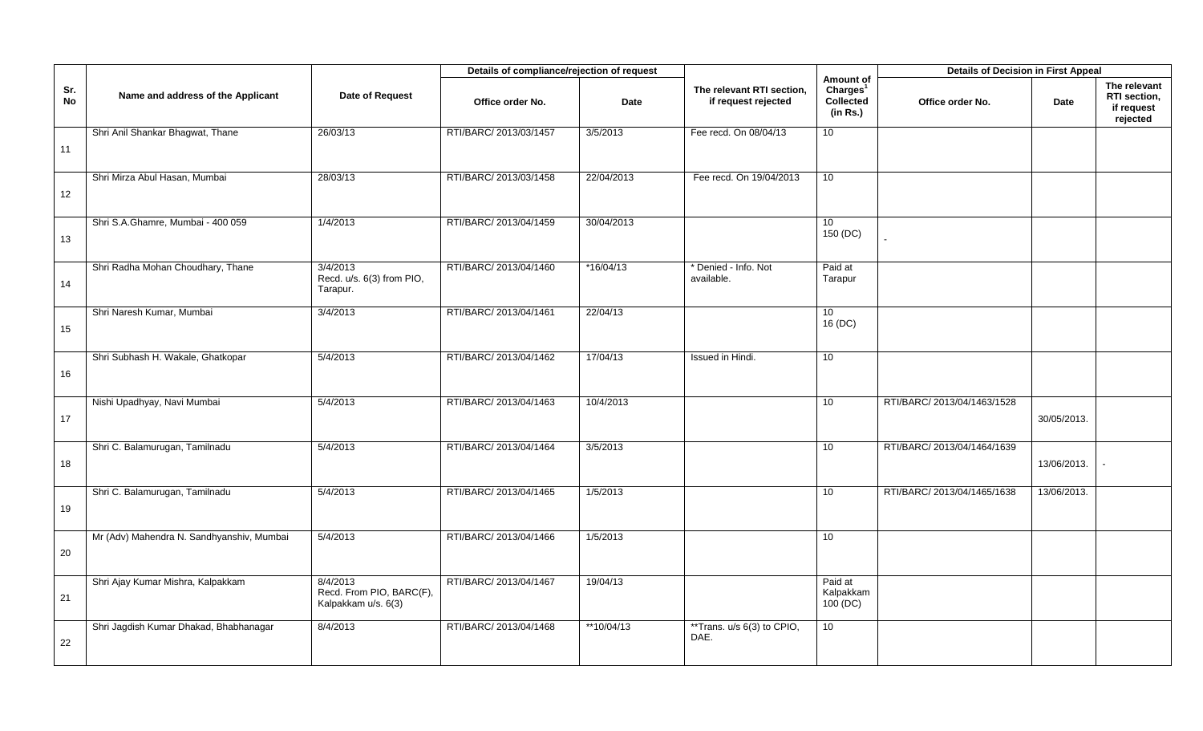|                  |                                           |                                                             | Details of compliance/rejection of request |             |                                                  |                                                            | <b>Details of Decision in First Appeal</b> |             |                                                        |
|------------------|-------------------------------------------|-------------------------------------------------------------|--------------------------------------------|-------------|--------------------------------------------------|------------------------------------------------------------|--------------------------------------------|-------------|--------------------------------------------------------|
| Sr.<br><b>No</b> | Name and address of the Applicant         | Date of Request                                             | Office order No.                           | <b>Date</b> | The relevant RTI section,<br>if request rejected | Amount of<br>Charges <sup>1</sup><br>Collected<br>(in Rs.) | Office order No.                           | Date        | The relevant<br>RTI section,<br>if request<br>rejected |
| 11               | Shri Anil Shankar Bhagwat, Thane          | 26/03/13                                                    | RTI/BARC/ 2013/03/1457                     | 3/5/2013    | Fee recd. On 08/04/13                            | 10 <sup>1</sup>                                            |                                            |             |                                                        |
| 12               | Shri Mirza Abul Hasan, Mumbai             | 28/03/13                                                    | RTI/BARC/ 2013/03/1458                     | 22/04/2013  | Fee recd. On 19/04/2013                          | 10                                                         |                                            |             |                                                        |
| 13               | Shri S.A.Ghamre, Mumbai - 400 059         | 1/4/2013                                                    | RTI/BARC/ 2013/04/1459                     | 30/04/2013  |                                                  | 10<br>150 (DC)                                             |                                            |             |                                                        |
| 14               | Shri Radha Mohan Choudhary, Thane         | 3/4/2013<br>Recd. u/s. 6(3) from PIO,<br>Tarapur.           | RTI/BARC/ 2013/04/1460                     | $*16/04/13$ | * Denied - Info. Not<br>available.               | Paid at<br>Tarapur                                         |                                            |             |                                                        |
| 15               | Shri Naresh Kumar, Mumbai                 | 3/4/2013                                                    | RTI/BARC/ 2013/04/1461                     | 22/04/13    |                                                  | 10 <sup>1</sup><br>16 (DC)                                 |                                            |             |                                                        |
| 16               | Shri Subhash H. Wakale, Ghatkopar         | 5/4/2013                                                    | RTI/BARC/ 2013/04/1462                     | 17/04/13    | Issued in Hindi.                                 | 10 <sup>°</sup>                                            |                                            |             |                                                        |
| 17               | Nishi Upadhyay, Navi Mumbai               | 5/4/2013                                                    | RTI/BARC/ 2013/04/1463                     | 10/4/2013   |                                                  | 10                                                         | RTI/BARC/ 2013/04/1463/1528                | 30/05/2013. |                                                        |
| 18               | Shri C. Balamurugan, Tamilnadu            | 5/4/2013                                                    | RTI/BARC/ 2013/04/1464                     | 3/5/2013    |                                                  | 10                                                         | RTI/BARC/ 2013/04/1464/1639                | 13/06/2013. |                                                        |
| 19               | Shri C. Balamurugan, Tamilnadu            | 5/4/2013                                                    | RTI/BARC/ 2013/04/1465                     | 1/5/2013    |                                                  | 10                                                         | RTI/BARC/ 2013/04/1465/1638                | 13/06/2013. |                                                        |
| 20               | Mr (Adv) Mahendra N. Sandhyanshiv, Mumbai | 5/4/2013                                                    | RTI/BARC/ 2013/04/1466                     | 1/5/2013    |                                                  | 10                                                         |                                            |             |                                                        |
| 21               | Shri Ajay Kumar Mishra, Kalpakkam         | 8/4/2013<br>Recd. From PIO, BARC(F),<br>Kalpakkam u/s. 6(3) | RTI/BARC/ 2013/04/1467                     | 19/04/13    |                                                  | Paid at<br>Kalpakkam<br>100(DC)                            |                                            |             |                                                        |
| 22               | Shri Jagdish Kumar Dhakad, Bhabhanagar    | 8/4/2013                                                    | RTI/BARC/ 2013/04/1468                     | **10/04/13  | **Trans. u/s 6(3) to CPIO,<br>DAE.               | 10 <sup>°</sup>                                            |                                            |             |                                                        |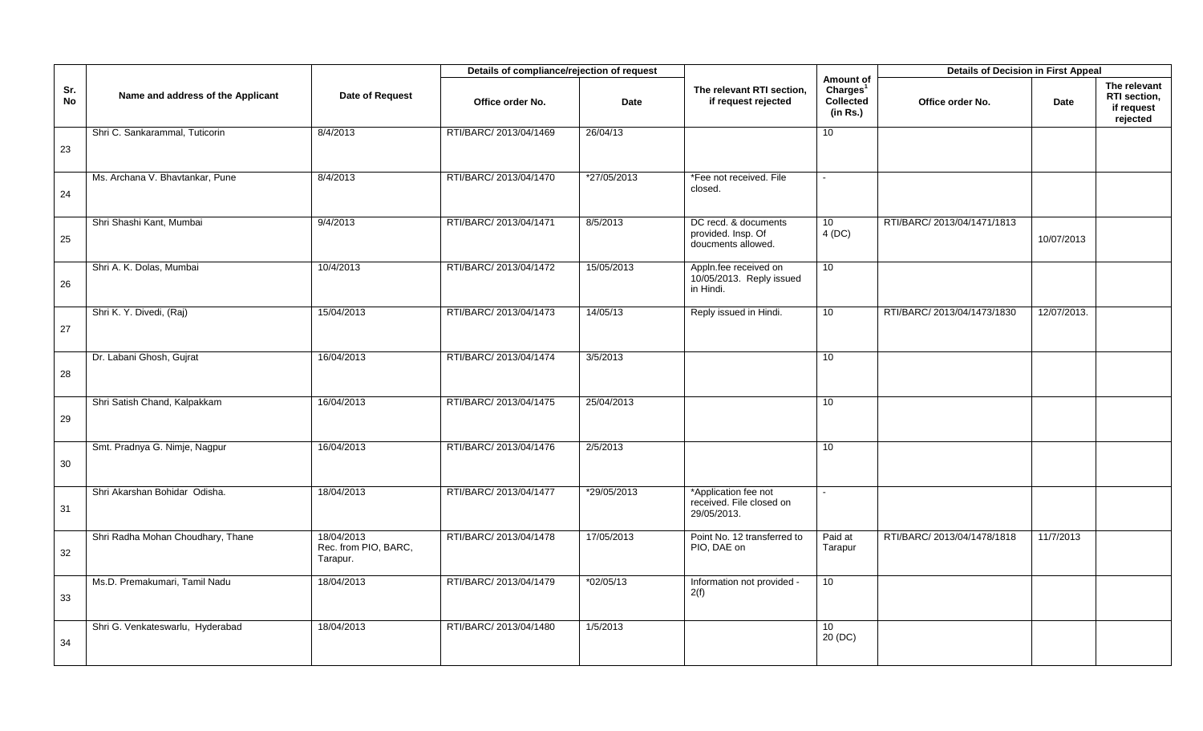|           |                                   |                                                | Details of compliance/rejection of request |             |                                                                  |                                                            | <b>Details of Decision in First Appeal</b> |             |                                                               |
|-----------|-----------------------------------|------------------------------------------------|--------------------------------------------|-------------|------------------------------------------------------------------|------------------------------------------------------------|--------------------------------------------|-------------|---------------------------------------------------------------|
| Sr.<br>No | Name and address of the Applicant | Date of Request                                | Office order No.                           | <b>Date</b> | The relevant RTI section,<br>if request rejected                 | Amount of<br>Charles <sup>1</sup><br>Collected<br>(in Rs.) | Office order No.                           | Date        | The relevant<br><b>RTI</b> section.<br>if request<br>rejected |
| 23        | Shri C. Sankarammal, Tuticorin    | 8/4/2013                                       | RTI/BARC/ 2013/04/1469                     | 26/04/13    |                                                                  | 10                                                         |                                            |             |                                                               |
| 24        | Ms. Archana V. Bhavtankar, Pune   | 8/4/2013                                       | RTI/BARC/ 2013/04/1470                     | *27/05/2013 | *Fee not received. File<br>closed.                               | $\sim$                                                     |                                            |             |                                                               |
| 25        | Shri Shashi Kant, Mumbai          | 9/4/2013                                       | RTI/BARC/ 2013/04/1471                     | 8/5/2013    | DC recd. & documents<br>provided. Insp. Of<br>doucments allowed. | 10<br>4(DC)                                                | RTI/BARC/ 2013/04/1471/1813                | 10/07/2013  |                                                               |
| 26        | Shri A. K. Dolas, Mumbai          | 10/4/2013                                      | RTI/BARC/ 2013/04/1472                     | 15/05/2013  | Appln.fee received on<br>10/05/2013. Reply issued<br>in Hindi.   | 10 <sup>°</sup>                                            |                                            |             |                                                               |
| 27        | Shri K. Y. Divedi, (Raj)          | 15/04/2013                                     | RTI/BARC/ 2013/04/1473                     | 14/05/13    | Reply issued in Hindi.                                           | 10                                                         | RTI/BARC/ 2013/04/1473/1830                | 12/07/2013. |                                                               |
| 28        | Dr. Labani Ghosh, Gujrat          | 16/04/2013                                     | RTI/BARC/ 2013/04/1474                     | 3/5/2013    |                                                                  | 10                                                         |                                            |             |                                                               |
| 29        | Shri Satish Chand, Kalpakkam      | 16/04/2013                                     | RTI/BARC/ 2013/04/1475                     | 25/04/2013  |                                                                  | 10                                                         |                                            |             |                                                               |
| 30        | Smt. Pradnya G. Nimje, Nagpur     | 16/04/2013                                     | RTI/BARC/ 2013/04/1476                     | 2/5/2013    |                                                                  | 10                                                         |                                            |             |                                                               |
| 31        | Shri Akarshan Bohidar Odisha.     | 18/04/2013                                     | RTI/BARC/ 2013/04/1477                     | *29/05/2013 | *Application fee not<br>received. File closed on<br>29/05/2013.  |                                                            |                                            |             |                                                               |
| 32        | Shri Radha Mohan Choudhary, Thane | 18/04/2013<br>Rec. from PIO, BARC,<br>Tarapur. | RTI/BARC/ 2013/04/1478                     | 17/05/2013  | Point No. 12 transferred to<br>PIO, DAE on                       | Paid at<br>Tarapur                                         | RTI/BARC/ 2013/04/1478/1818                | 11/7/2013   |                                                               |
| 33        | Ms.D. Premakumari, Tamil Nadu     | 18/04/2013                                     | RTI/BARC/ 2013/04/1479                     | $*02/05/13$ | Information not provided -<br>2(f)                               | 10 <sup>1</sup>                                            |                                            |             |                                                               |
| 34        | Shri G. Venkateswarlu, Hyderabad  | 18/04/2013                                     | RTI/BARC/ 2013/04/1480                     | 1/5/2013    |                                                                  | 10<br>20 (DC)                                              |                                            |             |                                                               |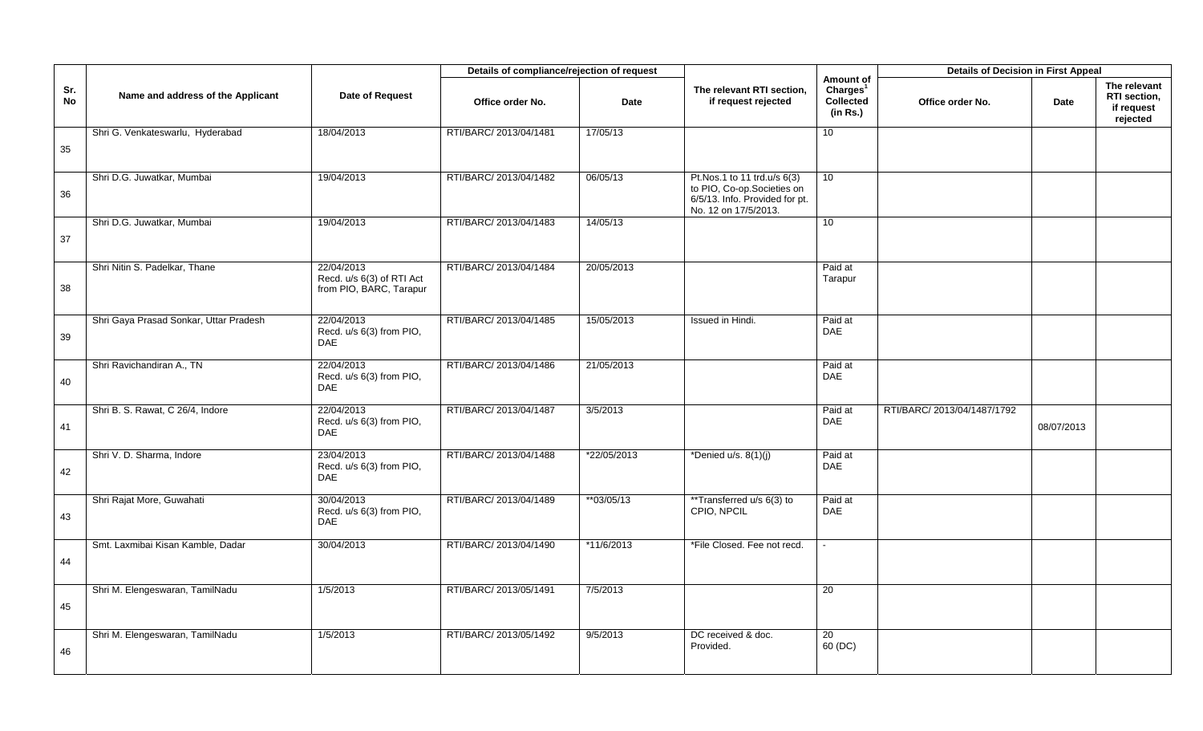|           |                                        |                                                                    | Details of compliance/rejection of request |               |                                                                                                                     |                                                                   | <b>Details of Decision in First Appeal</b> |             |                                                        |
|-----------|----------------------------------------|--------------------------------------------------------------------|--------------------------------------------|---------------|---------------------------------------------------------------------------------------------------------------------|-------------------------------------------------------------------|--------------------------------------------|-------------|--------------------------------------------------------|
| Sr.<br>No | Name and address of the Applicant      | Date of Request                                                    | Office order No.                           | <b>Date</b>   | The relevant RTI section,<br>if request rejected                                                                    | Amount of<br>Charles <sup>1</sup><br><b>Collected</b><br>(in Rs.) | Office order No.                           | <b>Date</b> | The relevant<br>RTI section,<br>if request<br>rejected |
| 35        | Shri G. Venkateswarlu, Hyderabad       | 18/04/2013                                                         | RTI/BARC/ 2013/04/1481                     | 17/05/13      |                                                                                                                     | 10 <sup>1</sup>                                                   |                                            |             |                                                        |
| 36        | Shri D.G. Juwatkar, Mumbai             | 19/04/2013                                                         | RTI/BARC/ 2013/04/1482                     | 06/05/13      | Pt.Nos.1 to 11 trd.u/s 6(3)<br>to PIO, Co-op.Societies on<br>6/5/13. Info. Provided for pt.<br>No. 12 on 17/5/2013. | 10 <sup>°</sup>                                                   |                                            |             |                                                        |
| 37        | Shri D.G. Juwatkar, Mumbai             | 19/04/2013                                                         | RTI/BARC/ 2013/04/1483                     | 14/05/13      |                                                                                                                     | 10                                                                |                                            |             |                                                        |
| 38        | Shri Nitin S. Padelkar, Thane          | 22/04/2013<br>Recd. u/s 6(3) of RTI Act<br>from PIO, BARC, Tarapur | RTI/BARC/ 2013/04/1484                     | 20/05/2013    |                                                                                                                     | Paid at<br>Tarapur                                                |                                            |             |                                                        |
| 39        | Shri Gaya Prasad Sonkar, Uttar Pradesh | 22/04/2013<br>Recd. u/s 6(3) from PIO,<br><b>DAE</b>               | RTI/BARC/ 2013/04/1485                     | 15/05/2013    | Issued in Hindi.                                                                                                    | Paid at<br><b>DAE</b>                                             |                                            |             |                                                        |
| 40        | Shri Ravichandiran A., TN              | 22/04/2013<br>Recd. u/s 6(3) from PIO,<br><b>DAE</b>               | RTI/BARC/ 2013/04/1486                     | 21/05/2013    |                                                                                                                     | Paid at<br><b>DAE</b>                                             |                                            |             |                                                        |
| 41        | Shri B. S. Rawat, C 26/4, Indore       | 22/04/2013<br>Recd. u/s 6(3) from PIO,<br><b>DAE</b>               | RTI/BARC/ 2013/04/1487                     | 3/5/2013      |                                                                                                                     | Paid at<br><b>DAE</b>                                             | RTI/BARC/ 2013/04/1487/1792                | 08/07/2013  |                                                        |
| 42        | Shri V. D. Sharma, Indore              | 23/04/2013<br>Recd. u/s 6(3) from PIO,<br><b>DAE</b>               | RTI/BARC/ 2013/04/1488                     | $*22/05/2013$ | *Denied u/s. $8(1)(j)$                                                                                              | Paid at<br>DAE                                                    |                                            |             |                                                        |
| 43        | Shri Rajat More, Guwahati              | 30/04/2013<br>Recd. u/s 6(3) from PIO,<br><b>DAE</b>               | RTI/BARC/ 2013/04/1489                     | **03/05/13    | **Transferred u/s 6(3) to<br>CPIO. NPCIL                                                                            | Paid at<br>DAE                                                    |                                            |             |                                                        |
| 44        | Smt. Laxmibai Kisan Kamble, Dadar      | 30/04/2013                                                         | RTI/BARC/ 2013/04/1490                     | *11/6/2013    | *File Closed. Fee not recd.                                                                                         |                                                                   |                                            |             |                                                        |
| 45        | Shri M. Elengeswaran, TamilNadu        | 1/5/2013                                                           | RTI/BARC/ 2013/05/1491                     | 7/5/2013      |                                                                                                                     | 20                                                                |                                            |             |                                                        |
| 46        | Shri M. Elengeswaran, TamilNadu        | 1/5/2013                                                           | RTI/BARC/ 2013/05/1492                     | 9/5/2013      | DC received & doc.<br>Provided.                                                                                     | 20<br>60 (DC)                                                     |                                            |             |                                                        |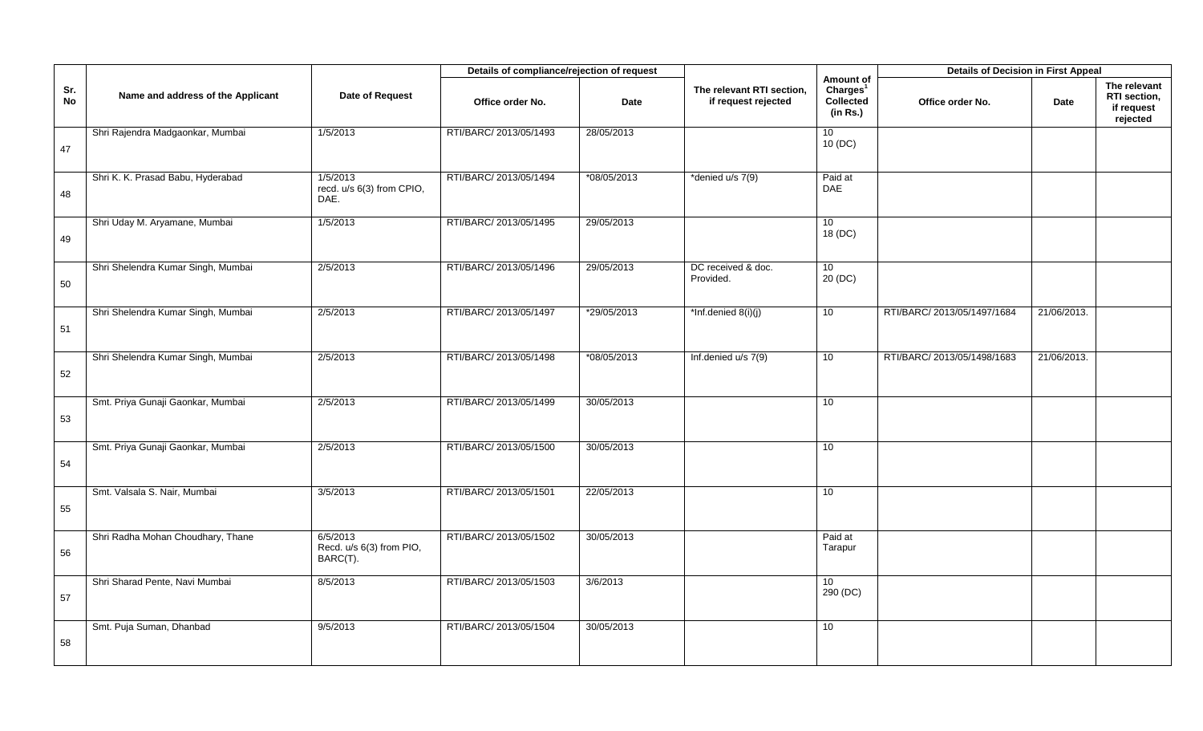|           |                                    |                                                  | Details of compliance/rejection of request |             |                                                  |                                                            | <b>Details of Decision in First Appeal</b> |             |                                                        |
|-----------|------------------------------------|--------------------------------------------------|--------------------------------------------|-------------|--------------------------------------------------|------------------------------------------------------------|--------------------------------------------|-------------|--------------------------------------------------------|
| Sr.<br>No | Name and address of the Applicant  | Date of Request                                  | Office order No.                           | <b>Date</b> | The relevant RTI section,<br>if request rejected | Amount of<br>Charles <sup>1</sup><br>Collected<br>(in Rs.) | Office order No.                           | Date        | The relevant<br>RTI section,<br>if request<br>rejected |
| 47        | Shri Rajendra Madgaonkar, Mumbai   | 1/5/2013                                         | RTI/BARC/ 2013/05/1493                     | 28/05/2013  |                                                  | 10<br>10 (DC)                                              |                                            |             |                                                        |
| 48        | Shri K. K. Prasad Babu, Hyderabad  | 1/5/2013<br>recd. u/s 6(3) from CPIO,<br>DAE.    | RTI/BARC/ 2013/05/1494                     | *08/05/2013 | *denied u/s 7(9)                                 | Paid at<br><b>DAE</b>                                      |                                            |             |                                                        |
| 49        | Shri Uday M. Aryamane, Mumbai      | 1/5/2013                                         | RTI/BARC/ 2013/05/1495                     | 29/05/2013  |                                                  | 10<br>18 (DC)                                              |                                            |             |                                                        |
| 50        | Shri Shelendra Kumar Singh, Mumbai | 2/5/2013                                         | RTI/BARC/ 2013/05/1496                     | 29/05/2013  | DC received & doc.<br>Provided.                  | 10 <sup>°</sup><br>20 (DC)                                 |                                            |             |                                                        |
| 51        | Shri Shelendra Kumar Singh, Mumbai | 2/5/2013                                         | RTI/BARC/ 2013/05/1497                     | *29/05/2013 | *Inf.denied 8(i)(j)                              | 10                                                         | RTI/BARC/ 2013/05/1497/1684                | 21/06/2013. |                                                        |
| 52        | Shri Shelendra Kumar Singh, Mumbai | 2/5/2013                                         | RTI/BARC/ 2013/05/1498                     | *08/05/2013 | Inf.denied u/s 7(9)                              | 10                                                         | RTI/BARC/ 2013/05/1498/1683                | 21/06/2013. |                                                        |
| 53        | Smt. Priya Gunaji Gaonkar, Mumbai  | 2/5/2013                                         | RTI/BARC/ 2013/05/1499                     | 30/05/2013  |                                                  | 10                                                         |                                            |             |                                                        |
| 54        | Smt. Priya Gunaji Gaonkar, Mumbai  | 2/5/2013                                         | RTI/BARC/ 2013/05/1500                     | 30/05/2013  |                                                  | 10                                                         |                                            |             |                                                        |
| 55        | Smt. Valsala S. Nair, Mumbai       | 3/5/2013                                         | RTI/BARC/ 2013/05/1501                     | 22/05/2013  |                                                  | 10 <sup>1</sup>                                            |                                            |             |                                                        |
| 56        | Shri Radha Mohan Choudhary, Thane  | 6/5/2013<br>Recd. u/s 6(3) from PIO,<br>BARC(T). | RTI/BARC/ 2013/05/1502                     | 30/05/2013  |                                                  | Paid at<br>Tarapur                                         |                                            |             |                                                        |
| 57        | Shri Sharad Pente, Navi Mumbai     | 8/5/2013                                         | RTI/BARC/ 2013/05/1503                     | 3/6/2013    |                                                  | 10 <sup>1</sup><br>290 (DC)                                |                                            |             |                                                        |
| 58        | Smt. Puja Suman, Dhanbad           | 9/5/2013                                         | RTI/BARC/ 2013/05/1504                     | 30/05/2013  |                                                  | 10                                                         |                                            |             |                                                        |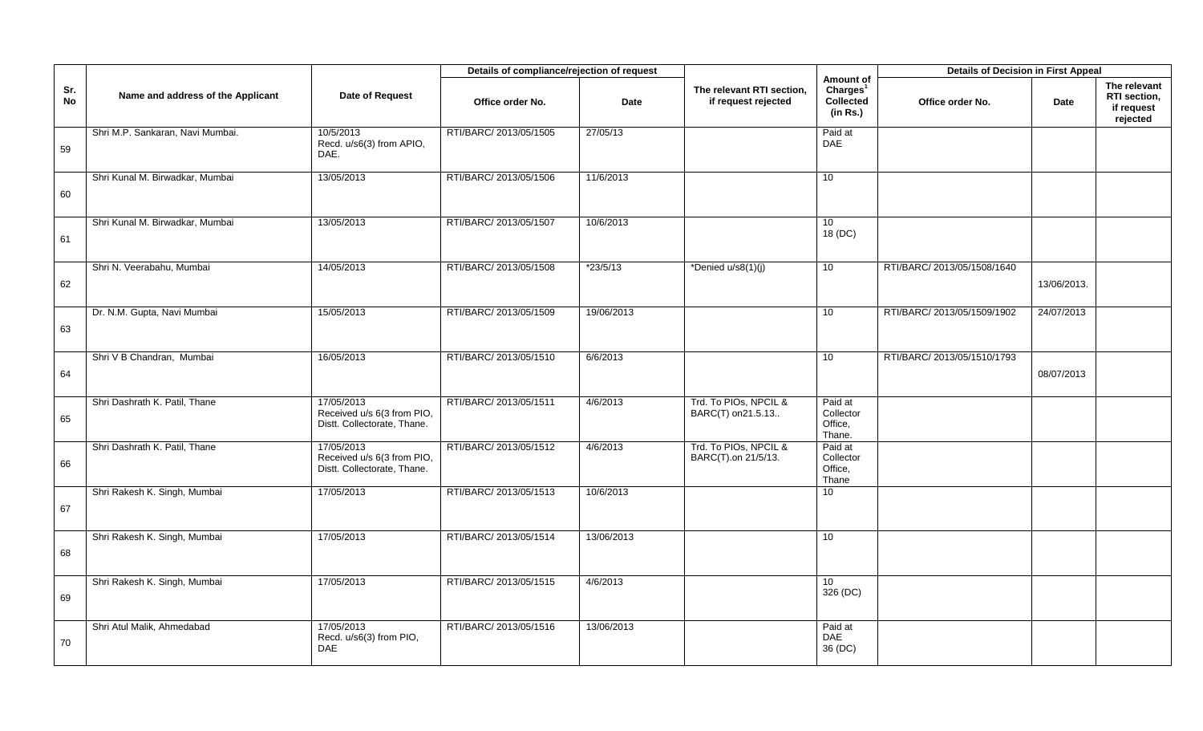|                  |                                   |                                                                         | Details of compliance/rejection of request |             |                                                  |                                                            | <b>Details of Decision in First Appeal</b> |             |                                                        |
|------------------|-----------------------------------|-------------------------------------------------------------------------|--------------------------------------------|-------------|--------------------------------------------------|------------------------------------------------------------|--------------------------------------------|-------------|--------------------------------------------------------|
| Sr.<br><b>No</b> | Name and address of the Applicant | Date of Request                                                         | Office order No.                           | <b>Date</b> | The relevant RTI section,<br>if request rejected | Amount of<br>Charges <sup>1</sup><br>Collected<br>(in Rs.) | Office order No.                           | Date        | The relevant<br>RTI section,<br>if request<br>rejected |
| 59               | Shri M.P. Sankaran, Navi Mumbai.  | 10/5/2013<br>Recd. u/s6(3) from APIO,<br>DAE.                           | RTI/BARC/ 2013/05/1505                     | 27/05/13    |                                                  | Paid at<br>DAE                                             |                                            |             |                                                        |
| 60               | Shri Kunal M. Birwadkar, Mumbai   | 13/05/2013                                                              | RTI/BARC/ 2013/05/1506                     | 11/6/2013   |                                                  | 10                                                         |                                            |             |                                                        |
| 61               | Shri Kunal M. Birwadkar, Mumbai   | 13/05/2013                                                              | RTI/BARC/ 2013/05/1507                     | 10/6/2013   |                                                  | 10 <sup>°</sup><br>18 (DC)                                 |                                            |             |                                                        |
| 62               | Shri N. Veerabahu, Mumbai         | 14/05/2013                                                              | RTI/BARC/ 2013/05/1508                     | $*23/5/13$  | *Denied u/s8(1)(j)                               | 10 <sup>1</sup>                                            | RTI/BARC/ 2013/05/1508/1640                | 13/06/2013. |                                                        |
| 63               | Dr. N.M. Gupta, Navi Mumbai       | 15/05/2013                                                              | RTI/BARC/ 2013/05/1509                     | 19/06/2013  |                                                  | 10 <sup>1</sup>                                            | RTI/BARC/ 2013/05/1509/1902                | 24/07/2013  |                                                        |
| 64               | Shri V B Chandran, Mumbai         | 16/05/2013                                                              | RTI/BARC/ 2013/05/1510                     | 6/6/2013    |                                                  | 10                                                         | RTI/BARC/ 2013/05/1510/1793                | 08/07/2013  |                                                        |
| 65               | Shri Dashrath K. Patil, Thane     | 17/05/2013<br>Received u/s 6(3 from PIO,<br>Distt. Collectorate, Thane. | RTI/BARC/ 2013/05/1511                     | 4/6/2013    | Trd. To PIOs, NPCIL &<br>BARC(T) on 21.5.13      | Paid at<br>Collector<br>Office,<br>Thane.                  |                                            |             |                                                        |
| 66               | Shri Dashrath K. Patil, Thane     | 17/05/2013<br>Received u/s 6(3 from PIO,<br>Distt. Collectorate, Thane. | RTI/BARC/ 2013/05/1512                     | 4/6/2013    | Trd. To PIOs, NPCIL &<br>BARC(T).on 21/5/13.     | Paid at<br>Collector<br>Office,<br>Thane                   |                                            |             |                                                        |
| 67               | Shri Rakesh K. Singh, Mumbai      | 17/05/2013                                                              | RTI/BARC/ 2013/05/1513                     | 10/6/2013   |                                                  | 10 <sup>1</sup>                                            |                                            |             |                                                        |
| 68               | Shri Rakesh K. Singh, Mumbai      | 17/05/2013                                                              | RTI/BARC/ 2013/05/1514                     | 13/06/2013  |                                                  | 10                                                         |                                            |             |                                                        |
| 69               | Shri Rakesh K. Singh, Mumbai      | 17/05/2013                                                              | RTI/BARC/ 2013/05/1515                     | 4/6/2013    |                                                  | 10 <sup>°</sup><br>326 (DC)                                |                                            |             |                                                        |
| 70               | Shri Atul Malik, Ahmedabad        | 17/05/2013<br>Recd. u/s6(3) from PIO,<br><b>DAE</b>                     | RTI/BARC/ 2013/05/1516                     | 13/06/2013  |                                                  | Paid at<br>DAE<br>36 (DC)                                  |                                            |             |                                                        |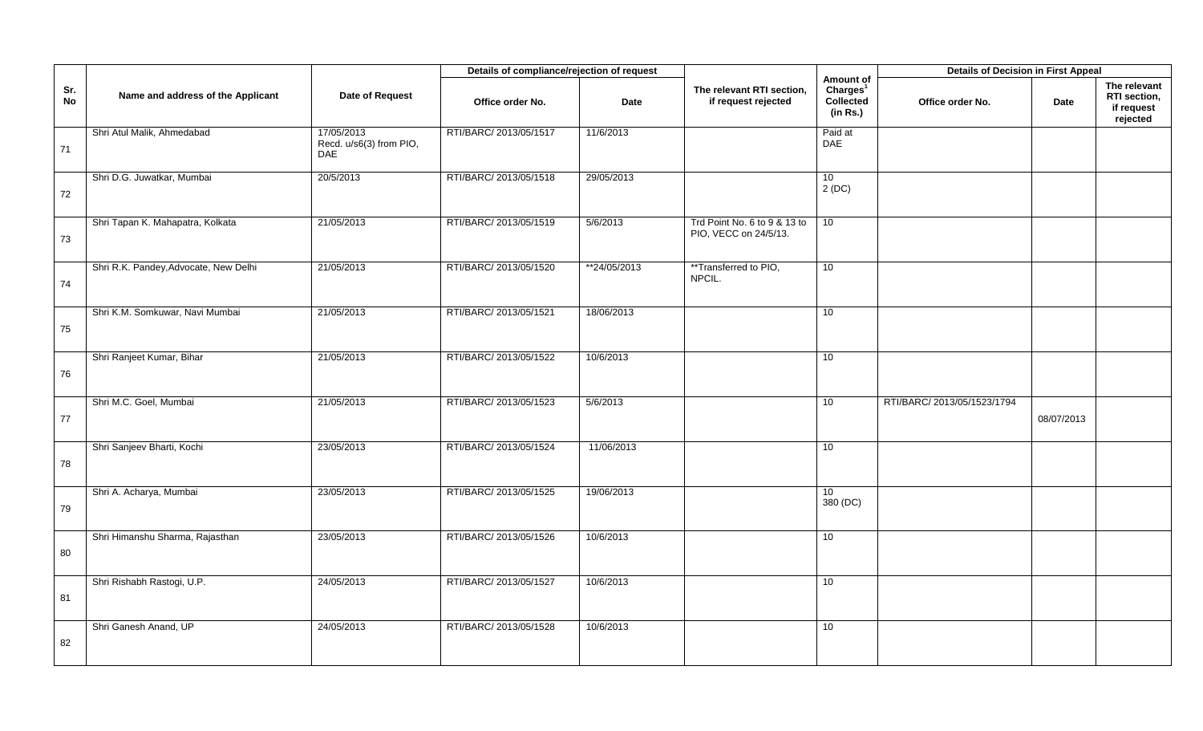|           |                                       |                                                     | Details of compliance/rejection of request |              |                                                       |                                                            | <b>Details of Decision in First Appeal</b> |            |                                                        |
|-----------|---------------------------------------|-----------------------------------------------------|--------------------------------------------|--------------|-------------------------------------------------------|------------------------------------------------------------|--------------------------------------------|------------|--------------------------------------------------------|
| Sr.<br>No | Name and address of the Applicant     | Date of Request                                     | Office order No.                           | <b>Date</b>  | The relevant RTI section,<br>if request rejected      | Amount of<br>Charles <sup>1</sup><br>Collected<br>(in Rs.) | Office order No.                           | Date       | The relevant<br>RTI section,<br>if request<br>rejected |
| 71        | Shri Atul Malik, Ahmedabad            | 17/05/2013<br>Recd. u/s6(3) from PIO,<br><b>DAE</b> | RTI/BARC/ 2013/05/1517                     | 11/6/2013    |                                                       | Paid at<br>DAE                                             |                                            |            |                                                        |
| 72        | Shri D.G. Juwatkar, Mumbai            | 20/5/2013                                           | RTI/BARC/ 2013/05/1518                     | 29/05/2013   |                                                       | 10<br>2(DC)                                                |                                            |            |                                                        |
| 73        | Shri Tapan K. Mahapatra, Kolkata      | 21/05/2013                                          | RTI/BARC/ 2013/05/1519                     | 5/6/2013     | Trd Point No. 6 to 9 & 13 to<br>PIO, VECC on 24/5/13. | 10                                                         |                                            |            |                                                        |
| 74        | Shri R.K. Pandey, Advocate, New Delhi | 21/05/2013                                          | RTI/BARC/ 2013/05/1520                     | **24/05/2013 | **Transferred to PIO,<br>NPCIL.                       | 10                                                         |                                            |            |                                                        |
| 75        | Shri K.M. Somkuwar, Navi Mumbai       | 21/05/2013                                          | RTI/BARC/ 2013/05/1521                     | 18/06/2013   |                                                       | 10                                                         |                                            |            |                                                        |
| 76        | Shri Ranjeet Kumar, Bihar             | 21/05/2013                                          | RTI/BARC/ 2013/05/1522                     | 10/6/2013    |                                                       | 10 <sup>1</sup>                                            |                                            |            |                                                        |
| 77        | Shri M.C. Goel, Mumbai                | 21/05/2013                                          | RTI/BARC/ 2013/05/1523                     | 5/6/2013     |                                                       | 10                                                         | RTI/BARC/ 2013/05/1523/1794                | 08/07/2013 |                                                        |
| 78        | Shri Sanjeev Bharti, Kochi            | 23/05/2013                                          | RTI/BARC/ 2013/05/1524                     | 11/06/2013   |                                                       | 10                                                         |                                            |            |                                                        |
| 79        | Shri A. Acharya, Mumbai               | 23/05/2013                                          | RTI/BARC/ 2013/05/1525                     | 19/06/2013   |                                                       | 10 <sup>°</sup><br>380 (DC)                                |                                            |            |                                                        |
| 80        | Shri Himanshu Sharma, Rajasthan       | 23/05/2013                                          | RTI/BARC/ 2013/05/1526                     | 10/6/2013    |                                                       | 10                                                         |                                            |            |                                                        |
| 81        | Shri Rishabh Rastogi, U.P.            | 24/05/2013                                          | RTI/BARC/ 2013/05/1527                     | 10/6/2013    |                                                       | 10 <sup>1</sup>                                            |                                            |            |                                                        |
| 82        | Shri Ganesh Anand, UP                 | 24/05/2013                                          | RTI/BARC/ 2013/05/1528                     | 10/6/2013    |                                                       | 10                                                         |                                            |            |                                                        |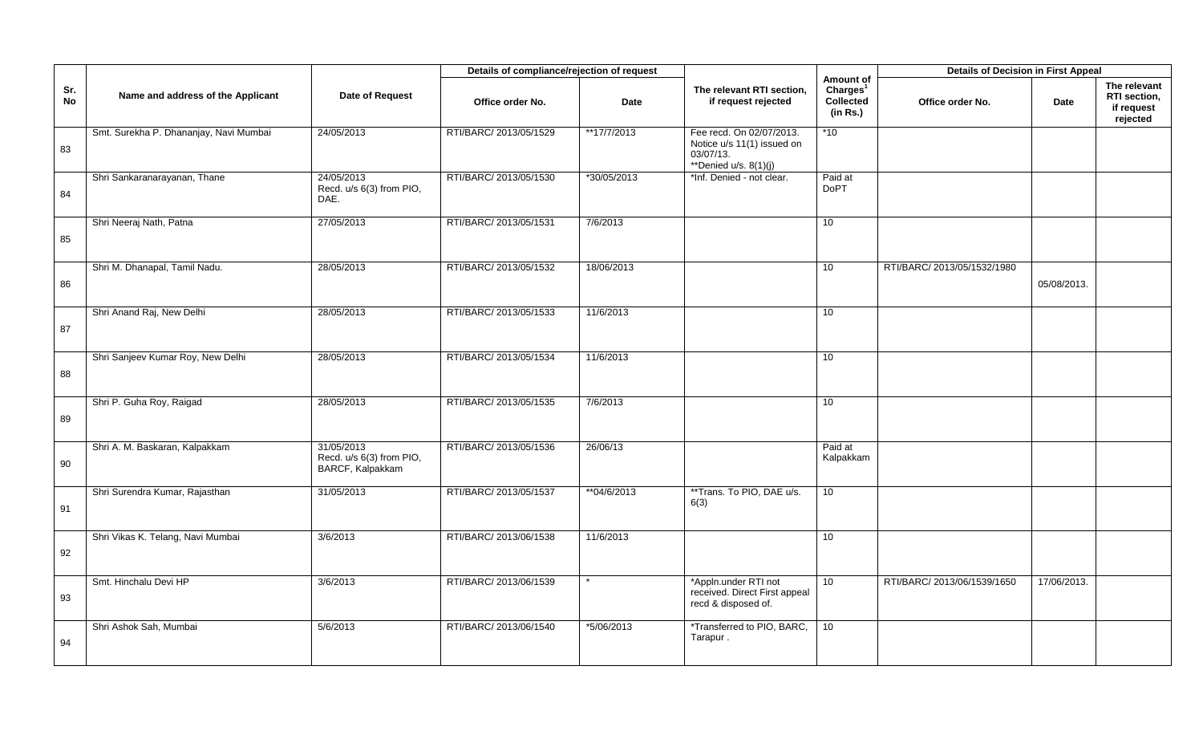|           |                                        |                                                            | Details of compliance/rejection of request |             |                                                                                                |                                                            | <b>Details of Decision in First Appeal</b> |             |                                                        |
|-----------|----------------------------------------|------------------------------------------------------------|--------------------------------------------|-------------|------------------------------------------------------------------------------------------------|------------------------------------------------------------|--------------------------------------------|-------------|--------------------------------------------------------|
| Sr.<br>No | Name and address of the Applicant      | Date of Request                                            | Office order No.                           | Date        | The relevant RTI section,<br>if request rejected                                               | Amount of<br>Charles <sup>1</sup><br>Collected<br>(in Rs.) | Office order No.                           | <b>Date</b> | The relevant<br>RTI section,<br>if request<br>rejected |
| 83        | Smt. Surekha P. Dhananjay, Navi Mumbai | 24/05/2013                                                 | RTI/BARC/ 2013/05/1529                     | **17/7/2013 | Fee recd. On 02/07/2013.<br>Notice u/s 11(1) issued on<br>03/07/13.<br>**Denied $u/s. 8(1)(i)$ | $*10$                                                      |                                            |             |                                                        |
| 84        | Shri Sankaranarayanan, Thane           | 24/05/2013<br>Recd. u/s 6(3) from PIO,<br>DAE.             | RTI/BARC/ 2013/05/1530                     | *30/05/2013 | *Inf. Denied - not clear.                                                                      | Paid at<br><b>DoPT</b>                                     |                                            |             |                                                        |
| 85        | Shri Neeraj Nath, Patna                | 27/05/2013                                                 | RTI/BARC/ 2013/05/1531                     | 7/6/2013    |                                                                                                | 10                                                         |                                            |             |                                                        |
| 86        | Shri M. Dhanapal, Tamil Nadu.          | 28/05/2013                                                 | RTI/BARC/ 2013/05/1532                     | 18/06/2013  |                                                                                                | 10 <sup>1</sup>                                            | RTI/BARC/ 2013/05/1532/1980                | 05/08/2013. |                                                        |
| 87        | Shri Anand Raj, New Delhi              | 28/05/2013                                                 | RTI/BARC/ 2013/05/1533                     | 11/6/2013   |                                                                                                | 10                                                         |                                            |             |                                                        |
| 88        | Shri Sanjeev Kumar Roy, New Delhi      | 28/05/2013                                                 | RTI/BARC/ 2013/05/1534                     | 11/6/2013   |                                                                                                | 10                                                         |                                            |             |                                                        |
| 89        | Shri P. Guha Roy, Raigad               | 28/05/2013                                                 | RTI/BARC/ 2013/05/1535                     | 7/6/2013    |                                                                                                | 10 <sup>1</sup>                                            |                                            |             |                                                        |
| 90        | Shri A. M. Baskaran, Kalpakkam         | 31/05/2013<br>Recd. u/s 6(3) from PIO,<br>BARCF, Kalpakkam | RTI/BARC/ 2013/05/1536                     | 26/06/13    |                                                                                                | Paid at<br>Kalpakkam                                       |                                            |             |                                                        |
| 91        | Shri Surendra Kumar, Rajasthan         | 31/05/2013                                                 | RTI/BARC/ 2013/05/1537                     | **04/6/2013 | **Trans. To PIO, DAE u/s.<br>6(3)                                                              | 10                                                         |                                            |             |                                                        |
| 92        | Shri Vikas K. Telang, Navi Mumbai      | 3/6/2013                                                   | RTI/BARC/ 2013/06/1538                     | 11/6/2013   |                                                                                                | 10                                                         |                                            |             |                                                        |
| 93        | Smt. Hinchalu Devi HP                  | 3/6/2013                                                   | RTI/BARC/ 2013/06/1539                     |             | *Appln.under RTI not<br>received. Direct First appeal<br>recd & disposed of.                   | 10 <sup>°</sup>                                            | RTI/BARC/ 2013/06/1539/1650                | 17/06/2013. |                                                        |
| 94        | Shri Ashok Sah, Mumbai                 | 5/6/2013                                                   | RTI/BARC/ 2013/06/1540                     | *5/06/2013  | *Transferred to PIO, BARC,<br>Tarapur.                                                         | 10 <sup>1</sup>                                            |                                            |             |                                                        |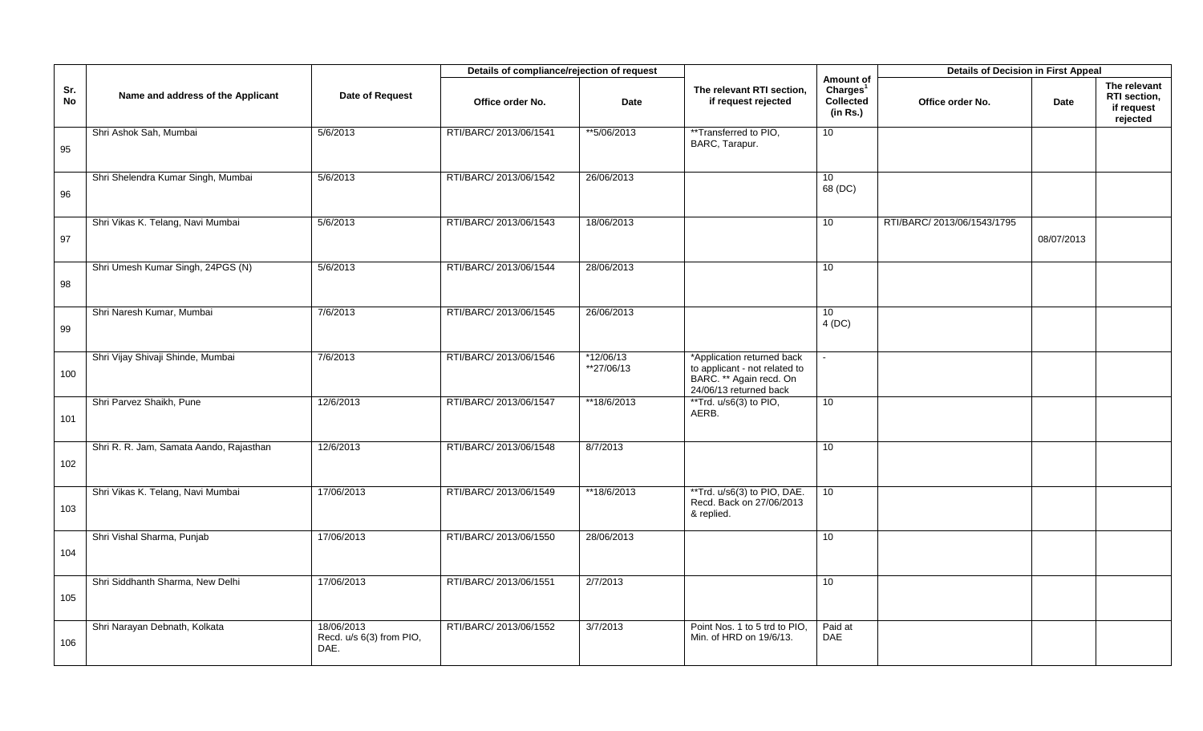|                  |                                         |                                                | Details of compliance/rejection of request |                           |                                                                                                                  |                                                            | <b>Details of Decision in First Appeal</b> |            |                                                        |
|------------------|-----------------------------------------|------------------------------------------------|--------------------------------------------|---------------------------|------------------------------------------------------------------------------------------------------------------|------------------------------------------------------------|--------------------------------------------|------------|--------------------------------------------------------|
| Sr.<br><b>No</b> | Name and address of the Applicant       | Date of Request                                | Office order No.                           | <b>Date</b>               | The relevant RTI section,<br>if request rejected                                                                 | Amount of<br>Charles <sup>1</sup><br>Collected<br>(in Rs.) | Office order No.                           | Date       | The relevant<br>RTI section,<br>if request<br>rejected |
| 95               | Shri Ashok Sah, Mumbai                  | 5/6/2013                                       | RTI/BARC/ 2013/06/1541                     | **5/06/2013               | **Transferred to PIO,<br>BARC, Tarapur.                                                                          | 10 <sup>1</sup>                                            |                                            |            |                                                        |
| 96               | Shri Shelendra Kumar Singh, Mumbai      | 5/6/2013                                       | RTI/BARC/ 2013/06/1542                     | 26/06/2013                |                                                                                                                  | 10 <sup>°</sup><br>68 (DC)                                 |                                            |            |                                                        |
| 97               | Shri Vikas K. Telang, Navi Mumbai       | 5/6/2013                                       | RTI/BARC/ 2013/06/1543                     | 18/06/2013                |                                                                                                                  | 10                                                         | RTI/BARC/ 2013/06/1543/1795                | 08/07/2013 |                                                        |
| 98               | Shri Umesh Kumar Singh, 24PGS (N)       | 5/6/2013                                       | RTI/BARC/ 2013/06/1544                     | 28/06/2013                |                                                                                                                  | 10 <sup>°</sup>                                            |                                            |            |                                                        |
| 99               | Shri Naresh Kumar, Mumbai               | 7/6/2013                                       | RTI/BARC/ 2013/06/1545                     | 26/06/2013                |                                                                                                                  | 10 <sup>°</sup><br>4(DC)                                   |                                            |            |                                                        |
| 100              | Shri Vijay Shivaji Shinde, Mumbai       | 7/6/2013                                       | RTI/BARC/ 2013/06/1546                     | $*12/06/13$<br>**27/06/13 | *Application returned back<br>to applicant - not related to<br>BARC. ** Again recd. On<br>24/06/13 returned back |                                                            |                                            |            |                                                        |
| 101              | Shri Parvez Shaikh, Pune                | 12/6/2013                                      | RTI/BARC/ 2013/06/1547                     | **18/6/2013               | ** Trd. u/s6(3) to PIO,<br>AERB.                                                                                 | 10                                                         |                                            |            |                                                        |
| 102              | Shri R. R. Jam, Samata Aando, Rajasthan | 12/6/2013                                      | RTI/BARC/ 2013/06/1548                     | 8/7/2013                  |                                                                                                                  | 10                                                         |                                            |            |                                                        |
| 103              | Shri Vikas K. Telang, Navi Mumbai       | 17/06/2013                                     | RTI/BARC/ 2013/06/1549                     | **18/6/2013               | **Trd. u/s6(3) to PIO, DAE.<br>Recd. Back on 27/06/2013<br>& replied.                                            | 10 <sup>°</sup>                                            |                                            |            |                                                        |
| 104              | Shri Vishal Sharma, Punjab              | 17/06/2013                                     | RTI/BARC/ 2013/06/1550                     | 28/06/2013                |                                                                                                                  | 10                                                         |                                            |            |                                                        |
| 105              | Shri Siddhanth Sharma, New Delhi        | 17/06/2013                                     | RTI/BARC/ 2013/06/1551                     | 2/7/2013                  |                                                                                                                  | 10                                                         |                                            |            |                                                        |
| 106              | Shri Narayan Debnath, Kolkata           | 18/06/2013<br>Recd. u/s 6(3) from PIO,<br>DAE. | RTI/BARC/ 2013/06/1552                     | 3/7/2013                  | Point Nos. 1 to 5 trd to PIO,<br>Min. of HRD on 19/6/13.                                                         | Paid at<br><b>DAE</b>                                      |                                            |            |                                                        |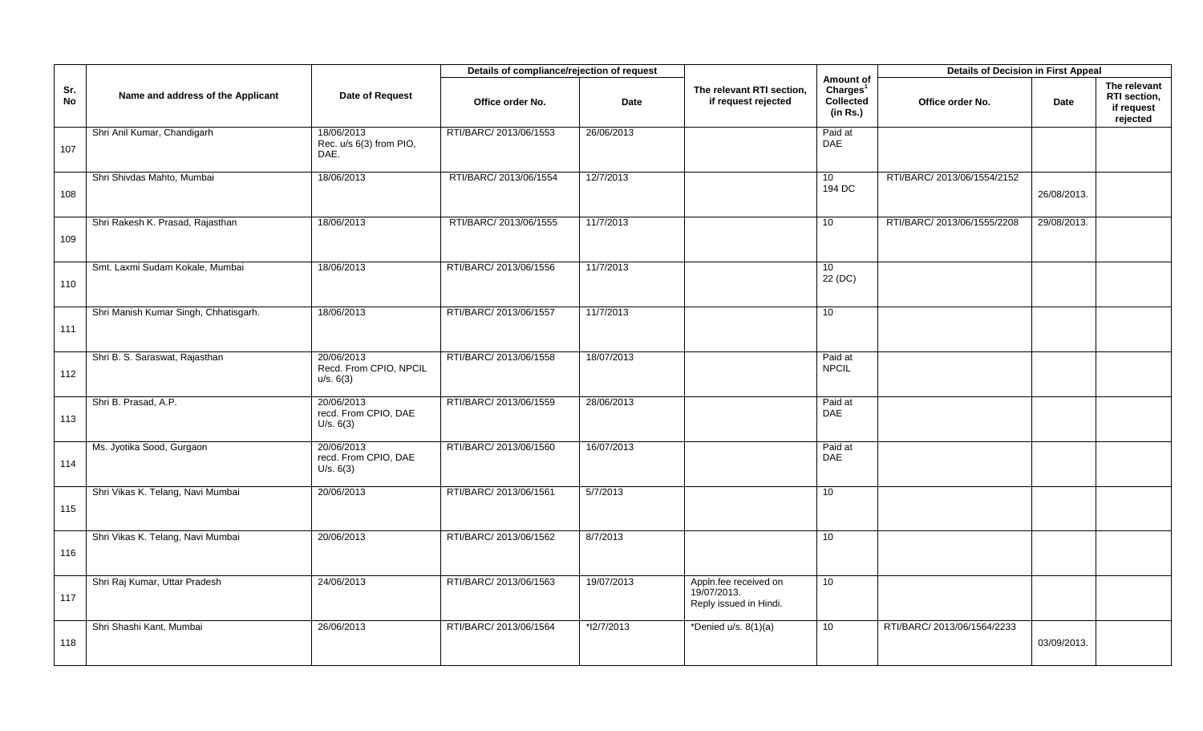|           |                                       |                                                   | Details of compliance/rejection of request |             |                                                                |                                                            | <b>Details of Decision in First Appeal</b> |             |                                                        |
|-----------|---------------------------------------|---------------------------------------------------|--------------------------------------------|-------------|----------------------------------------------------------------|------------------------------------------------------------|--------------------------------------------|-------------|--------------------------------------------------------|
| Sr.<br>No | Name and address of the Applicant     | Date of Request                                   | Office order No.                           | <b>Date</b> | The relevant RTI section,<br>if request rejected               | Amount of<br>Charles <sup>1</sup><br>Collected<br>(in Rs.) | Office order No.                           | Date        | The relevant<br>RTI section,<br>if request<br>rejected |
| 107       | Shri Anil Kumar, Chandigarh           | 18/06/2013<br>Rec. u/s 6(3) from PIO,<br>DAE.     | RTI/BARC/ 2013/06/1553                     | 26/06/2013  |                                                                | Paid at<br>DAE                                             |                                            |             |                                                        |
| 108       | Shri Shivdas Mahto, Mumbai            | 18/06/2013                                        | RTI/BARC/ 2013/06/1554                     | 12/7/2013   |                                                                | 10<br>194 DC                                               | RTI/BARC/ 2013/06/1554/2152                | 26/08/2013. |                                                        |
| 109       | Shri Rakesh K. Prasad, Rajasthan      | 18/06/2013                                        | RTI/BARC/ 2013/06/1555                     | 11/7/2013   |                                                                | 10                                                         | RTI/BARC/ 2013/06/1555/2208                | 29/08/2013. |                                                        |
| 110       | Smt. Laxmi Sudam Kokale, Mumbai       | 18/06/2013                                        | RTI/BARC/ 2013/06/1556                     | 11/7/2013   |                                                                | 10<br>22 (DC)                                              |                                            |             |                                                        |
| 111       | Shri Manish Kumar Singh, Chhatisgarh. | 18/06/2013                                        | RTI/BARC/ 2013/06/1557                     | 11/7/2013   |                                                                | 10                                                         |                                            |             |                                                        |
| 112       | Shri B. S. Saraswat, Rajasthan        | 20/06/2013<br>Recd. From CPIO, NPCIL<br>u/s. 6(3) | RTI/BARC/ 2013/06/1558                     | 18/07/2013  |                                                                | Paid at<br><b>NPCIL</b>                                    |                                            |             |                                                        |
| 113       | Shri B. Prasad, A.P.                  | 20/06/2013<br>recd. From CPIO, DAE<br>U/s. 6(3)   | RTI/BARC/ 2013/06/1559                     | 28/06/2013  |                                                                | Paid at<br><b>DAE</b>                                      |                                            |             |                                                        |
| 114       | Ms. Jyotika Sood, Gurgaon             | 20/06/2013<br>recd. From CPIO, DAE<br>U/s. 6(3)   | RTI/BARC/ 2013/06/1560                     | 16/07/2013  |                                                                | Paid at<br><b>DAE</b>                                      |                                            |             |                                                        |
| 115       | Shri Vikas K. Telang, Navi Mumbai     | 20/06/2013                                        | RTI/BARC/ 2013/06/1561                     | 5/7/2013    |                                                                | 10 <sup>1</sup>                                            |                                            |             |                                                        |
| 116       | Shri Vikas K. Telang, Navi Mumbai     | 20/06/2013                                        | RTI/BARC/ 2013/06/1562                     | 8/7/2013    |                                                                | 10                                                         |                                            |             |                                                        |
| 117       | Shri Raj Kumar, Uttar Pradesh         | 24/06/2013                                        | RTI/BARC/ 2013/06/1563                     | 19/07/2013  | Appln.fee received on<br>19/07/2013.<br>Reply issued in Hindi. | 10 <sup>°</sup>                                            |                                            |             |                                                        |
| 118       | Shri Shashi Kant, Mumbai              | 26/06/2013                                        | RTI/BARC/ 2013/06/1564                     | *l2/7/2013  | *Denied u/s. 8(1)(a)                                           | 10                                                         | RTI/BARC/ 2013/06/1564/2233                | 03/09/2013. |                                                        |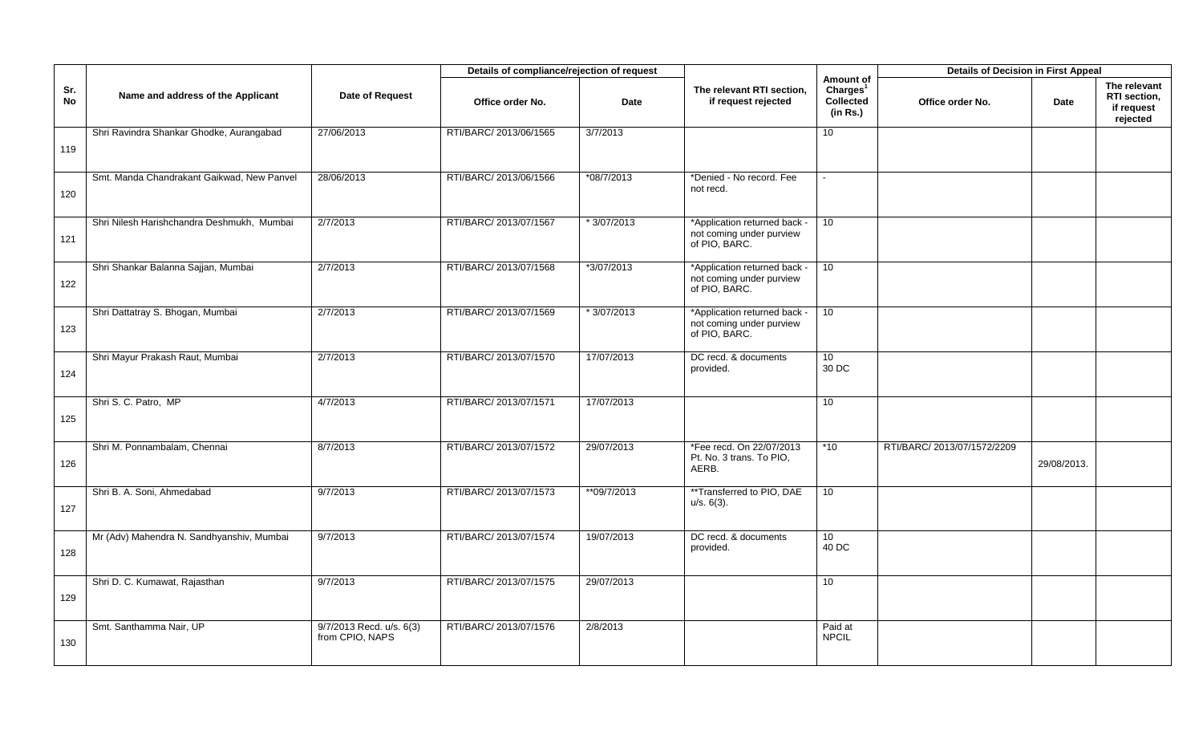|                  |                                            |                                             | Details of compliance/rejection of request |              |                                                                           |                                                                   | <b>Details of Decision in First Appeal</b> |             |                                                        |
|------------------|--------------------------------------------|---------------------------------------------|--------------------------------------------|--------------|---------------------------------------------------------------------------|-------------------------------------------------------------------|--------------------------------------------|-------------|--------------------------------------------------------|
| Sr.<br><b>No</b> | Name and address of the Applicant          | Date of Request                             | Office order No.                           | Date         | The relevant RTI section,<br>if request rejected                          | Amount of<br>Charles <sup>1</sup><br><b>Collected</b><br>(in Rs.) | Office order No.                           | <b>Date</b> | The relevant<br>RTI section,<br>if request<br>rejected |
| 119              | Shri Ravindra Shankar Ghodke, Aurangabad   | 27/06/2013                                  | RTI/BARC/ 2013/06/1565                     | 3/7/2013     |                                                                           | 10                                                                |                                            |             |                                                        |
| 120              | Smt. Manda Chandrakant Gaikwad, New Panvel | 28/06/2013                                  | RTI/BARC/ 2013/06/1566                     | $*08/7/2013$ | *Denied - No record. Fee<br>not recd.                                     | $\sim$                                                            |                                            |             |                                                        |
| 121              | Shri Nilesh Harishchandra Deshmukh, Mumbai | 2/7/2013                                    | RTI/BARC/ 2013/07/1567                     | $*3/07/2013$ | *Application returned back -<br>not coming under purview<br>of PIO, BARC. | 10                                                                |                                            |             |                                                        |
| 122              | Shri Shankar Balanna Sajjan, Mumbai        | 2/7/2013                                    | RTI/BARC/ 2013/07/1568                     | *3/07/2013   | *Application returned back -<br>not coming under purview<br>of PIO, BARC. | 10 <sup>°</sup>                                                   |                                            |             |                                                        |
| 123              | Shri Dattatray S. Bhogan, Mumbai           | 2/7/2013                                    | RTI/BARC/ 2013/07/1569                     | * 3/07/2013  | *Application returned back -<br>not coming under purview<br>of PIO, BARC. | 10                                                                |                                            |             |                                                        |
| 124              | Shri Mayur Prakash Raut, Mumbai            | 2/7/2013                                    | RTI/BARC/ 2013/07/1570                     | 17/07/2013   | DC recd. & documents<br>provided.                                         | 10 <sup>°</sup><br>30 DC                                          |                                            |             |                                                        |
| 125              | Shri S. C. Patro, MP                       | 4/7/2013                                    | RTI/BARC/ 2013/07/1571                     | 17/07/2013   |                                                                           | 10                                                                |                                            |             |                                                        |
| 126              | Shri M. Ponnambalam, Chennai               | 8/7/2013                                    | RTI/BARC/ 2013/07/1572                     | 29/07/2013   | *Fee recd. On 22/07/2013<br>Pt. No. 3 trans. To PIO,<br>AERB.             | $*10$                                                             | RTI/BARC/ 2013/07/1572/2209                | 29/08/2013. |                                                        |
| 127              | Shri B. A. Soni, Ahmedabad                 | 9/7/2013                                    | RTI/BARC/ 2013/07/1573                     | **09/7/2013  | **Transferred to PIO, DAE<br>$u/s. 6(3)$ .                                | 10 <sup>°</sup>                                                   |                                            |             |                                                        |
| 128              | Mr (Adv) Mahendra N. Sandhyanshiv, Mumbai  | 9/7/2013                                    | RTI/BARC/ 2013/07/1574                     | 19/07/2013   | DC recd. & documents<br>provided.                                         | 10 <sup>°</sup><br>40 DC                                          |                                            |             |                                                        |
| 129              | Shri D. C. Kumawat, Rajasthan              | 9/7/2013                                    | RTI/BARC/ 2013/07/1575                     | 29/07/2013   |                                                                           | 10                                                                |                                            |             |                                                        |
| 130              | Smt. Santhamma Nair, UP                    | 9/7/2013 Recd. u/s. 6(3)<br>from CPIO, NAPS | RTI/BARC/ 2013/07/1576                     | 2/8/2013     |                                                                           | Paid at<br><b>NPCIL</b>                                           |                                            |             |                                                        |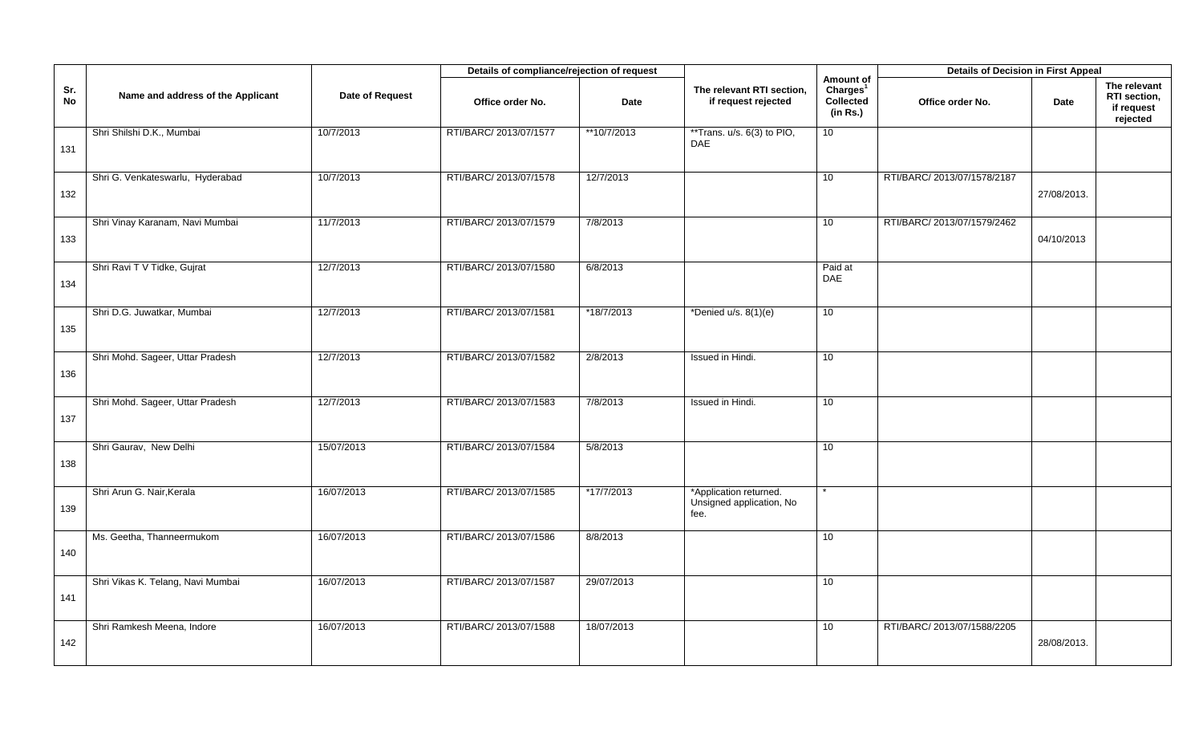|           |                                   |                 | Details of compliance/rejection of request |             |                                                            |                                                            | <b>Details of Decision in First Appeal</b> |             |                                                        |
|-----------|-----------------------------------|-----------------|--------------------------------------------|-------------|------------------------------------------------------------|------------------------------------------------------------|--------------------------------------------|-------------|--------------------------------------------------------|
| Sr.<br>No | Name and address of the Applicant | Date of Request | Office order No.                           | <b>Date</b> | The relevant RTI section,<br>if request rejected           | Amount of<br>Charles <sup>1</sup><br>Collected<br>(in Rs.) | Office order No.                           | Date        | The relevant<br>RTI section,<br>if request<br>rejected |
| 131       | Shri Shilshi D.K., Mumbai         | 10/7/2013       | RTI/BARC/ 2013/07/1577                     | **10/7/2013 | **Trans. u/s. 6(3) to PIO,<br>DAE                          | 10 <sup>°</sup>                                            |                                            |             |                                                        |
| 132       | Shri G. Venkateswarlu, Hyderabad  | 10/7/2013       | RTI/BARC/ 2013/07/1578                     | 12/7/2013   |                                                            | 10                                                         | RTI/BARC/ 2013/07/1578/2187                | 27/08/2013. |                                                        |
| 133       | Shri Vinay Karanam, Navi Mumbai   | 11/7/2013       | RTI/BARC/ 2013/07/1579                     | 7/8/2013    |                                                            | 10                                                         | RTI/BARC/ 2013/07/1579/2462                | 04/10/2013  |                                                        |
| 134       | Shri Ravi T V Tidke, Gujrat       | 12/7/2013       | RTI/BARC/ 2013/07/1580                     | 6/8/2013    |                                                            | Paid at<br><b>DAE</b>                                      |                                            |             |                                                        |
| 135       | Shri D.G. Juwatkar, Mumbai        | 12/7/2013       | RTI/BARC/ 2013/07/1581                     | *18/7/2013  | *Denied u/s. $8(1)(e)$                                     | 10                                                         |                                            |             |                                                        |
| 136       | Shri Mohd. Sageer, Uttar Pradesh  | 12/7/2013       | RTI/BARC/ 2013/07/1582                     | 2/8/2013    | Issued in Hindi.                                           | 10                                                         |                                            |             |                                                        |
| 137       | Shri Mohd. Sageer, Uttar Pradesh  | 12/7/2013       | RTI/BARC/ 2013/07/1583                     | 7/8/2013    | Issued in Hindi.                                           | 10 <sup>1</sup>                                            |                                            |             |                                                        |
| 138       | Shri Gaurav, New Delhi            | 15/07/2013      | RTI/BARC/ 2013/07/1584                     | 5/8/2013    |                                                            | 10                                                         |                                            |             |                                                        |
| 139       | Shri Arun G. Nair, Kerala         | 16/07/2013      | RTI/BARC/ 2013/07/1585                     | *17/7/2013  | *Application returned.<br>Unsigned application, No<br>fee. |                                                            |                                            |             |                                                        |
| 140       | Ms. Geetha, Thanneermukom         | 16/07/2013      | RTI/BARC/ 2013/07/1586                     | 8/8/2013    |                                                            | 10                                                         |                                            |             |                                                        |
| 141       | Shri Vikas K. Telang, Navi Mumbai | 16/07/2013      | RTI/BARC/ 2013/07/1587                     | 29/07/2013  |                                                            | 10 <sup>°</sup>                                            |                                            |             |                                                        |
| 142       | Shri Ramkesh Meena, Indore        | 16/07/2013      | RTI/BARC/ 2013/07/1588                     | 18/07/2013  |                                                            | 10                                                         | RTI/BARC/ 2013/07/1588/2205                | 28/08/2013. |                                                        |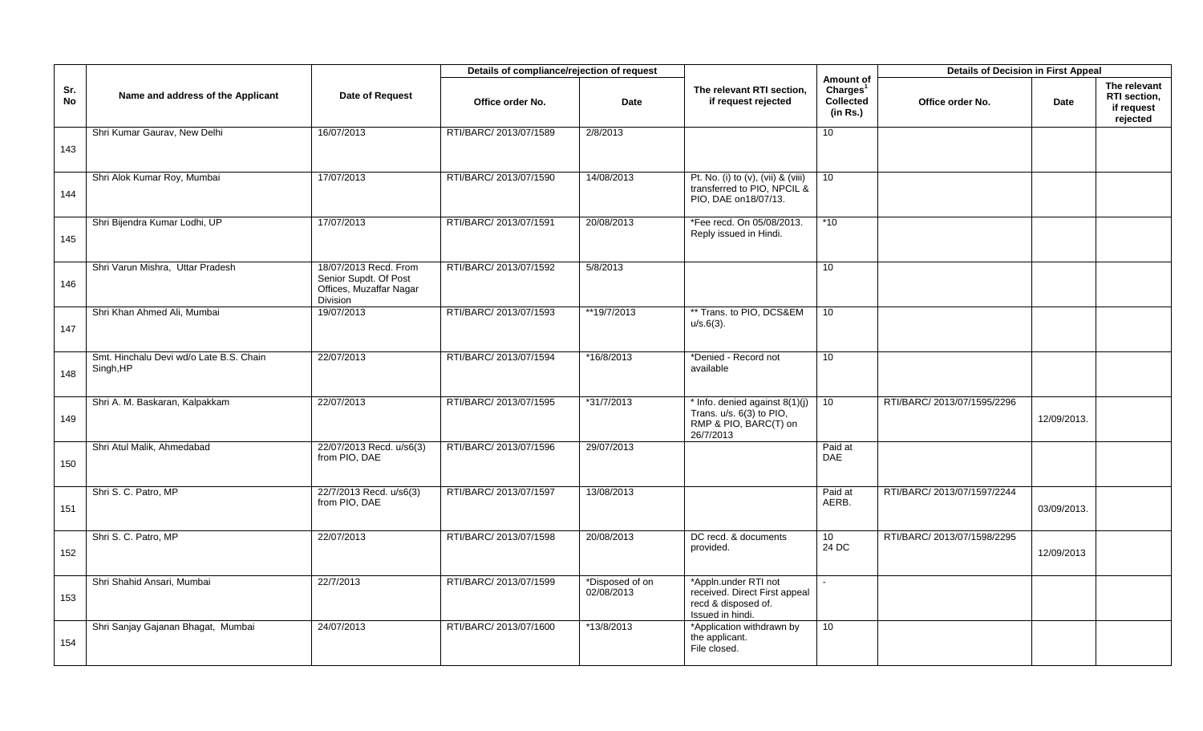|           |                                                      |                                                                                       | Details of compliance/rejection of request |                               |                                                                                                    |                                                                   | <b>Details of Decision in First Appeal</b> |             |                                                               |
|-----------|------------------------------------------------------|---------------------------------------------------------------------------------------|--------------------------------------------|-------------------------------|----------------------------------------------------------------------------------------------------|-------------------------------------------------------------------|--------------------------------------------|-------------|---------------------------------------------------------------|
| Sr.<br>No | Name and address of the Applicant                    | Date of Request                                                                       | Office order No.                           | <b>Date</b>                   | The relevant RTI section,<br>if request rejected                                                   | Amount of<br>Charles <sup>1</sup><br><b>Collected</b><br>(in Rs.) | Office order No.                           | <b>Date</b> | The relevant<br><b>RTI</b> section.<br>if request<br>rejected |
| 143       | Shri Kumar Gaurav, New Delhi                         | 16/07/2013                                                                            | RTI/BARC/ 2013/07/1589                     | 2/8/2013                      |                                                                                                    | 10                                                                |                                            |             |                                                               |
| 144       | Shri Alok Kumar Roy, Mumbai                          | 17/07/2013                                                                            | RTI/BARC/ 2013/07/1590                     | 14/08/2013                    | Pt. No. (i) to (v), (vii) & (viii)<br>transferred to PIO, NPCIL &<br>PIO, DAE on18/07/13.          | 10                                                                |                                            |             |                                                               |
| 145       | Shri Bijendra Kumar Lodhi, UP                        | 17/07/2013                                                                            | RTI/BARC/ 2013/07/1591                     | 20/08/2013                    | *Fee recd. On 05/08/2013.<br>Reply issued in Hindi.                                                | $*10$                                                             |                                            |             |                                                               |
| 146       | Shri Varun Mishra, Uttar Pradesh                     | 18/07/2013 Recd. From<br>Senior Supdt. Of Post<br>Offices, Muzaffar Nagar<br>Division | RTI/BARC/ 2013/07/1592                     | 5/8/2013                      |                                                                                                    | 10                                                                |                                            |             |                                                               |
| 147       | Shri Khan Ahmed Ali, Mumbai                          | 19/07/2013                                                                            | RTI/BARC/ 2013/07/1593                     | **19/7/2013                   | ** Trans. to PIO, DCS&EM<br>$u/s.6(3)$ .                                                           | $\overline{10}$                                                   |                                            |             |                                                               |
| 148       | Smt. Hinchalu Devi wd/o Late B.S. Chain<br>Singh, HP | 22/07/2013                                                                            | RTI/BARC/ 2013/07/1594                     | *16/8/2013                    | *Denied - Record not<br>available                                                                  | 10 <sup>1</sup>                                                   |                                            |             |                                                               |
| 149       | Shri A. M. Baskaran, Kalpakkam                       | 22/07/2013                                                                            | RTI/BARC/ 2013/07/1595                     | *31/7/2013                    | * Info. denied against $8(1)(j)$<br>Trans. u/s. 6(3) to PIO,<br>RMP & PIO, BARC(T) on<br>26/7/2013 | 10 <sup>°</sup>                                                   | RTI/BARC/ 2013/07/1595/2296                | 12/09/2013. |                                                               |
| 150       | Shri Atul Malik, Ahmedabad                           | 22/07/2013 Recd. u/s6(3)<br>from PIO, DAE                                             | RTI/BARC/ 2013/07/1596                     | 29/07/2013                    |                                                                                                    | Paid at<br>DAE                                                    |                                            |             |                                                               |
| 151       | Shri S. C. Patro, MP                                 | 22/7/2013 Recd. u/s6(3)<br>from PIO. DAE                                              | RTI/BARC/ 2013/07/1597                     | 13/08/2013                    |                                                                                                    | Paid at<br>AERB.                                                  | RTI/BARC/ 2013/07/1597/2244                | 03/09/2013. |                                                               |
| 152       | Shri S. C. Patro, MP                                 | 22/07/2013                                                                            | RTI/BARC/ 2013/07/1598                     | 20/08/2013                    | DC recd. & documents<br>provided.                                                                  | 10 <sup>°</sup><br>24 DC                                          | RTI/BARC/ 2013/07/1598/2295                | 12/09/2013  |                                                               |
| 153       | Shri Shahid Ansari, Mumbai                           | 22/7/2013                                                                             | RTI/BARC/ 2013/07/1599                     | *Disposed of on<br>02/08/2013 | *Appln.under RTI not<br>received. Direct First appeal<br>recd & disposed of.<br>Issued in hindi.   |                                                                   |                                            |             |                                                               |
| 154       | Shri Sanjay Gajanan Bhagat, Mumbai                   | 24/07/2013                                                                            | RTI/BARC/ 2013/07/1600                     | *13/8/2013                    | *Application withdrawn by<br>the applicant.<br>File closed.                                        | 10                                                                |                                            |             |                                                               |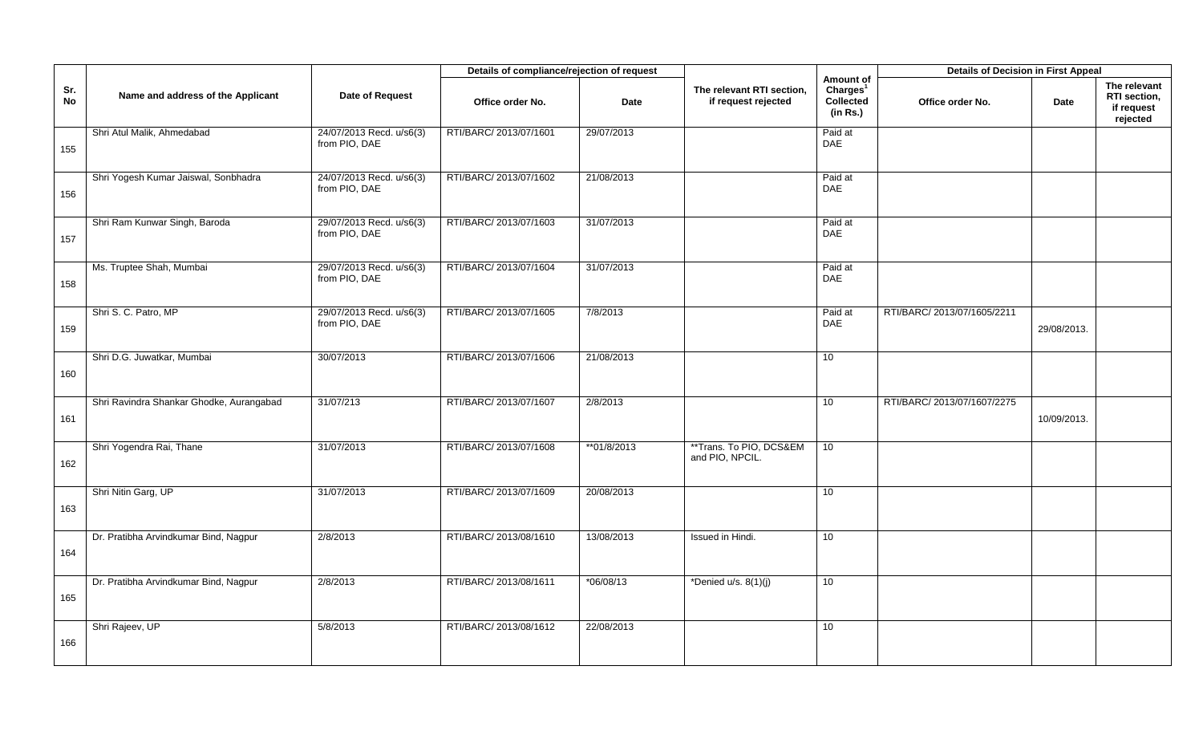|                  |                                          |                                           | Details of compliance/rejection of request |             |                                                  |                                                            | <b>Details of Decision in First Appeal</b> |             |                                                        |
|------------------|------------------------------------------|-------------------------------------------|--------------------------------------------|-------------|--------------------------------------------------|------------------------------------------------------------|--------------------------------------------|-------------|--------------------------------------------------------|
| Sr.<br><b>No</b> | Name and address of the Applicant        | Date of Request                           | Office order No.                           | <b>Date</b> | The relevant RTI section,<br>if request rejected | Amount of<br>Charles <sup>1</sup><br>Collected<br>(in Rs.) | Office order No.                           | Date        | The relevant<br>RTI section,<br>if request<br>rejected |
| 155              | Shri Atul Malik, Ahmedabad               | 24/07/2013 Recd. u/s6(3)<br>from PIO, DAE | RTI/BARC/ 2013/07/1601                     | 29/07/2013  |                                                  | Paid at<br>DAE                                             |                                            |             |                                                        |
| 156              | Shri Yogesh Kumar Jaiswal, Sonbhadra     | 24/07/2013 Recd. u/s6(3)<br>from PIO, DAE | RTI/BARC/ 2013/07/1602                     | 21/08/2013  |                                                  | Paid at<br><b>DAE</b>                                      |                                            |             |                                                        |
| 157              | Shri Ram Kunwar Singh, Baroda            | 29/07/2013 Recd. u/s6(3)<br>from PIO, DAE | RTI/BARC/ 2013/07/1603                     | 31/07/2013  |                                                  | Paid at<br><b>DAE</b>                                      |                                            |             |                                                        |
| 158              | Ms. Truptee Shah, Mumbai                 | 29/07/2013 Recd. u/s6(3)<br>from PIO, DAE | RTI/BARC/ 2013/07/1604                     | 31/07/2013  |                                                  | Paid at<br><b>DAE</b>                                      |                                            |             |                                                        |
| 159              | Shri S. C. Patro, MP                     | 29/07/2013 Recd. u/s6(3)<br>from PIO, DAE | RTI/BARC/ 2013/07/1605                     | 7/8/2013    |                                                  | Paid at<br><b>DAE</b>                                      | RTI/BARC/ 2013/07/1605/2211                | 29/08/2013. |                                                        |
| 160              | Shri D.G. Juwatkar, Mumbai               | 30/07/2013                                | RTI/BARC/ 2013/07/1606                     | 21/08/2013  |                                                  | 10                                                         |                                            |             |                                                        |
| 161              | Shri Ravindra Shankar Ghodke, Aurangabad | 31/07/213                                 | RTI/BARC/ 2013/07/1607                     | 2/8/2013    |                                                  | 10                                                         | RTI/BARC/ 2013/07/1607/2275                | 10/09/2013. |                                                        |
| 162              | Shri Yogendra Rai, Thane                 | 31/07/2013                                | RTI/BARC/ 2013/07/1608                     | **01/8/2013 | **Trans. To PIO, DCS&EM<br>and PIO, NPCIL.       | 10                                                         |                                            |             |                                                        |
| 163              | Shri Nitin Garg, UP                      | 31/07/2013                                | RTI/BARC/ 2013/07/1609                     | 20/08/2013  |                                                  | 10                                                         |                                            |             |                                                        |
| 164              | Dr. Pratibha Arvindkumar Bind, Nagpur    | 2/8/2013                                  | RTI/BARC/ 2013/08/1610                     | 13/08/2013  | Issued in Hindi.                                 | 10                                                         |                                            |             |                                                        |
| 165              | Dr. Pratibha Arvindkumar Bind, Nagpur    | 2/8/2013                                  | RTI/BARC/ 2013/08/1611                     | $*06/08/13$ | *Denied $u/s. 8(1)(j)$                           | 10 <sup>1</sup>                                            |                                            |             |                                                        |
| 166              | Shri Rajeev, UP                          | 5/8/2013                                  | RTI/BARC/ 2013/08/1612                     | 22/08/2013  |                                                  | 10 <sup>1</sup>                                            |                                            |             |                                                        |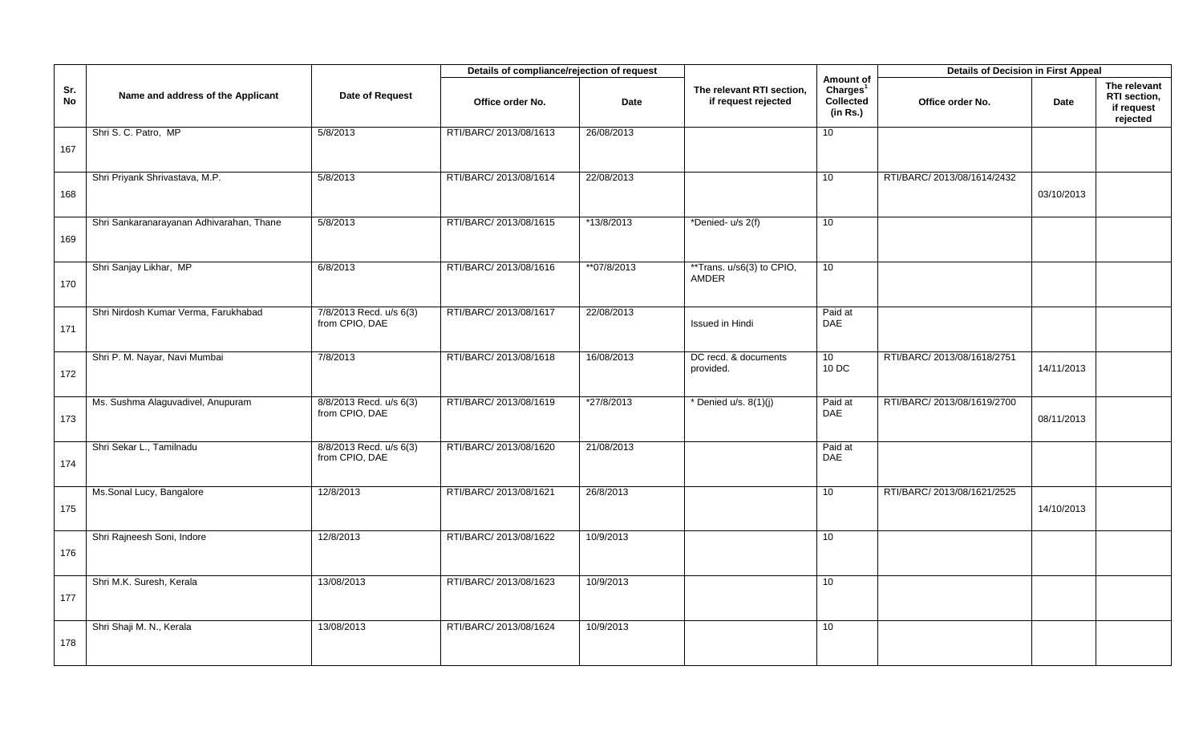|           |                                          |                                           | Details of compliance/rejection of request |             |                                                  |                                                                   | <b>Details of Decision in First Appeal</b> |            |                                                        |
|-----------|------------------------------------------|-------------------------------------------|--------------------------------------------|-------------|--------------------------------------------------|-------------------------------------------------------------------|--------------------------------------------|------------|--------------------------------------------------------|
| Sr.<br>No | Name and address of the Applicant        | Date of Request                           | Office order No.                           | <b>Date</b> | The relevant RTI section,<br>if request rejected | Amount of<br>Charles <sup>1</sup><br><b>Collected</b><br>(in Rs.) | Office order No.                           | Date       | The relevant<br>RTI section,<br>if request<br>rejected |
| 167       | Shri S. C. Patro, MP                     | 5/8/2013                                  | RTI/BARC/ 2013/08/1613                     | 26/08/2013  |                                                  | 10                                                                |                                            |            |                                                        |
| 168       | Shri Priyank Shrivastava, M.P.           | 5/8/2013                                  | RTI/BARC/ 2013/08/1614                     | 22/08/2013  |                                                  | 10                                                                | RTI/BARC/ 2013/08/1614/2432                | 03/10/2013 |                                                        |
| 169       | Shri Sankaranarayanan Adhivarahan, Thane | 5/8/2013                                  | RTI/BARC/ 2013/08/1615                     | *13/8/2013  | *Denied- u/s 2(f)                                | 10                                                                |                                            |            |                                                        |
| 170       | Shri Sanjay Likhar, MP                   | 6/8/2013                                  | RTI/BARC/ 2013/08/1616                     | **07/8/2013 | **Trans. u/s6(3) to CPIO,<br><b>AMDER</b>        | 10                                                                |                                            |            |                                                        |
| 171       | Shri Nirdosh Kumar Verma, Farukhabad     | 7/8/2013 Recd. u/s 6(3)<br>from CPIO, DAE | RTI/BARC/ 2013/08/1617                     | 22/08/2013  | <b>Issued in Hindi</b>                           | Paid at<br><b>DAE</b>                                             |                                            |            |                                                        |
| 172       | Shri P. M. Nayar, Navi Mumbai            | 7/8/2013                                  | RTI/BARC/ 2013/08/1618                     | 16/08/2013  | DC recd. & documents<br>provided.                | 10<br>10 DC                                                       | RTI/BARC/ 2013/08/1618/2751                | 14/11/2013 |                                                        |
| 173       | Ms. Sushma Alaguvadivel, Anupuram        | 8/8/2013 Recd. u/s 6(3)<br>from CPIO, DAE | RTI/BARC/ 2013/08/1619                     | *27/8/2013  | * Denied u/s. $8(1)(j)$                          | Paid at<br><b>DAE</b>                                             | RTI/BARC/ 2013/08/1619/2700                | 08/11/2013 |                                                        |
| 174       | Shri Sekar L., Tamilnadu                 | 8/8/2013 Recd. u/s 6(3)<br>from CPIO, DAE | RTI/BARC/ 2013/08/1620                     | 21/08/2013  |                                                  | Paid at<br><b>DAE</b>                                             |                                            |            |                                                        |
| 175       | Ms.Sonal Lucy, Bangalore                 | 12/8/2013                                 | RTI/BARC/ 2013/08/1621                     | 26/8/2013   |                                                  | 10                                                                | RTI/BARC/ 2013/08/1621/2525                | 14/10/2013 |                                                        |
| 176       | Shri Rajneesh Soni, Indore               | 12/8/2013                                 | RTI/BARC/ 2013/08/1622                     | 10/9/2013   |                                                  | 10                                                                |                                            |            |                                                        |
| 177       | Shri M.K. Suresh, Kerala                 | 13/08/2013                                | RTI/BARC/ 2013/08/1623                     | 10/9/2013   |                                                  | 10                                                                |                                            |            |                                                        |
| 178       | Shri Shaji M. N., Kerala                 | 13/08/2013                                | RTI/BARC/ 2013/08/1624                     | 10/9/2013   |                                                  | 10                                                                |                                            |            |                                                        |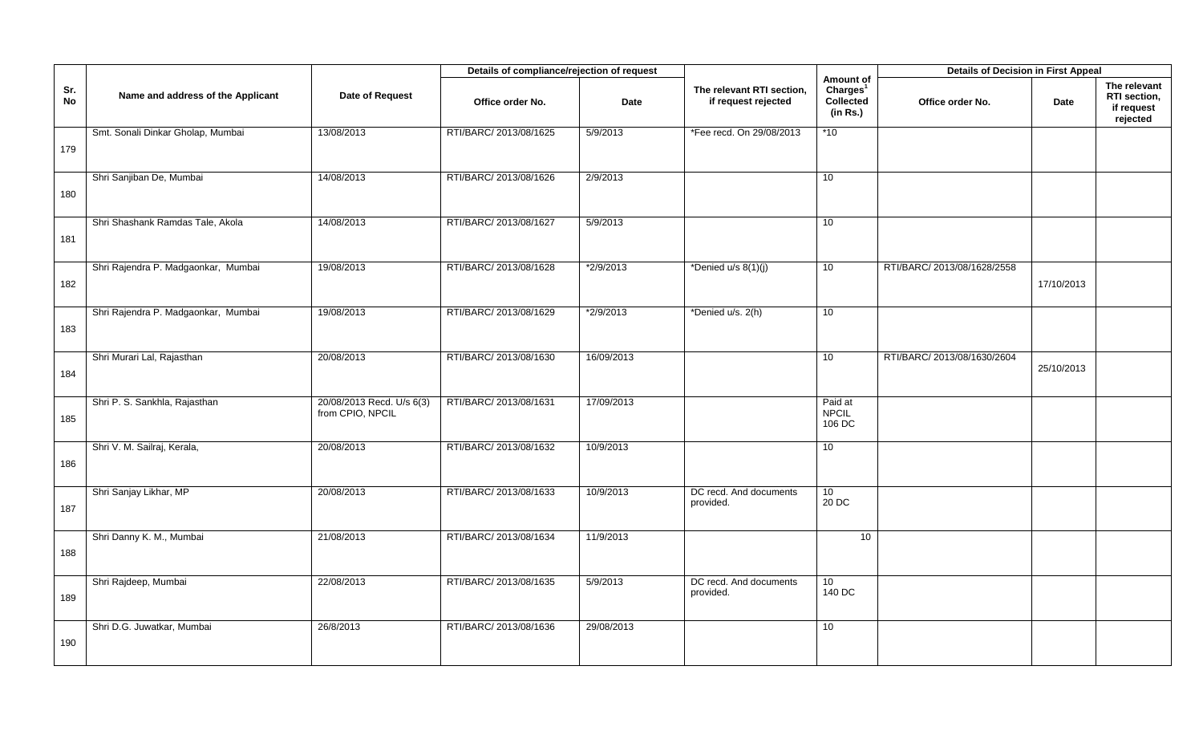|           |                                     |                                               | Details of compliance/rejection of request |             |                                                  |                                                            | <b>Details of Decision in First Appeal</b> |            |                                                        |
|-----------|-------------------------------------|-----------------------------------------------|--------------------------------------------|-------------|--------------------------------------------------|------------------------------------------------------------|--------------------------------------------|------------|--------------------------------------------------------|
| Sr.<br>No | Name and address of the Applicant   | Date of Request                               | Office order No.                           | <b>Date</b> | The relevant RTI section,<br>if request rejected | Amount of<br>Charles <sup>1</sup><br>Collected<br>(in Rs.) | Office order No.                           | Date       | The relevant<br>RTI section,<br>if request<br>rejected |
| 179       | Smt. Sonali Dinkar Gholap, Mumbai   | 13/08/2013                                    | RTI/BARC/ 2013/08/1625                     | 5/9/2013    | *Fee recd. On 29/08/2013                         | *10                                                        |                                            |            |                                                        |
| 180       | Shri Sanjiban De, Mumbai            | 14/08/2013                                    | RTI/BARC/ 2013/08/1626                     | 2/9/2013    |                                                  | 10                                                         |                                            |            |                                                        |
| 181       | Shri Shashank Ramdas Tale, Akola    | 14/08/2013                                    | RTI/BARC/ 2013/08/1627                     | 5/9/2013    |                                                  | 10                                                         |                                            |            |                                                        |
| 182       | Shri Rajendra P. Madgaonkar, Mumbai | 19/08/2013                                    | RTI/BARC/ 2013/08/1628                     | $*2/9/2013$ | *Denied $u/s$ 8(1)(j)                            | 10 <sup>1</sup>                                            | RTI/BARC/ 2013/08/1628/2558                | 17/10/2013 |                                                        |
| 183       | Shri Rajendra P. Madgaonkar, Mumbai | 19/08/2013                                    | RTI/BARC/ 2013/08/1629                     | *2/9/2013   | *Denied u/s. 2(h)                                | 10                                                         |                                            |            |                                                        |
| 184       | Shri Murari Lal, Rajasthan          | 20/08/2013                                    | RTI/BARC/ 2013/08/1630                     | 16/09/2013  |                                                  | 10                                                         | RTI/BARC/ 2013/08/1630/2604                | 25/10/2013 |                                                        |
| 185       | Shri P. S. Sankhla, Rajasthan       | 20/08/2013 Recd. U/s 6(3)<br>from CPIO, NPCIL | RTI/BARC/ 2013/08/1631                     | 17/09/2013  |                                                  | Paid at<br><b>NPCIL</b><br>106 DC                          |                                            |            |                                                        |
| 186       | Shri V. M. Sailraj, Kerala,         | 20/08/2013                                    | RTI/BARC/ 2013/08/1632                     | 10/9/2013   |                                                  | 10                                                         |                                            |            |                                                        |
| 187       | Shri Sanjay Likhar, MP              | 20/08/2013                                    | RTI/BARC/ 2013/08/1633                     | 10/9/2013   | DC recd. And documents<br>provided.              | 10 <sup>°</sup><br>20 DC                                   |                                            |            |                                                        |
| 188       | Shri Danny K. M., Mumbai            | 21/08/2013                                    | RTI/BARC/ 2013/08/1634                     | 11/9/2013   |                                                  | 10                                                         |                                            |            |                                                        |
| 189       | Shri Rajdeep, Mumbai                | 22/08/2013                                    | RTI/BARC/ 2013/08/1635                     | 5/9/2013    | DC recd. And documents<br>provided.              | 10 <sup>1</sup><br>140 DC                                  |                                            |            |                                                        |
| 190       | Shri D.G. Juwatkar, Mumbai          | 26/8/2013                                     | RTI/BARC/ 2013/08/1636                     | 29/08/2013  |                                                  | 10 <sup>°</sup>                                            |                                            |            |                                                        |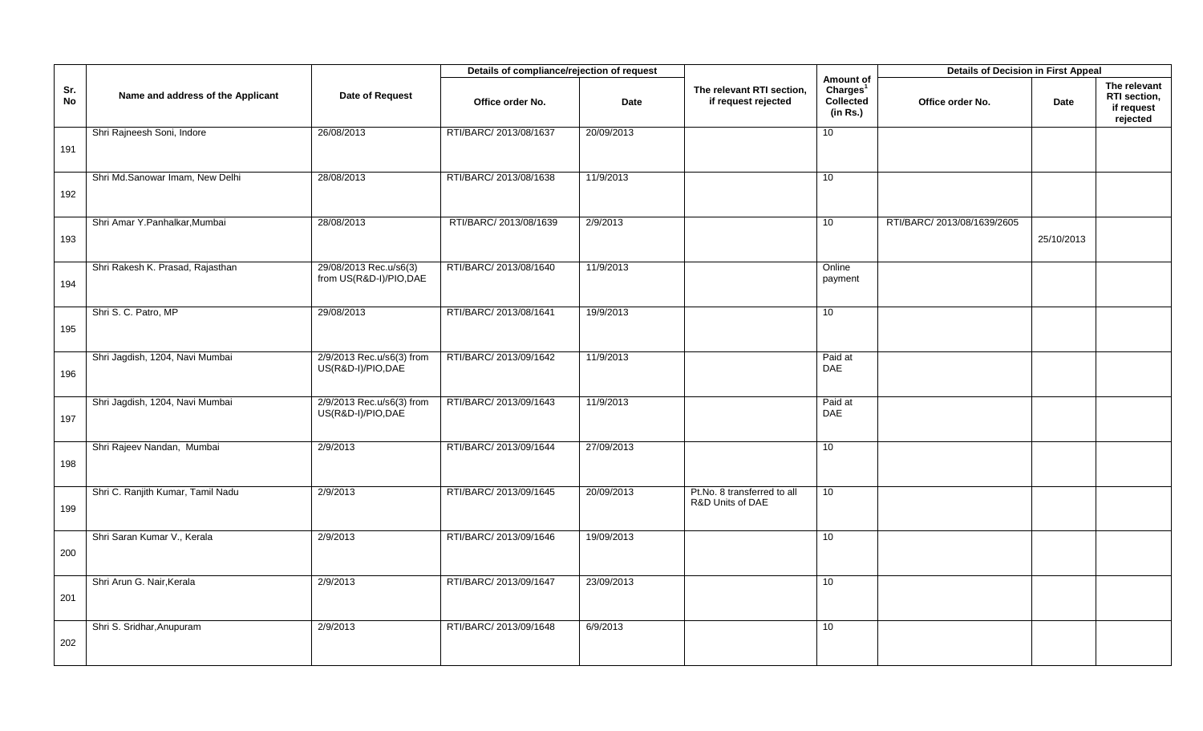|           |                                   |                                                   | Details of compliance/rejection of request |             |                                                  |                                                            | <b>Details of Decision in First Appeal</b> |            |                                                        |
|-----------|-----------------------------------|---------------------------------------------------|--------------------------------------------|-------------|--------------------------------------------------|------------------------------------------------------------|--------------------------------------------|------------|--------------------------------------------------------|
| Sr.<br>No | Name and address of the Applicant | Date of Request                                   | Office order No.                           | <b>Date</b> | The relevant RTI section,<br>if request rejected | Amount of<br>Charles <sup>1</sup><br>Collected<br>(in Rs.) | Office order No.                           | Date       | The relevant<br>RTI section,<br>if request<br>rejected |
| 191       | Shri Rajneesh Soni, Indore        | 26/08/2013                                        | RTI/BARC/ 2013/08/1637                     | 20/09/2013  |                                                  | 10                                                         |                                            |            |                                                        |
| 192       | Shri Md.Sanowar Imam, New Delhi   | 28/08/2013                                        | RTI/BARC/ 2013/08/1638                     | 11/9/2013   |                                                  | 10                                                         |                                            |            |                                                        |
| 193       | Shri Amar Y.Panhalkar, Mumbai     | 28/08/2013                                        | RTI/BARC/ 2013/08/1639                     | 2/9/2013    |                                                  | 10                                                         | RTI/BARC/ 2013/08/1639/2605                | 25/10/2013 |                                                        |
| 194       | Shri Rakesh K. Prasad, Rajasthan  | 29/08/2013 Rec.u/s6(3)<br>from US(R&D-I)/PIO, DAE | RTI/BARC/ 2013/08/1640                     | 11/9/2013   |                                                  | Online<br>payment                                          |                                            |            |                                                        |
| 195       | Shri S. C. Patro, MP              | 29/08/2013                                        | RTI/BARC/ 2013/08/1641                     | 19/9/2013   |                                                  | 10 <sup>1</sup>                                            |                                            |            |                                                        |
| 196       | Shri Jagdish, 1204, Navi Mumbai   | 2/9/2013 Rec.u/s6(3) from<br>US(R&D-I)/PIO,DAE    | RTI/BARC/ 2013/09/1642                     | 11/9/2013   |                                                  | Paid at<br>DAE                                             |                                            |            |                                                        |
| 197       | Shri Jagdish, 1204, Navi Mumbai   | 2/9/2013 Rec.u/s6(3) from<br>US(R&D-I)/PIO,DAE    | RTI/BARC/ 2013/09/1643                     | 11/9/2013   |                                                  | Paid at<br><b>DAE</b>                                      |                                            |            |                                                        |
| 198       | Shri Rajeev Nandan, Mumbai        | 2/9/2013                                          | RTI/BARC/ 2013/09/1644                     | 27/09/2013  |                                                  | 10                                                         |                                            |            |                                                        |
| 199       | Shri C. Ranjith Kumar, Tamil Nadu | 2/9/2013                                          | RTI/BARC/ 2013/09/1645                     | 20/09/2013  | Pt.No. 8 transferred to all<br>R&D Units of DAE  | 10 <sup>°</sup>                                            |                                            |            |                                                        |
| 200       | Shri Saran Kumar V., Kerala       | 2/9/2013                                          | RTI/BARC/ 2013/09/1646                     | 19/09/2013  |                                                  | 10                                                         |                                            |            |                                                        |
| 201       | Shri Arun G. Nair, Kerala         | 2/9/2013                                          | RTI/BARC/ 2013/09/1647                     | 23/09/2013  |                                                  | 10                                                         |                                            |            |                                                        |
| 202       | Shri S. Sridhar, Anupuram         | 2/9/2013                                          | RTI/BARC/ 2013/09/1648                     | 6/9/2013    |                                                  | 10                                                         |                                            |            |                                                        |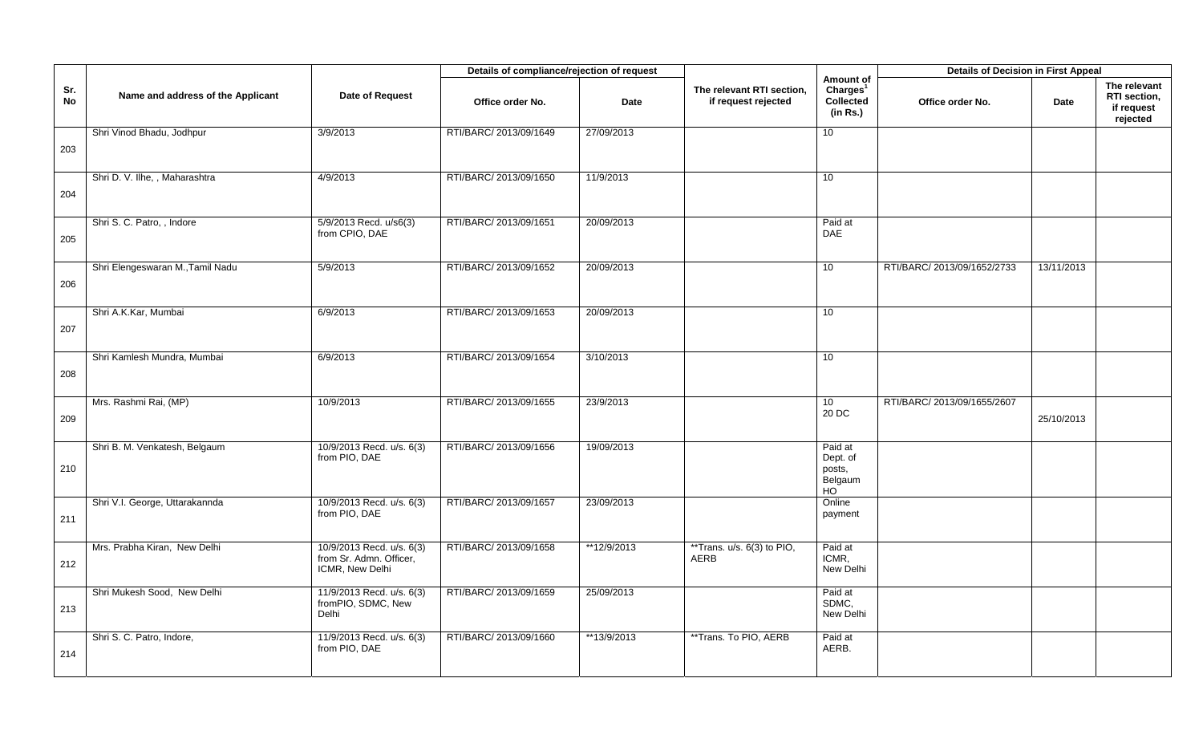|           |                                   |                                                                         | Details of compliance/rejection of request |             |                                                  |                                                            | <b>Details of Decision in First Appeal</b> |            |                                                        |
|-----------|-----------------------------------|-------------------------------------------------------------------------|--------------------------------------------|-------------|--------------------------------------------------|------------------------------------------------------------|--------------------------------------------|------------|--------------------------------------------------------|
| Sr.<br>No | Name and address of the Applicant | Date of Request                                                         | Office order No.                           | <b>Date</b> | The relevant RTI section,<br>if request rejected | Amount of<br>Charles <sup>1</sup><br>Collected<br>(in Rs.) | Office order No.                           | Date       | The relevant<br>RTI section,<br>if request<br>rejected |
| 203       | Shri Vinod Bhadu, Jodhpur         | 3/9/2013                                                                | RTI/BARC/ 2013/09/1649                     | 27/09/2013  |                                                  | 10 <sub>1</sub>                                            |                                            |            |                                                        |
| 204       | Shri D. V. Ilhe, , Maharashtra    | 4/9/2013                                                                | RTI/BARC/ 2013/09/1650                     | 11/9/2013   |                                                  | 10                                                         |                                            |            |                                                        |
| 205       | Shri S. C. Patro, , Indore        | 5/9/2013 Recd. u/s6(3)<br>from CPIO, DAE                                | RTI/BARC/ 2013/09/1651                     | 20/09/2013  |                                                  | Paid at<br><b>DAE</b>                                      |                                            |            |                                                        |
| 206       | Shri Elengeswaran M., Tamil Nadu  | 5/9/2013                                                                | RTI/BARC/ 2013/09/1652                     | 20/09/2013  |                                                  | 10                                                         | RTI/BARC/ 2013/09/1652/2733                | 13/11/2013 |                                                        |
| 207       | Shri A.K.Kar, Mumbai              | 6/9/2013                                                                | RTI/BARC/ 2013/09/1653                     | 20/09/2013  |                                                  | 10                                                         |                                            |            |                                                        |
| 208       | Shri Kamlesh Mundra, Mumbai       | 6/9/2013                                                                | RTI/BARC/ 2013/09/1654                     | 3/10/2013   |                                                  | 10                                                         |                                            |            |                                                        |
| 209       | Mrs. Rashmi Rai, (MP)             | 10/9/2013                                                               | RTI/BARC/ 2013/09/1655                     | 23/9/2013   |                                                  | 10 <sup>1</sup><br>20 DC                                   | RTI/BARC/ 2013/09/1655/2607                | 25/10/2013 |                                                        |
| 210       | Shri B. M. Venkatesh, Belgaum     | 10/9/2013 Recd. u/s. 6(3)<br>from PIO, DAE                              | RTI/BARC/ 2013/09/1656                     | 19/09/2013  |                                                  | Paid at<br>Dept. of<br>posts,<br>Belgaum<br>HO             |                                            |            |                                                        |
| 211       | Shri V.I. George, Uttarakannda    | 10/9/2013 Recd. u/s. 6(3)<br>from PIO, DAE                              | RTI/BARC/ 2013/09/1657                     | 23/09/2013  |                                                  | Online<br>payment                                          |                                            |            |                                                        |
| 212       | Mrs. Prabha Kiran, New Delhi      | 10/9/2013 Recd. u/s. 6(3)<br>from Sr. Admn. Officer,<br>ICMR, New Delhi | RTI/BARC/ 2013/09/1658                     | **12/9/2013 | **Trans. u/s. 6(3) to PIO,<br><b>AERB</b>        | Paid at<br>ICMR.<br>New Delhi                              |                                            |            |                                                        |
| 213       | Shri Mukesh Sood, New Delhi       | 11/9/2013 Recd. u/s. 6(3)<br>fromPIO, SDMC, New<br>Delhi                | RTI/BARC/ 2013/09/1659                     | 25/09/2013  |                                                  | Paid at<br>SDMC,<br>New Delhi                              |                                            |            |                                                        |
| 214       | Shri S. C. Patro, Indore,         | 11/9/2013 Recd. u/s. 6(3)<br>from PIO, DAE                              | RTI/BARC/ 2013/09/1660                     | **13/9/2013 | **Trans. To PIO, AERB                            | Paid at<br>AERB.                                           |                                            |            |                                                        |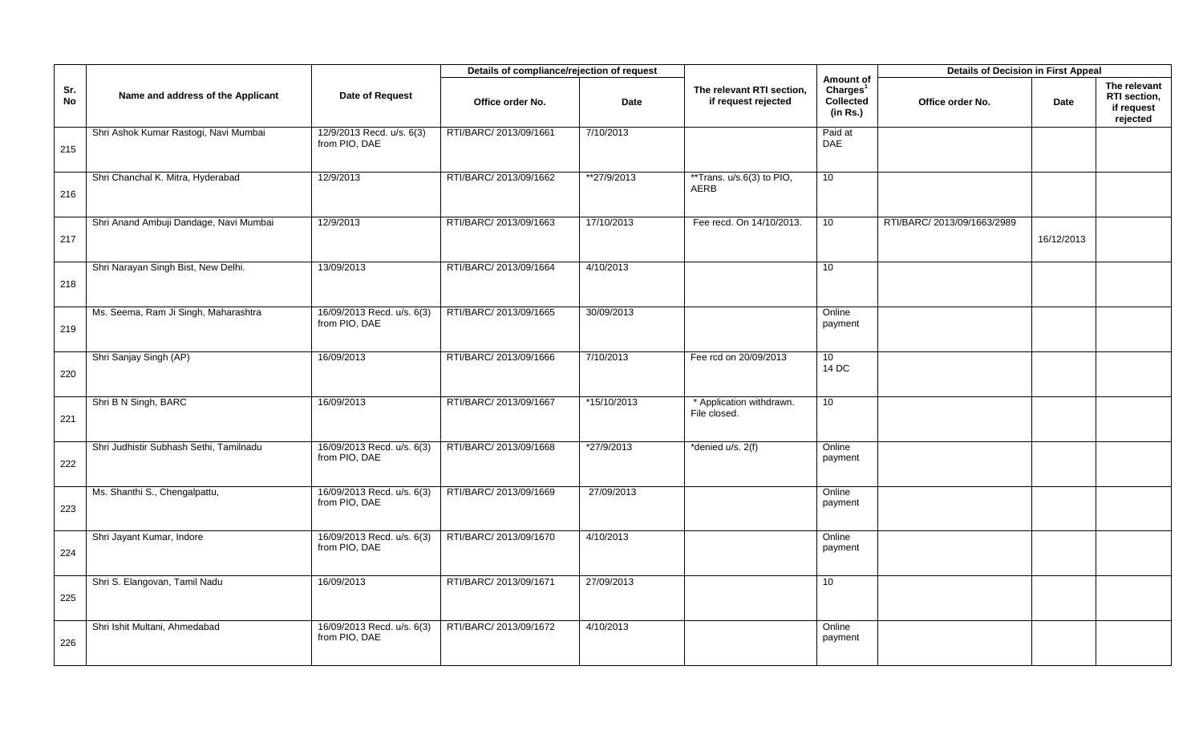|           |                                         |                                             | Details of compliance/rejection of request |             |                                                  |                                                            | <b>Details of Decision in First Appeal</b> |            |                                                        |
|-----------|-----------------------------------------|---------------------------------------------|--------------------------------------------|-------------|--------------------------------------------------|------------------------------------------------------------|--------------------------------------------|------------|--------------------------------------------------------|
| Sr.<br>No | Name and address of the Applicant       | Date of Request                             | Office order No.                           | <b>Date</b> | The relevant RTI section,<br>if request rejected | Amount of<br>Charles <sup>1</sup><br>Collected<br>(in Rs.) | Office order No.                           | Date       | The relevant<br>RTI section,<br>if request<br>rejected |
| 215       | Shri Ashok Kumar Rastogi, Navi Mumbai   | 12/9/2013 Recd. u/s. 6(3)<br>from PIO, DAE  | RTI/BARC/ 2013/09/1661                     | 7/10/2013   |                                                  | Paid at<br>DAE                                             |                                            |            |                                                        |
| 216       | Shri Chanchal K. Mitra, Hyderabad       | 12/9/2013                                   | RTI/BARC/ 2013/09/1662                     | **27/9/2013 | **Trans. u/s.6(3) to PIO,<br><b>AERB</b>         | 10                                                         |                                            |            |                                                        |
| 217       | Shri Anand Ambuji Dandage, Navi Mumbai  | 12/9/2013                                   | RTI/BARC/ 2013/09/1663                     | 17/10/2013  | Fee recd. On 14/10/2013.                         | 10                                                         | RTI/BARC/ 2013/09/1663/2989                | 16/12/2013 |                                                        |
| 218       | Shri Narayan Singh Bist, New Delhi.     | 13/09/2013                                  | RTI/BARC/ 2013/09/1664                     | 4/10/2013   |                                                  | 10 <sup>1</sup>                                            |                                            |            |                                                        |
| 219       | Ms. Seema, Ram Ji Singh, Maharashtra    | 16/09/2013 Recd. u/s. 6(3)<br>from PIO, DAE | RTI/BARC/ 2013/09/1665                     | 30/09/2013  |                                                  | Online<br>payment                                          |                                            |            |                                                        |
| 220       | Shri Sanjay Singh (AP)                  | 16/09/2013                                  | RTI/BARC/ 2013/09/1666                     | 7/10/2013   | Fee rcd on 20/09/2013                            | 10 <sup>°</sup><br>14 DC                                   |                                            |            |                                                        |
| 221       | Shri B N Singh, BARC                    | 16/09/2013                                  | RTI/BARC/ 2013/09/1667                     | *15/10/2013 | * Application withdrawn.<br>File closed.         | 10 <sup>°</sup>                                            |                                            |            |                                                        |
| 222       | Shri Judhistir Subhash Sethi, Tamilnadu | 16/09/2013 Recd. u/s. 6(3)<br>from PIO, DAE | RTI/BARC/ 2013/09/1668                     | *27/9/2013  | *denied u/s. 2(f)                                | Online<br>payment                                          |                                            |            |                                                        |
| 223       | Ms. Shanthi S., Chengalpattu,           | 16/09/2013 Recd. u/s. 6(3)<br>from PIO, DAE | RTI/BARC/ 2013/09/1669                     | 27/09/2013  |                                                  | Online<br>payment                                          |                                            |            |                                                        |
| 224       | Shri Jayant Kumar, Indore               | 16/09/2013 Recd. u/s. 6(3)<br>from PIO, DAE | RTI/BARC/ 2013/09/1670                     | 4/10/2013   |                                                  | Online<br>payment                                          |                                            |            |                                                        |
| 225       | Shri S. Elangovan, Tamil Nadu           | 16/09/2013                                  | RTI/BARC/ 2013/09/1671                     | 27/09/2013  |                                                  | 10                                                         |                                            |            |                                                        |
| 226       | Shri Ishit Multani, Ahmedabad           | 16/09/2013 Recd. u/s. 6(3)<br>from PIO, DAE | RTI/BARC/ 2013/09/1672                     | 4/10/2013   |                                                  | Online<br>payment                                          |                                            |            |                                                        |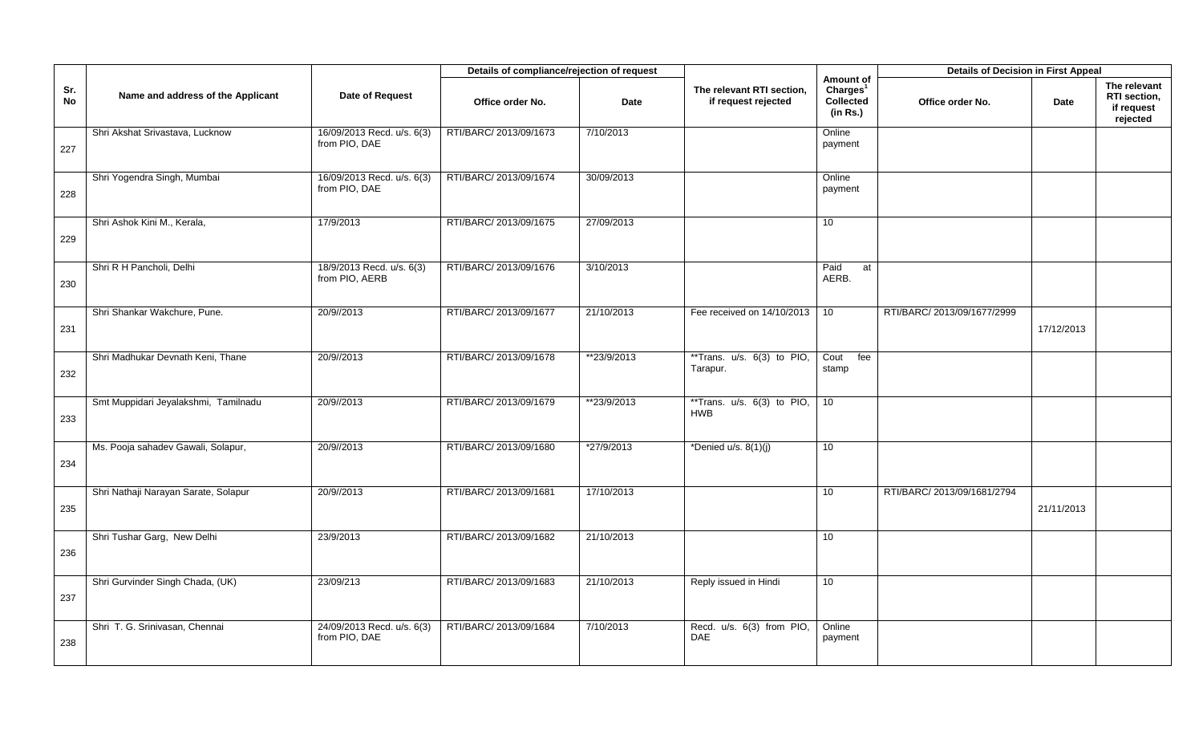|           |                                      |                                             | Details of compliance/rejection of request |             |                                                  |                                                                   | <b>Details of Decision in First Appeal</b> |            |                                                        |
|-----------|--------------------------------------|---------------------------------------------|--------------------------------------------|-------------|--------------------------------------------------|-------------------------------------------------------------------|--------------------------------------------|------------|--------------------------------------------------------|
| Sr.<br>No | Name and address of the Applicant    | Date of Request                             | Office order No.                           | <b>Date</b> | The relevant RTI section,<br>if request rejected | Amount of<br>Charles <sup>1</sup><br><b>Collected</b><br>(in Rs.) | Office order No.                           | Date       | The relevant<br>RTI section,<br>if request<br>rejected |
| 227       | Shri Akshat Srivastava, Lucknow      | 16/09/2013 Recd. u/s. 6(3)<br>from PIO, DAE | RTI/BARC/ 2013/09/1673                     | 7/10/2013   |                                                  | Online<br>payment                                                 |                                            |            |                                                        |
| 228       | Shri Yogendra Singh, Mumbai          | 16/09/2013 Recd. u/s. 6(3)<br>from PIO, DAE | RTI/BARC/ 2013/09/1674                     | 30/09/2013  |                                                  | Online<br>payment                                                 |                                            |            |                                                        |
| 229       | Shri Ashok Kini M., Kerala,          | 17/9/2013                                   | RTI/BARC/ 2013/09/1675                     | 27/09/2013  |                                                  | 10                                                                |                                            |            |                                                        |
| 230       | Shri R H Pancholi, Delhi             | 18/9/2013 Recd. u/s. 6(3)<br>from PIO, AERB | RTI/BARC/ 2013/09/1676                     | 3/10/2013   |                                                  | Paid<br>at<br>AERB.                                               |                                            |            |                                                        |
| 231       | Shri Shankar Wakchure, Pune.         | 20/9//2013                                  | RTI/BARC/ 2013/09/1677                     | 21/10/2013  | Fee received on 14/10/2013                       | 10                                                                | RTI/BARC/ 2013/09/1677/2999                | 17/12/2013 |                                                        |
| 232       | Shri Madhukar Devnath Keni, Thane    | 20/9//2013                                  | RTI/BARC/ 2013/09/1678                     | **23/9/2013 | **Trans. u/s. 6(3) to PIO,<br>Tarapur.           | Cout<br>fee<br>stamp                                              |                                            |            |                                                        |
| 233       | Smt Muppidari Jeyalakshmi, Tamilnadu | 20/9//2013                                  | RTI/BARC/ 2013/09/1679                     | **23/9/2013 | **Trans. $u/s. 6(3)$ to PIO,<br><b>HWB</b>       | 10                                                                |                                            |            |                                                        |
| 234       | Ms. Pooja sahadev Gawali, Solapur,   | 20/9//2013                                  | RTI/BARC/ 2013/09/1680                     | *27/9/2013  | *Denied u/s. $8(1)(j)$                           | 10                                                                |                                            |            |                                                        |
| 235       | Shri Nathaji Narayan Sarate, Solapur | 20/9//2013                                  | RTI/BARC/ 2013/09/1681                     | 17/10/2013  |                                                  | 10                                                                | RTI/BARC/ 2013/09/1681/2794                | 21/11/2013 |                                                        |
| 236       | Shri Tushar Garg, New Delhi          | 23/9/2013                                   | RTI/BARC/ 2013/09/1682                     | 21/10/2013  |                                                  | 10                                                                |                                            |            |                                                        |
| 237       | Shri Gurvinder Singh Chada, (UK)     | 23/09/213                                   | RTI/BARC/ 2013/09/1683                     | 21/10/2013  | Reply issued in Hindi                            | 10                                                                |                                            |            |                                                        |
| 238       | Shri T. G. Srinivasan, Chennai       | 24/09/2013 Recd. u/s. 6(3)<br>from PIO, DAE | RTI/BARC/ 2013/09/1684                     | 7/10/2013   | Recd. u/s. 6(3) from PIO,<br><b>DAE</b>          | Online<br>payment                                                 |                                            |            |                                                        |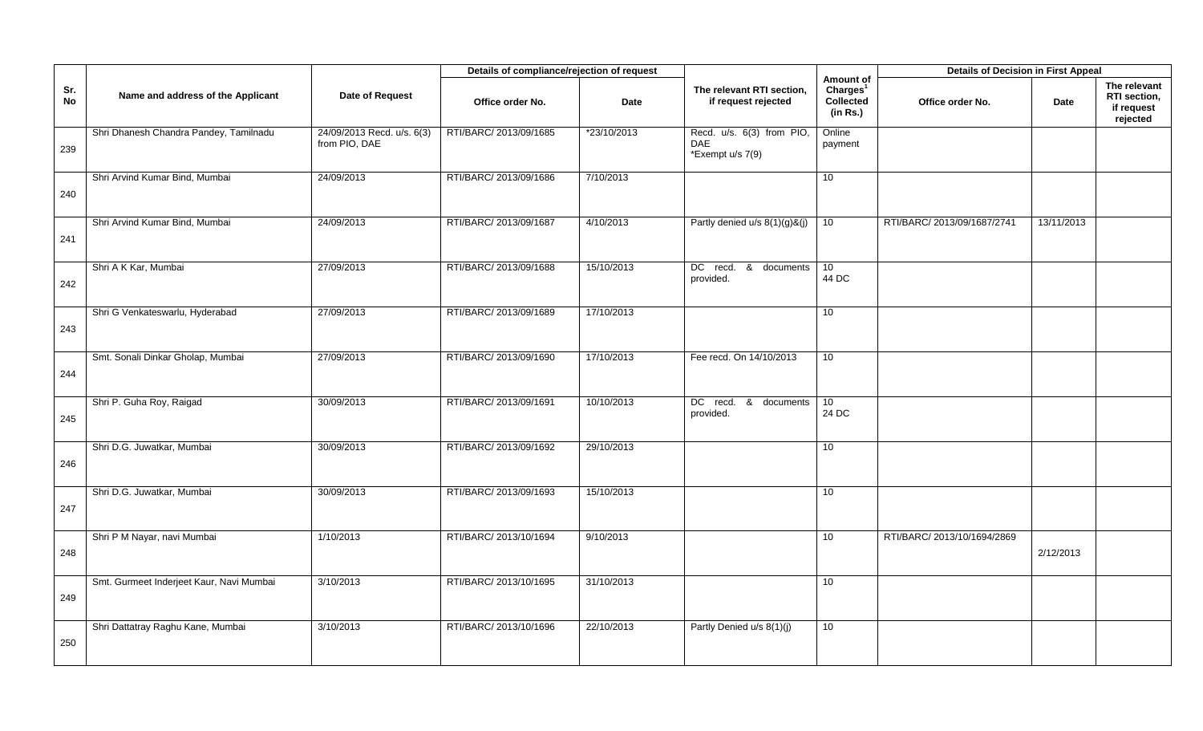|           |                                          |                                             | Details of compliance/rejection of request |             |                                                      |                                                                   | <b>Details of Decision in First Appeal</b> |            |                                                        |
|-----------|------------------------------------------|---------------------------------------------|--------------------------------------------|-------------|------------------------------------------------------|-------------------------------------------------------------------|--------------------------------------------|------------|--------------------------------------------------------|
| Sr.<br>No | Name and address of the Applicant        | Date of Request                             | Office order No.                           | Date        | The relevant RTI section,<br>if request rejected     | Amount of<br>Charges <sup>1</sup><br><b>Collected</b><br>(in Rs.) | Office order No.                           | Date       | The relevant<br>RTI section,<br>if request<br>rejected |
| 239       | Shri Dhanesh Chandra Pandey, Tamilnadu   | 24/09/2013 Recd. u/s. 6(3)<br>from PIO, DAE | RTI/BARC/ 2013/09/1685                     | *23/10/2013 | Recd. u/s. 6(3) from PIO,<br>DAE<br>*Exempt u/s 7(9) | Online<br>payment                                                 |                                            |            |                                                        |
| 240       | Shri Arvind Kumar Bind, Mumbai           | 24/09/2013                                  | RTI/BARC/ 2013/09/1686                     | 7/10/2013   |                                                      | 10                                                                |                                            |            |                                                        |
| 241       | Shri Arvind Kumar Bind, Mumbai           | 24/09/2013                                  | RTI/BARC/ 2013/09/1687                     | 4/10/2013   | Partly denied u/s 8(1)(g)&(j)                        | 10                                                                | RTI/BARC/ 2013/09/1687/2741                | 13/11/2013 |                                                        |
| 242       | Shri A K Kar, Mumbai                     | 27/09/2013                                  | RTI/BARC/ 2013/09/1688                     | 15/10/2013  | DC recd. & documents<br>provided.                    | 10<br>44 DC                                                       |                                            |            |                                                        |
| 243       | Shri G Venkateswarlu, Hyderabad          | 27/09/2013                                  | RTI/BARC/ 2013/09/1689                     | 17/10/2013  |                                                      | 10                                                                |                                            |            |                                                        |
| 244       | Smt. Sonali Dinkar Gholap, Mumbai        | 27/09/2013                                  | RTI/BARC/ 2013/09/1690                     | 17/10/2013  | Fee recd. On 14/10/2013                              | 10 <sup>°</sup>                                                   |                                            |            |                                                        |
| 245       | Shri P. Guha Roy, Raigad                 | 30/09/2013                                  | RTI/BARC/ 2013/09/1691                     | 10/10/2013  | DC recd.<br>- &<br>documents<br>provided.            | 10 <sup>1</sup><br>24 DC                                          |                                            |            |                                                        |
| 246       | Shri D.G. Juwatkar, Mumbai               | 30/09/2013                                  | RTI/BARC/ 2013/09/1692                     | 29/10/2013  |                                                      | 10                                                                |                                            |            |                                                        |
| 247       | Shri D.G. Juwatkar, Mumbai               | 30/09/2013                                  | RTI/BARC/ 2013/09/1693                     | 15/10/2013  |                                                      | 10                                                                |                                            |            |                                                        |
| 248       | Shri P M Nayar, navi Mumbai              | 1/10/2013                                   | RTI/BARC/ 2013/10/1694                     | 9/10/2013   |                                                      | 10                                                                | RTI/BARC/ 2013/10/1694/2869                | 2/12/2013  |                                                        |
| 249       | Smt. Gurmeet Inderjeet Kaur, Navi Mumbai | 3/10/2013                                   | RTI/BARC/ 2013/10/1695                     | 31/10/2013  |                                                      | 10                                                                |                                            |            |                                                        |
| 250       | Shri Dattatray Raghu Kane, Mumbai        | 3/10/2013                                   | RTI/BARC/ 2013/10/1696                     | 22/10/2013  | Partly Denied u/s 8(1)(j)                            | 10                                                                |                                            |            |                                                        |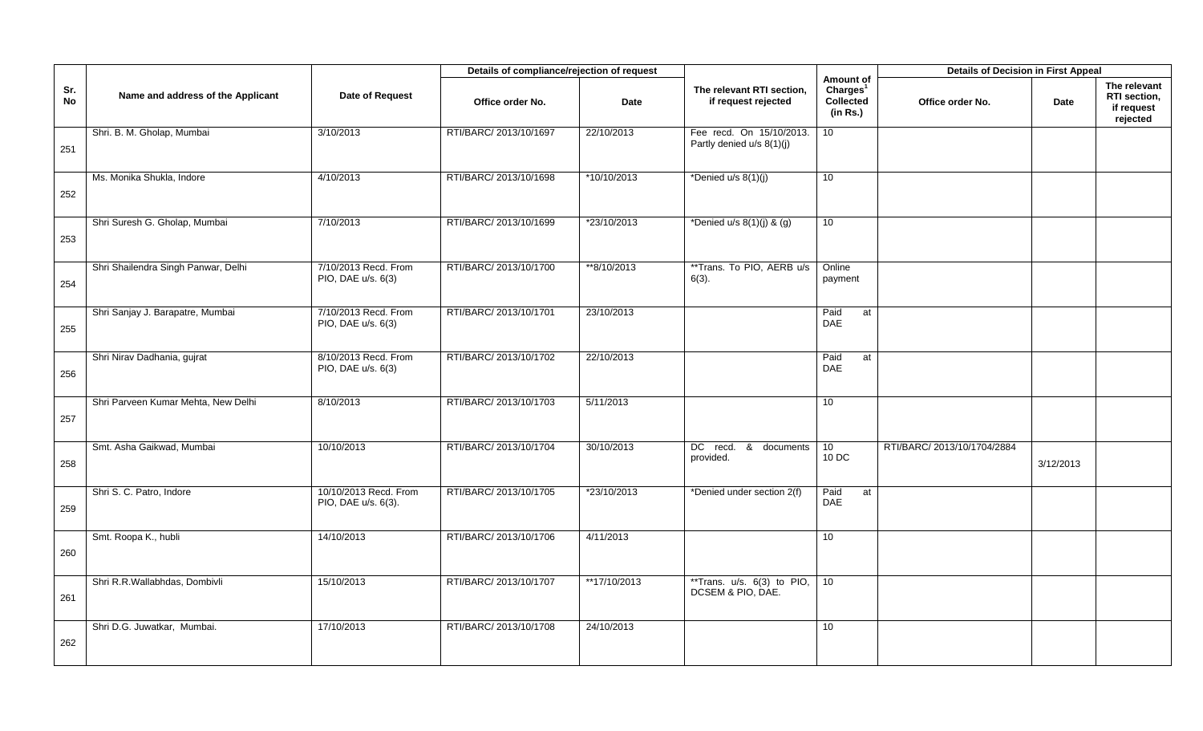|                  |                                     |                                              | Details of compliance/rejection of request |              |                                                       |                                                            | <b>Details of Decision in First Appeal</b> |           |                                                        |
|------------------|-------------------------------------|----------------------------------------------|--------------------------------------------|--------------|-------------------------------------------------------|------------------------------------------------------------|--------------------------------------------|-----------|--------------------------------------------------------|
| Sr.<br><b>No</b> | Name and address of the Applicant   | Date of Request                              | Office order No.                           | <b>Date</b>  | The relevant RTI section,<br>if request rejected      | Amount of<br>Charles <sup>1</sup><br>Collected<br>(in Rs.) | Office order No.                           | Date      | The relevant<br>RTI section,<br>if request<br>rejected |
| 251              | Shri. B. M. Gholap, Mumbai          | 3/10/2013                                    | RTI/BARC/ 2013/10/1697                     | 22/10/2013   | Fee recd. On 15/10/2013.<br>Partly denied u/s 8(1)(j) | 10 <sup>1</sup>                                            |                                            |           |                                                        |
| 252              | Ms. Monika Shukla, Indore           | 4/10/2013                                    | RTI/BARC/ 2013/10/1698                     | *10/10/2013  | *Denied u/s 8(1)(j)                                   | 10                                                         |                                            |           |                                                        |
| 253              | Shri Suresh G. Gholap, Mumbai       | 7/10/2013                                    | RTI/BARC/ 2013/10/1699                     | *23/10/2013  | *Denied u/s $8(1)(j)$ & $(g)$                         | 10                                                         |                                            |           |                                                        |
| 254              | Shri Shailendra Singh Panwar, Delhi | 7/10/2013 Recd. From<br>PIO, DAE u/s. 6(3)   | RTI/BARC/ 2013/10/1700                     | **8/10/2013  | **Trans. To PIO, AERB u/s<br>$6(3)$ .                 | Online<br>payment                                          |                                            |           |                                                        |
| 255              | Shri Sanjay J. Barapatre, Mumbai    | 7/10/2013 Recd. From<br>PIO, DAE u/s. 6(3)   | RTI/BARC/ 2013/10/1701                     | 23/10/2013   |                                                       | Paid<br>at<br>DAE                                          |                                            |           |                                                        |
| 256              | Shri Nirav Dadhania, gujrat         | 8/10/2013 Recd. From<br>PIO, DAE u/s. 6(3)   | RTI/BARC/ 2013/10/1702                     | 22/10/2013   |                                                       | Paid<br>at<br><b>DAE</b>                                   |                                            |           |                                                        |
| 257              | Shri Parveen Kumar Mehta, New Delhi | 8/10/2013                                    | RTI/BARC/ 2013/10/1703                     | 5/11/2013    |                                                       | 10                                                         |                                            |           |                                                        |
| 258              | Smt. Asha Gaikwad, Mumbai           | 10/10/2013                                   | RTI/BARC/ 2013/10/1704                     | 30/10/2013   | DC recd.<br><u>&amp;</u><br>documents<br>provided.    | 10 <sup>°</sup><br>10 DC                                   | RTI/BARC/ 2013/10/1704/2884                | 3/12/2013 |                                                        |
| 259              | Shri S. C. Patro, Indore            | 10/10/2013 Recd. From<br>PIO, DAE u/s. 6(3). | RTI/BARC/ 2013/10/1705                     | *23/10/2013  | *Denied under section 2(f)                            | Paid<br>at<br><b>DAE</b>                                   |                                            |           |                                                        |
| 260              | Smt. Roopa K., hubli                | 14/10/2013                                   | RTI/BARC/ 2013/10/1706                     | 4/11/2013    |                                                       | 10                                                         |                                            |           |                                                        |
| 261              | Shri R.R.Wallabhdas, Dombivli       | 15/10/2013                                   | RTI/BARC/ 2013/10/1707                     | **17/10/2013 | **Trans. $u/s. 6(3)$ to PIO,<br>DCSEM & PIO, DAE.     | 10 <sup>°</sup>                                            |                                            |           |                                                        |
| 262              | Shri D.G. Juwatkar, Mumbai.         | 17/10/2013                                   | RTI/BARC/ 2013/10/1708                     | 24/10/2013   |                                                       | 10                                                         |                                            |           |                                                        |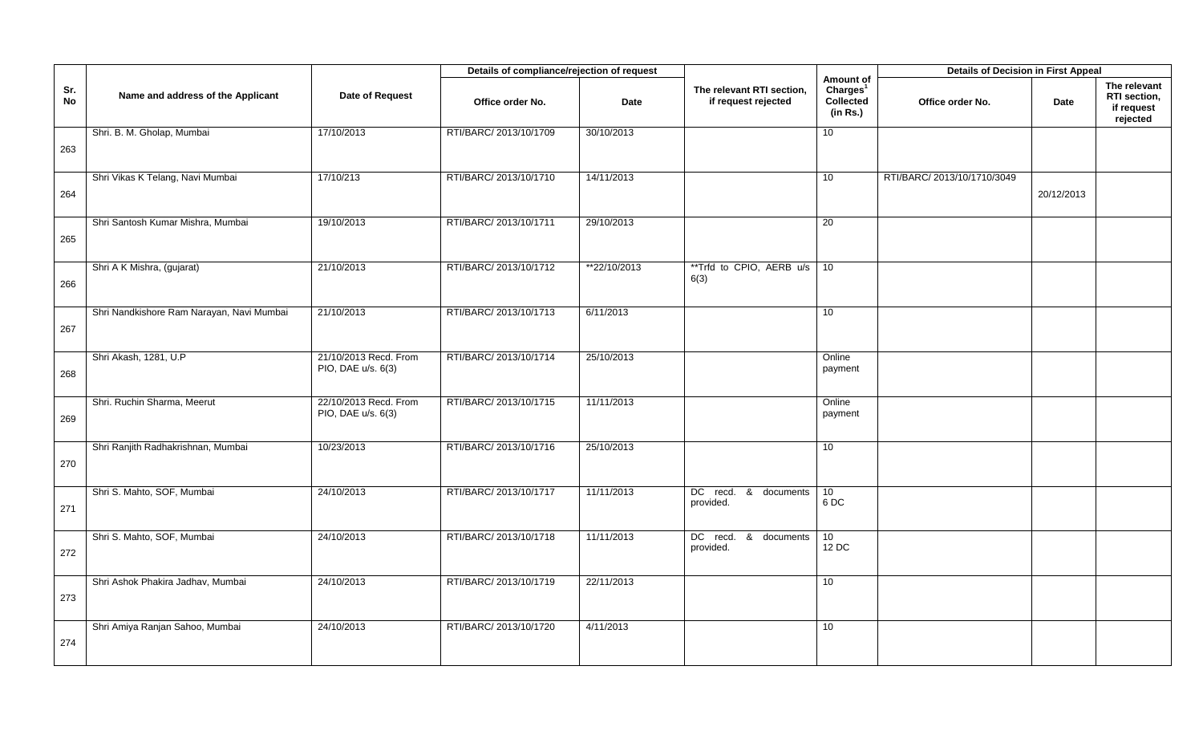|           |                                           |                                             | Details of compliance/rejection of request |              |                                                  |                                                            | <b>Details of Decision in First Appeal</b> |            |                                                        |
|-----------|-------------------------------------------|---------------------------------------------|--------------------------------------------|--------------|--------------------------------------------------|------------------------------------------------------------|--------------------------------------------|------------|--------------------------------------------------------|
| Sr.<br>No | Name and address of the Applicant         | Date of Request                             | Office order No.                           | <b>Date</b>  | The relevant RTI section,<br>if request rejected | Amount of<br>Charles <sup>1</sup><br>Collected<br>(in Rs.) | Office order No.                           | Date       | The relevant<br>RTI section,<br>if request<br>rejected |
| 263       | Shri. B. M. Gholap, Mumbai                | 17/10/2013                                  | RTI/BARC/ 2013/10/1709                     | 30/10/2013   |                                                  | 10                                                         |                                            |            |                                                        |
| 264       | Shri Vikas K Telang, Navi Mumbai          | 17/10/213                                   | RTI/BARC/ 2013/10/1710                     | 14/11/2013   |                                                  | 10                                                         | RTI/BARC/ 2013/10/1710/3049                | 20/12/2013 |                                                        |
| 265       | Shri Santosh Kumar Mishra, Mumbai         | 19/10/2013                                  | RTI/BARC/ 2013/10/1711                     | 29/10/2013   |                                                  | 20                                                         |                                            |            |                                                        |
| 266       | Shri A K Mishra, (gujarat)                | 21/10/2013                                  | RTI/BARC/ 2013/10/1712                     | **22/10/2013 | **Trfd to CPIO, AERB u/s 10<br>6(3)              |                                                            |                                            |            |                                                        |
| 267       | Shri Nandkishore Ram Narayan, Navi Mumbai | 21/10/2013                                  | RTI/BARC/ 2013/10/1713                     | 6/11/2013    |                                                  | 10 <sup>1</sup>                                            |                                            |            |                                                        |
| 268       | Shri Akash, 1281, U.P                     | 21/10/2013 Recd. From<br>PIO, DAE u/s. 6(3) | RTI/BARC/ 2013/10/1714                     | 25/10/2013   |                                                  | Online<br>payment                                          |                                            |            |                                                        |
| 269       | Shri. Ruchin Sharma, Meerut               | 22/10/2013 Recd. From<br>PIO, DAE u/s. 6(3) | RTI/BARC/ 2013/10/1715                     | 11/11/2013   |                                                  | Online<br>payment                                          |                                            |            |                                                        |
| 270       | Shri Ranjith Radhakrishnan, Mumbai        | 10/23/2013                                  | RTI/BARC/ 2013/10/1716                     | 25/10/2013   |                                                  | 10                                                         |                                            |            |                                                        |
| 271       | Shri S. Mahto, SOF, Mumbai                | 24/10/2013                                  | RTI/BARC/ 2013/10/1717                     | 11/11/2013   | DC recd. & documents<br>provided.                | 10<br>6DC                                                  |                                            |            |                                                        |
| 272       | Shri S. Mahto, SOF, Mumbai                | 24/10/2013                                  | RTI/BARC/ 2013/10/1718                     | 11/11/2013   | DC recd.<br>& documents<br>provided.             | 10<br>12 DC                                                |                                            |            |                                                        |
| 273       | Shri Ashok Phakira Jadhav, Mumbai         | 24/10/2013                                  | RTI/BARC/ 2013/10/1719                     | 22/11/2013   |                                                  | 10                                                         |                                            |            |                                                        |
| 274       | Shri Amiya Ranjan Sahoo, Mumbai           | 24/10/2013                                  | RTI/BARC/ 2013/10/1720                     | 4/11/2013    |                                                  | 10 <sup>1</sup>                                            |                                            |            |                                                        |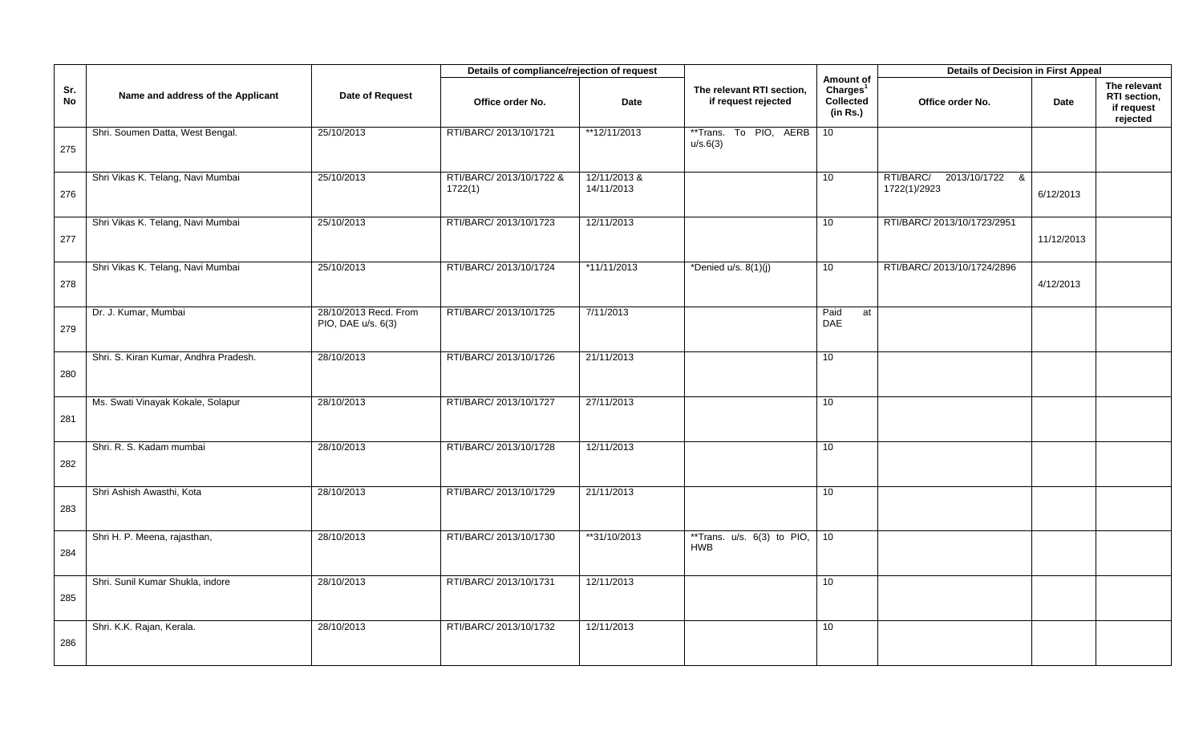|           |                                       |                                             | Details of compliance/rejection of request |                            |                                                  |                                                            | <b>Details of Decision in First Appeal</b>       |            |                                                        |
|-----------|---------------------------------------|---------------------------------------------|--------------------------------------------|----------------------------|--------------------------------------------------|------------------------------------------------------------|--------------------------------------------------|------------|--------------------------------------------------------|
| Sr.<br>No | Name and address of the Applicant     | Date of Request                             | Office order No.                           | <b>Date</b>                | The relevant RTI section,<br>if request rejected | Amount of<br>Charges <sup>1</sup><br>Collected<br>(in Rs.) | Office order No.                                 | Date       | The relevant<br>RTI section,<br>if request<br>rejected |
| 275       | Shri. Soumen Datta, West Bengal.      | 25/10/2013                                  | RTI/BARC/ 2013/10/1721                     | **12/11/2013               | **Trans.<br>To PIO, AERB<br>u/s.6(3)             | 10 <sup>1</sup>                                            |                                                  |            |                                                        |
| 276       | Shri Vikas K. Telang, Navi Mumbai     | 25/10/2013                                  | RTI/BARC/ 2013/10/1722 &<br>1722(1)        | 12/11/2013 &<br>14/11/2013 |                                                  | 10                                                         | RTI/BARC/<br>2013/10/1722<br>- &<br>1722(1)/2923 | 6/12/2013  |                                                        |
| 277       | Shri Vikas K. Telang, Navi Mumbai     | 25/10/2013                                  | RTI/BARC/ 2013/10/1723                     | 12/11/2013                 |                                                  | 10                                                         | RTI/BARC/ 2013/10/1723/2951                      | 11/12/2013 |                                                        |
| 278       | Shri Vikas K. Telang, Navi Mumbai     | 25/10/2013                                  | RTI/BARC/ 2013/10/1724                     | $*11/11/2013$              | *Denied u/s. $8(1)(j)$                           | 10                                                         | RTI/BARC/ 2013/10/1724/2896                      | 4/12/2013  |                                                        |
| 279       | Dr. J. Kumar, Mumbai                  | 28/10/2013 Recd. From<br>PIO, DAE u/s. 6(3) | RTI/BARC/ 2013/10/1725                     | 7/11/2013                  |                                                  | Paid<br>at<br>DAE                                          |                                                  |            |                                                        |
| 280       | Shri. S. Kiran Kumar, Andhra Pradesh. | 28/10/2013                                  | RTI/BARC/ 2013/10/1726                     | 21/11/2013                 |                                                  | 10                                                         |                                                  |            |                                                        |
| 281       | Ms. Swati Vinayak Kokale, Solapur     | 28/10/2013                                  | RTI/BARC/ 2013/10/1727                     | 27/11/2013                 |                                                  | 10                                                         |                                                  |            |                                                        |
| 282       | Shri. R. S. Kadam mumbai              | 28/10/2013                                  | RTI/BARC/ 2013/10/1728                     | 12/11/2013                 |                                                  | 10                                                         |                                                  |            |                                                        |
| 283       | Shri Ashish Awasthi, Kota             | 28/10/2013                                  | RTI/BARC/ 2013/10/1729                     | 21/11/2013                 |                                                  | 10                                                         |                                                  |            |                                                        |
| 284       | Shri H. P. Meena, rajasthan,          | 28/10/2013                                  | RTI/BARC/ 2013/10/1730                     | **31/10/2013               | **Trans. $u/s. 6(3)$ to PIO,<br><b>HWB</b>       | 10                                                         |                                                  |            |                                                        |
| 285       | Shri. Sunil Kumar Shukla, indore      | 28/10/2013                                  | RTI/BARC/ 2013/10/1731                     | 12/11/2013                 |                                                  | 10                                                         |                                                  |            |                                                        |
| 286       | Shri. K.K. Rajan, Kerala.             | 28/10/2013                                  | RTI/BARC/ 2013/10/1732                     | 12/11/2013                 |                                                  | 10                                                         |                                                  |            |                                                        |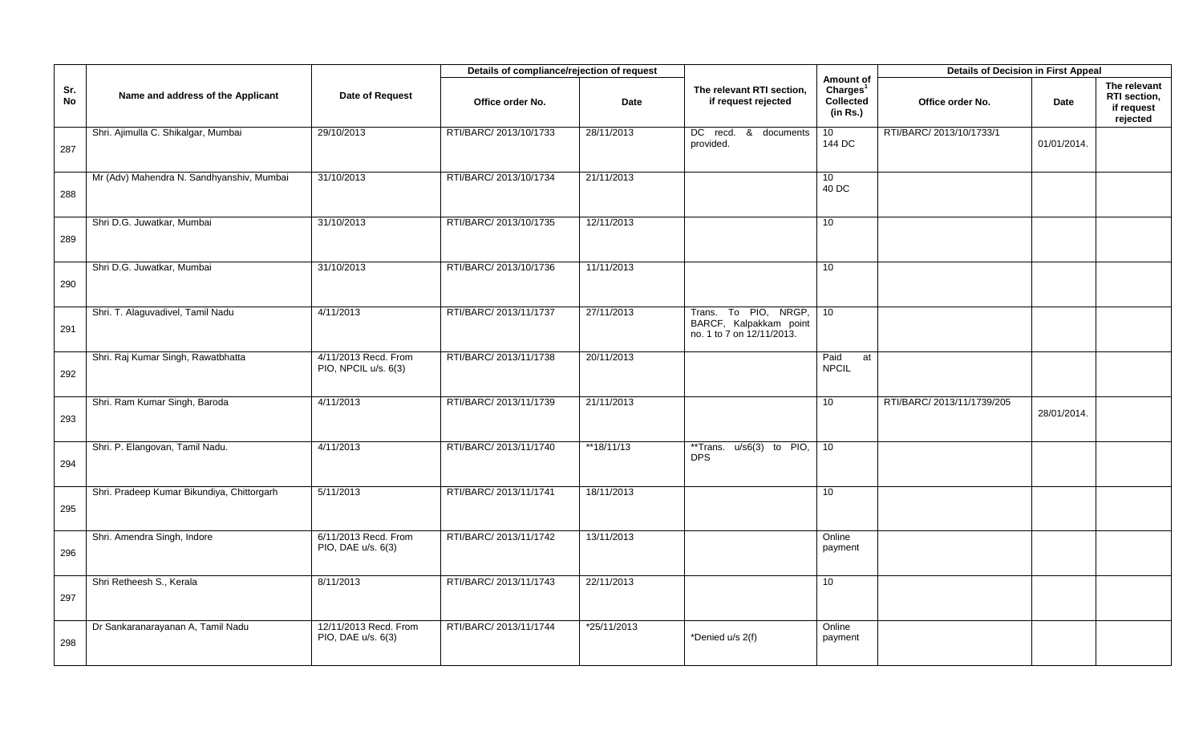|           |                                            |                                              | Details of compliance/rejection of request |             |                                                                             |                                                            | <b>Details of Decision in First Appeal</b> |             |                                                        |
|-----------|--------------------------------------------|----------------------------------------------|--------------------------------------------|-------------|-----------------------------------------------------------------------------|------------------------------------------------------------|--------------------------------------------|-------------|--------------------------------------------------------|
| Sr.<br>No | Name and address of the Applicant          | Date of Request                              | Office order No.                           | <b>Date</b> | The relevant RTI section,<br>if request rejected                            | Amount of<br>Charles <sup>1</sup><br>Collected<br>(in Rs.) | Office order No.                           | Date        | The relevant<br>RTI section,<br>if request<br>rejected |
| 287       | Shri. Ajimulla C. Shikalgar, Mumbai        | 29/10/2013                                   | RTI/BARC/ 2013/10/1733                     | 28/11/2013  | DC recd.<br>&<br>documents<br>provided.                                     | 10<br>144 DC                                               | RTI/BARC/ 2013/10/1733/1                   | 01/01/2014. |                                                        |
| 288       | Mr (Adv) Mahendra N. Sandhyanshiv, Mumbai  | 31/10/2013                                   | RTI/BARC/ 2013/10/1734                     | 21/11/2013  |                                                                             | 10<br>40 DC                                                |                                            |             |                                                        |
| 289       | Shri D.G. Juwatkar, Mumbai                 | 31/10/2013                                   | RTI/BARC/ 2013/10/1735                     | 12/11/2013  |                                                                             | 10                                                         |                                            |             |                                                        |
| 290       | Shri D.G. Juwatkar, Mumbai                 | 31/10/2013                                   | RTI/BARC/ 2013/10/1736                     | 11/11/2013  |                                                                             | 10 <sup>°</sup>                                            |                                            |             |                                                        |
| 291       | Shri. T. Alaguvadivel, Tamil Nadu          | 4/11/2013                                    | RTI/BARC/ 2013/11/1737                     | 27/11/2013  | Trans. To PIO, NRGP,<br>BARCF, Kalpakkam point<br>no. 1 to 7 on 12/11/2013. | 10                                                         |                                            |             |                                                        |
| 292       | Shri. Raj Kumar Singh, Rawatbhatta         | 4/11/2013 Recd. From<br>PIO, NPCIL u/s. 6(3) | RTI/BARC/ 2013/11/1738                     | 20/11/2013  |                                                                             | Paid<br>at<br><b>NPCIL</b>                                 |                                            |             |                                                        |
| 293       | Shri. Ram Kumar Singh, Baroda              | 4/11/2013                                    | RTI/BARC/ 2013/11/1739                     | 21/11/2013  |                                                                             | 10                                                         | RTI/BARC/ 2013/11/1739/205                 | 28/01/2014. |                                                        |
| 294       | Shri. P. Elangovan, Tamil Nadu.            | 4/11/2013                                    | RTI/BARC/ 2013/11/1740                     | **18/11/13  | **Trans.<br>$u/s6(3)$ to PIO,<br><b>DPS</b>                                 | 10                                                         |                                            |             |                                                        |
| 295       | Shri. Pradeep Kumar Bikundiya, Chittorgarh | 5/11/2013                                    | RTI/BARC/ 2013/11/1741                     | 18/11/2013  |                                                                             | 10 <sup>1</sup>                                            |                                            |             |                                                        |
| 296       | Shri. Amendra Singh, Indore                | 6/11/2013 Recd. From<br>PIO, DAE u/s. 6(3)   | RTI/BARC/ 2013/11/1742                     | 13/11/2013  |                                                                             | Online<br>payment                                          |                                            |             |                                                        |
| 297       | Shri Retheesh S., Kerala                   | 8/11/2013                                    | RTI/BARC/ 2013/11/1743                     | 22/11/2013  |                                                                             | 10                                                         |                                            |             |                                                        |
| 298       | Dr Sankaranarayanan A, Tamil Nadu          | 12/11/2013 Recd. From<br>PIO, DAE u/s. 6(3)  | RTI/BARC/ 2013/11/1744                     | *25/11/2013 | *Denied u/s 2(f)                                                            | Online<br>payment                                          |                                            |             |                                                        |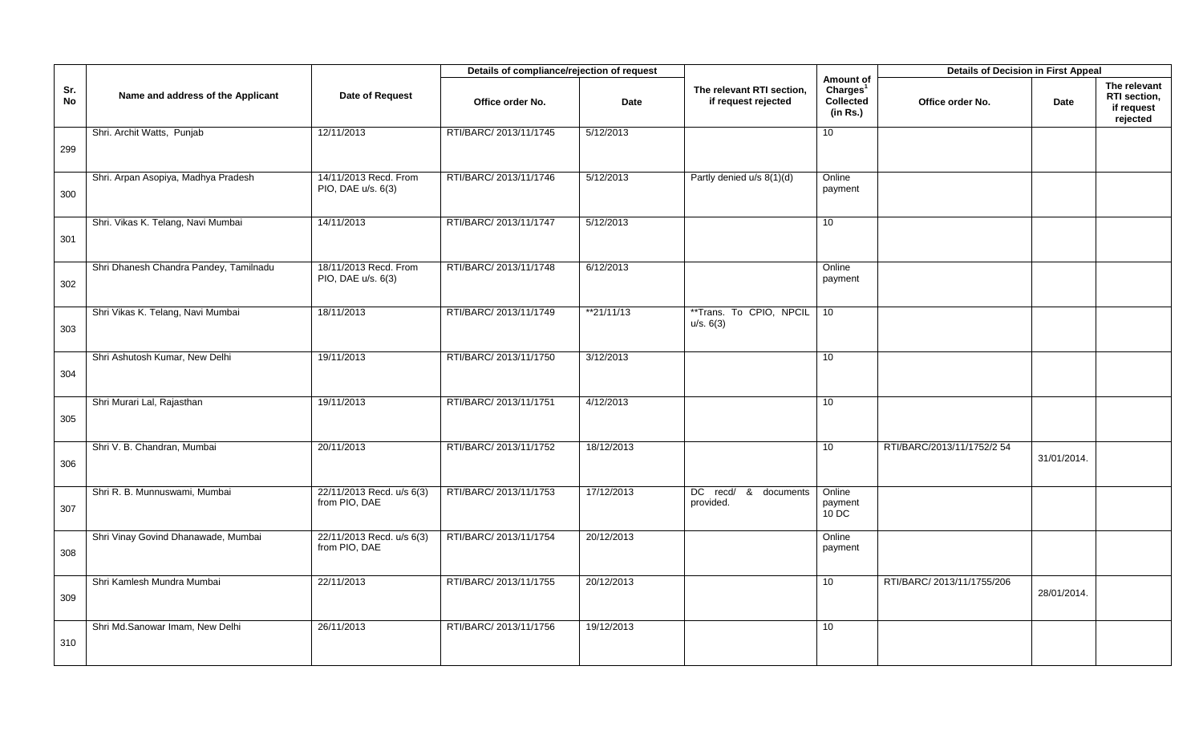|           |                                        |                                             | Details of compliance/rejection of request |             |                                                  |                                                            | <b>Details of Decision in First Appeal</b> |             |                                                        |
|-----------|----------------------------------------|---------------------------------------------|--------------------------------------------|-------------|--------------------------------------------------|------------------------------------------------------------|--------------------------------------------|-------------|--------------------------------------------------------|
| Sr.<br>No | Name and address of the Applicant      | Date of Request                             | Office order No.                           | <b>Date</b> | The relevant RTI section,<br>if request rejected | Amount of<br>Charges <sup>1</sup><br>Collected<br>(in Rs.) | Office order No.                           | Date        | The relevant<br>RTI section,<br>if request<br>rejected |
|           | Shri. Archit Watts, Punjab             | 12/11/2013                                  | RTI/BARC/ 2013/11/1745                     | 5/12/2013   |                                                  | 10                                                         |                                            |             |                                                        |
| 299       |                                        |                                             |                                            |             |                                                  |                                                            |                                            |             |                                                        |
|           | Shri. Arpan Asopiya, Madhya Pradesh    | 14/11/2013 Recd. From<br>PIO, DAE u/s. 6(3) | RTI/BARC/ 2013/11/1746                     | 5/12/2013   | Partly denied u/s 8(1)(d)                        | Online<br>payment                                          |                                            |             |                                                        |
| 300       |                                        |                                             |                                            |             |                                                  |                                                            |                                            |             |                                                        |
|           | Shri. Vikas K. Telang, Navi Mumbai     | 14/11/2013                                  | RTI/BARC/ 2013/11/1747                     | 5/12/2013   |                                                  | 10                                                         |                                            |             |                                                        |
| 301       |                                        |                                             |                                            |             |                                                  |                                                            |                                            |             |                                                        |
|           | Shri Dhanesh Chandra Pandey, Tamilnadu | 18/11/2013 Recd. From<br>PIO, DAE u/s. 6(3) | RTI/BARC/ 2013/11/1748                     | 6/12/2013   |                                                  | Online<br>payment                                          |                                            |             |                                                        |
| 302       |                                        |                                             |                                            |             |                                                  |                                                            |                                            |             |                                                        |
|           | Shri Vikas K. Telang, Navi Mumbai      | 18/11/2013                                  | RTI/BARC/ 2013/11/1749                     | $*21/11/13$ | **Trans. To CPIO, NPCIL<br>u/s. 6(3)             | 10                                                         |                                            |             |                                                        |
| 303       |                                        |                                             |                                            |             |                                                  |                                                            |                                            |             |                                                        |
|           | Shri Ashutosh Kumar, New Delhi         | 19/11/2013                                  | RTI/BARC/ 2013/11/1750                     | 3/12/2013   |                                                  | 10                                                         |                                            |             |                                                        |
| 304       |                                        |                                             |                                            |             |                                                  |                                                            |                                            |             |                                                        |
|           | Shri Murari Lal, Rajasthan             | 19/11/2013                                  | RTI/BARC/ 2013/11/1751                     | 4/12/2013   |                                                  | 10                                                         |                                            |             |                                                        |
| 305       |                                        |                                             |                                            |             |                                                  |                                                            |                                            |             |                                                        |
|           | Shri V. B. Chandran, Mumbai            | 20/11/2013                                  | RTI/BARC/ 2013/11/1752                     | 18/12/2013  |                                                  | 10                                                         | RTI/BARC/2013/11/1752/2 54                 | 31/01/2014. |                                                        |
| 306       |                                        |                                             |                                            |             |                                                  |                                                            |                                            |             |                                                        |
|           | Shri R. B. Munnuswami, Mumbai          | 22/11/2013 Recd. u/s 6(3)<br>from PIO, DAE  | RTI/BARC/ 2013/11/1753                     | 17/12/2013  | DC recd/ &<br>documents<br>provided.             | Online<br>payment                                          |                                            |             |                                                        |
| 307       |                                        |                                             |                                            |             |                                                  | $10$ DC                                                    |                                            |             |                                                        |
|           | Shri Vinay Govind Dhanawade, Mumbai    | 22/11/2013 Recd. u/s 6(3)<br>from PIO, DAE  | RTI/BARC/ 2013/11/1754                     | 20/12/2013  |                                                  | Online<br>payment                                          |                                            |             |                                                        |
| 308       |                                        |                                             |                                            |             |                                                  |                                                            |                                            |             |                                                        |
|           | Shri Kamlesh Mundra Mumbai             | 22/11/2013                                  | RTI/BARC/ 2013/11/1755                     | 20/12/2013  |                                                  | 10                                                         | RTI/BARC/ 2013/11/1755/206                 | 28/01/2014. |                                                        |
| 309       |                                        |                                             |                                            |             |                                                  |                                                            |                                            |             |                                                        |
|           | Shri Md.Sanowar Imam, New Delhi        | 26/11/2013                                  | RTI/BARC/ 2013/11/1756                     | 19/12/2013  |                                                  | 10                                                         |                                            |             |                                                        |
| 310       |                                        |                                             |                                            |             |                                                  |                                                            |                                            |             |                                                        |
|           |                                        |                                             |                                            |             |                                                  |                                                            |                                            |             |                                                        |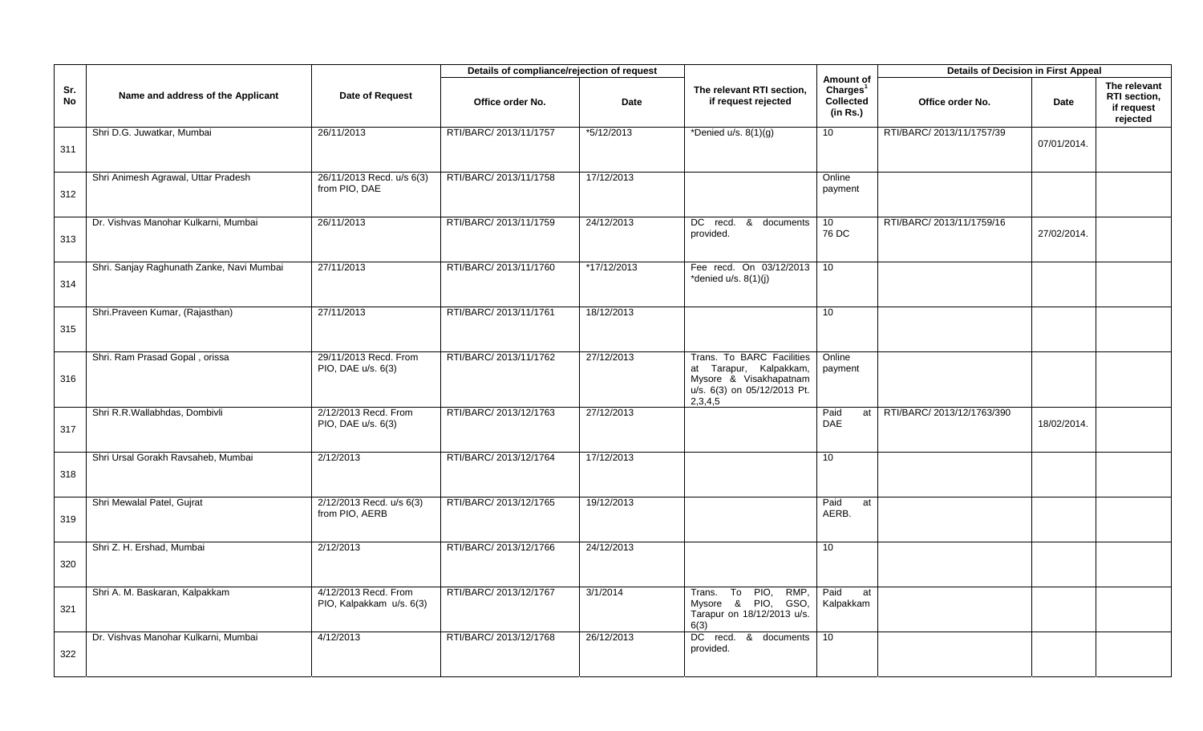|           |                                           |                                                  | Details of compliance/rejection of request |             |                                                                                                                         |                                                                   | <b>Details of Decision in First Appeal</b> |             |                                                        |
|-----------|-------------------------------------------|--------------------------------------------------|--------------------------------------------|-------------|-------------------------------------------------------------------------------------------------------------------------|-------------------------------------------------------------------|--------------------------------------------|-------------|--------------------------------------------------------|
| Sr.<br>No | Name and address of the Applicant         | Date of Request                                  | Office order No.                           | <b>Date</b> | The relevant RTI section,<br>if request rejected                                                                        | Amount of<br>Charles <sup>1</sup><br><b>Collected</b><br>(in Rs.) | Office order No.                           | <b>Date</b> | The relevant<br>RTI section,<br>if request<br>rejected |
| 311       | Shri D.G. Juwatkar, Mumbai                | 26/11/2013                                       | RTI/BARC/ 2013/11/1757                     | *5/12/2013  | *Denied u/s. $8(1)(g)$                                                                                                  | 10 <sup>1</sup>                                                   | RTI/BARC/ 2013/11/1757/39                  | 07/01/2014. |                                                        |
| 312       | Shri Animesh Agrawal, Uttar Pradesh       | 26/11/2013 Recd. u/s 6(3)<br>from PIO, DAE       | RTI/BARC/ 2013/11/1758                     | 17/12/2013  |                                                                                                                         | Online<br>payment                                                 |                                            |             |                                                        |
| 313       | Dr. Vishvas Manohar Kulkarni, Mumbai      | 26/11/2013                                       | RTI/BARC/ 2013/11/1759                     | 24/12/2013  | DC recd. & documents<br>provided.                                                                                       | 10 <sup>°</sup><br>76 DC                                          | RTI/BARC/ 2013/11/1759/16                  | 27/02/2014. |                                                        |
| 314       | Shri. Sanjay Raghunath Zanke, Navi Mumbai | 27/11/2013                                       | RTI/BARC/ 2013/11/1760                     | *17/12/2013 | Fee recd. On 03/12/2013<br>*denied u/s. 8(1)(j)                                                                         | 10                                                                |                                            |             |                                                        |
| 315       | Shri.Praveen Kumar, (Rajasthan)           | 27/11/2013                                       | RTI/BARC/ 2013/11/1761                     | 18/12/2013  |                                                                                                                         | 10                                                                |                                            |             |                                                        |
| 316       | Shri. Ram Prasad Gopal, orissa            | 29/11/2013 Recd. From<br>PIO, DAE u/s. 6(3)      | RTI/BARC/ 2013/11/1762                     | 27/12/2013  | Trans. To BARC Facilities<br>at Tarapur, Kalpakkam,<br>Mysore & Visakhapatnam<br>u/s. 6(3) on 05/12/2013 Pt.<br>2,3,4,5 | Online<br>payment                                                 |                                            |             |                                                        |
| 317       | Shri R.R.Wallabhdas, Dombivli             | 2/12/2013 Recd. From<br>PIO, DAE u/s. 6(3)       | RTI/BARC/ 2013/12/1763                     | 27/12/2013  |                                                                                                                         | Paid<br>at<br>DAE                                                 | RTI/BARC/ 2013/12/1763/390                 | 18/02/2014. |                                                        |
| 318       | Shri Ursal Gorakh Ravsaheb, Mumbai        | 2/12/2013                                        | RTI/BARC/ 2013/12/1764                     | 17/12/2013  |                                                                                                                         | 10                                                                |                                            |             |                                                        |
| 319       | Shri Mewalal Patel, Gujrat                | 2/12/2013 Recd. u/s 6(3)<br>from PIO, AERB       | RTI/BARC/ 2013/12/1765                     | 19/12/2013  |                                                                                                                         | Paid<br>at<br>AERB.                                               |                                            |             |                                                        |
| 320       | Shri Z. H. Ershad, Mumbai                 | 2/12/2013                                        | RTI/BARC/ 2013/12/1766                     | 24/12/2013  |                                                                                                                         | 10 <sup>°</sup>                                                   |                                            |             |                                                        |
| 321       | Shri A. M. Baskaran, Kalpakkam            | 4/12/2013 Recd. From<br>PIO, Kalpakkam u/s. 6(3) | RTI/BARC/ 2013/12/1767                     | 3/1/2014    | PIO<br>RMP,<br>Trans.<br>To<br>Mysore & PIO, GSO,<br>Tarapur on 18/12/2013 u/s.<br>6(3)                                 | Paid<br>at<br>Kalpakkam                                           |                                            |             |                                                        |
| 322       | Dr. Vishvas Manohar Kulkarni, Mumbai      | 4/12/2013                                        | RTI/BARC/ 2013/12/1768                     | 26/12/2013  | DC recd. & documents<br>provided.                                                                                       | 10                                                                |                                            |             |                                                        |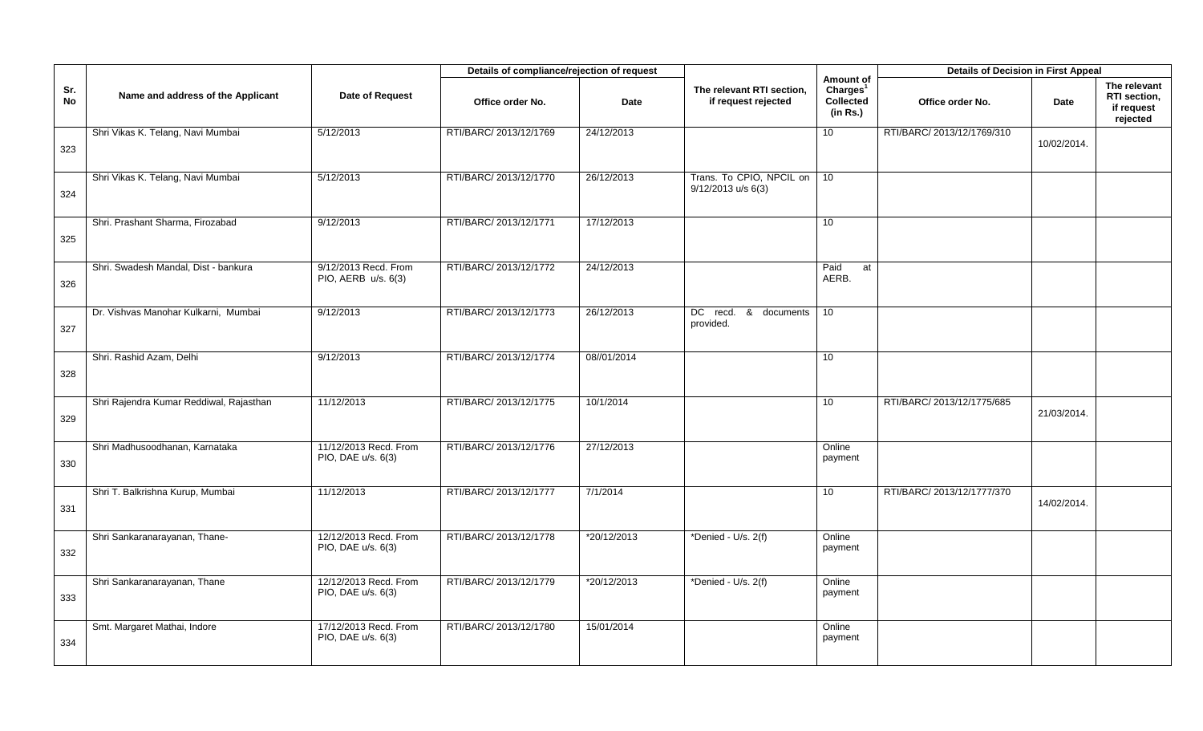|           |                                         |                                             | Details of compliance/rejection of request |             |                                                  |                                                                   | <b>Details of Decision in First Appeal</b> |             |                                                        |
|-----------|-----------------------------------------|---------------------------------------------|--------------------------------------------|-------------|--------------------------------------------------|-------------------------------------------------------------------|--------------------------------------------|-------------|--------------------------------------------------------|
| Sr.<br>No | Name and address of the Applicant       | Date of Request                             | Office order No.                           | <b>Date</b> | The relevant RTI section,<br>if request rejected | Amount of<br>Charles <sup>1</sup><br><b>Collected</b><br>(in Rs.) | Office order No.                           | Date        | The relevant<br>RTI section,<br>if request<br>rejected |
| 323       | Shri Vikas K. Telang, Navi Mumbai       | 5/12/2013                                   | RTI/BARC/ 2013/12/1769                     | 24/12/2013  |                                                  | 10                                                                | RTI/BARC/ 2013/12/1769/310                 | 10/02/2014. |                                                        |
| 324       | Shri Vikas K. Telang, Navi Mumbai       | 5/12/2013                                   | RTI/BARC/ 2013/12/1770                     | 26/12/2013  | Trans. To CPIO, NPCIL on<br>9/12/2013 u/s 6(3)   | 10                                                                |                                            |             |                                                        |
| 325       | Shri. Prashant Sharma, Firozabad        | 9/12/2013                                   | RTI/BARC/ 2013/12/1771                     | 17/12/2013  |                                                  | 10                                                                |                                            |             |                                                        |
| 326       | Shri. Swadesh Mandal, Dist - bankura    | 9/12/2013 Recd. From<br>PIO, AERB u/s. 6(3) | RTI/BARC/ 2013/12/1772                     | 24/12/2013  |                                                  | Paid<br>at<br>AERB.                                               |                                            |             |                                                        |
| 327       | Dr. Vishvas Manohar Kulkarni, Mumbai    | 9/12/2013                                   | RTI/BARC/ 2013/12/1773                     | 26/12/2013  | DC recd. &<br>documents<br>provided.             | 10                                                                |                                            |             |                                                        |
| 328       | Shri. Rashid Azam, Delhi                | 9/12/2013                                   | RTI/BARC/ 2013/12/1774                     | 08//01/2014 |                                                  | 10                                                                |                                            |             |                                                        |
| 329       | Shri Rajendra Kumar Reddiwal, Rajasthan | 11/12/2013                                  | RTI/BARC/ 2013/12/1775                     | 10/1/2014   |                                                  | 10                                                                | RTI/BARC/ 2013/12/1775/685                 | 21/03/2014. |                                                        |
| 330       | Shri Madhusoodhanan, Karnataka          | 11/12/2013 Recd. From<br>PIO, DAE u/s. 6(3) | RTI/BARC/ 2013/12/1776                     | 27/12/2013  |                                                  | Online<br>payment                                                 |                                            |             |                                                        |
| 331       | Shri T. Balkrishna Kurup, Mumbai        | 11/12/2013                                  | RTI/BARC/ 2013/12/1777                     | 7/1/2014    |                                                  | 10                                                                | RTI/BARC/ 2013/12/1777/370                 | 14/02/2014. |                                                        |
| 332       | Shri Sankaranarayanan, Thane-           | 12/12/2013 Recd. From<br>PIO, DAE u/s. 6(3) | RTI/BARC/ 2013/12/1778                     | *20/12/2013 | *Denied - U/s. 2(f)                              | Online<br>payment                                                 |                                            |             |                                                        |
| 333       | Shri Sankaranarayanan, Thane            | 12/12/2013 Recd. From<br>PIO, DAE u/s. 6(3) | RTI/BARC/ 2013/12/1779                     | *20/12/2013 | *Denied - U/s. 2(f)                              | Online<br>payment                                                 |                                            |             |                                                        |
| 334       | Smt. Margaret Mathai, Indore            | 17/12/2013 Recd. From<br>PIO, DAE u/s. 6(3) | RTI/BARC/ 2013/12/1780                     | 15/01/2014  |                                                  | Online<br>payment                                                 |                                            |             |                                                        |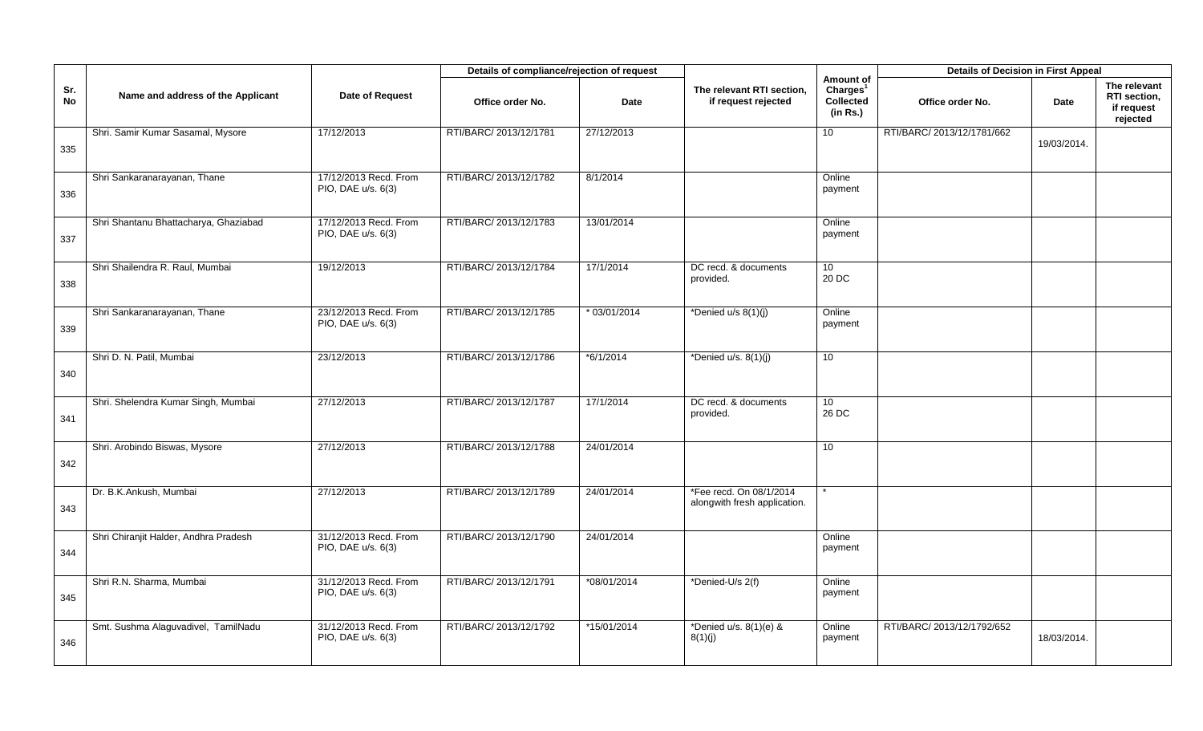|           |                                       |                                             | Details of compliance/rejection of request |                |                                                         |                                                                   | <b>Details of Decision in First Appeal</b> |             |                                                        |
|-----------|---------------------------------------|---------------------------------------------|--------------------------------------------|----------------|---------------------------------------------------------|-------------------------------------------------------------------|--------------------------------------------|-------------|--------------------------------------------------------|
| Sr.<br>No | Name and address of the Applicant     | Date of Request                             | Office order No.                           | <b>Date</b>    | The relevant RTI section,<br>if request rejected        | Amount of<br>Charles <sup>1</sup><br><b>Collected</b><br>(in Rs.) | Office order No.                           | Date        | The relevant<br>RTI section,<br>if request<br>rejected |
| 335       | Shri. Samir Kumar Sasamal, Mysore     | 17/12/2013                                  | RTI/BARC/ 2013/12/1781                     | 27/12/2013     |                                                         | 10 <sup>1</sup>                                                   | RTI/BARC/ 2013/12/1781/662                 | 19/03/2014. |                                                        |
| 336       | Shri Sankaranarayanan, Thane          | 17/12/2013 Recd. From<br>PIO, DAE u/s. 6(3) | RTI/BARC/ 2013/12/1782                     | 8/1/2014       |                                                         | Online<br>payment                                                 |                                            |             |                                                        |
| 337       | Shri Shantanu Bhattacharya, Ghaziabad | 17/12/2013 Recd. From<br>PIO, DAE u/s. 6(3) | RTI/BARC/ 2013/12/1783                     | 13/01/2014     |                                                         | Online<br>payment                                                 |                                            |             |                                                        |
| 338       | Shri Shailendra R. Raul, Mumbai       | 19/12/2013                                  | RTI/BARC/ 2013/12/1784                     | 17/1/2014      | DC recd. & documents<br>provided.                       | 10 <sup>°</sup><br>20 DC                                          |                                            |             |                                                        |
| 339       | Shri Sankaranarayanan, Thane          | 23/12/2013 Recd. From<br>PIO, DAE u/s. 6(3) | RTI/BARC/ 2013/12/1785                     | $* 03/01/2014$ | *Denied u/s 8(1)(j)                                     | Online<br>payment                                                 |                                            |             |                                                        |
| 340       | Shri D. N. Patil, Mumbai              | 23/12/2013                                  | RTI/BARC/ 2013/12/1786                     | *6/1/2014      | *Denied $u/s. 8(1)(j)$                                  | 10 <sup>1</sup>                                                   |                                            |             |                                                        |
| 341       | Shri. Shelendra Kumar Singh, Mumbai   | 27/12/2013                                  | RTI/BARC/ 2013/12/1787                     | 17/1/2014      | DC recd. & documents<br>provided.                       | 10<br>26 DC                                                       |                                            |             |                                                        |
| 342       | Shri. Arobindo Biswas, Mysore         | 27/12/2013                                  | RTI/BARC/ 2013/12/1788                     | 24/01/2014     |                                                         | 10                                                                |                                            |             |                                                        |
| 343       | Dr. B.K.Ankush, Mumbai                | 27/12/2013                                  | RTI/BARC/ 2013/12/1789                     | 24/01/2014     | *Fee recd. On 08/1/2014<br>alongwith fresh application. |                                                                   |                                            |             |                                                        |
| 344       | Shri Chiranjit Halder, Andhra Pradesh | 31/12/2013 Recd. From<br>PIO, DAE u/s. 6(3) | RTI/BARC/ 2013/12/1790                     | 24/01/2014     |                                                         | Online<br>payment                                                 |                                            |             |                                                        |
| 345       | Shri R.N. Sharma, Mumbai              | 31/12/2013 Recd. From<br>PIO, DAE u/s. 6(3) | RTI/BARC/ 2013/12/1791                     | *08/01/2014    | *Denied-U/s 2(f)                                        | Online<br>payment                                                 |                                            |             |                                                        |
| 346       | Smt. Sushma Alaguvadivel, TamilNadu   | 31/12/2013 Recd. From<br>PIO, DAE u/s. 6(3) | RTI/BARC/ 2013/12/1792                     | *15/01/2014    | *Denied u/s. 8(1)(e) &<br>8(1)(j)                       | Online<br>payment                                                 | RTI/BARC/ 2013/12/1792/652                 | 18/03/2014. |                                                        |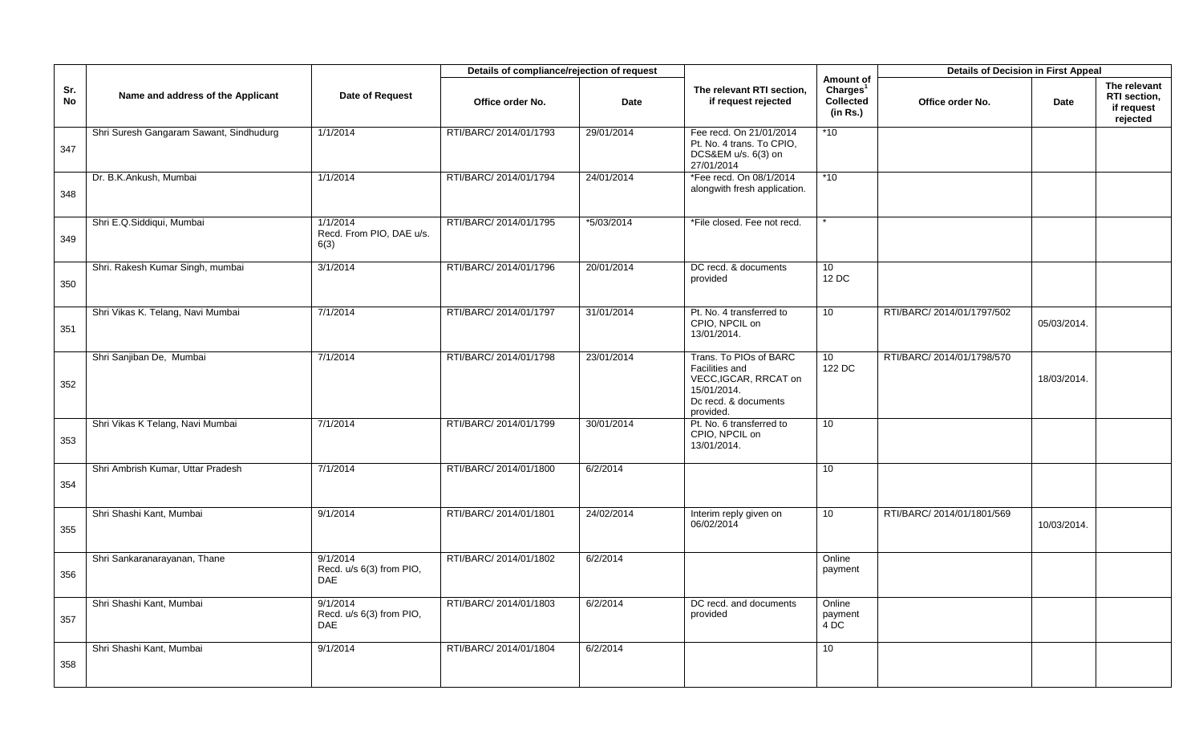|                  |                                         |                                                    | Details of compliance/rejection of request |            |                                                                                                                       |                                                            | <b>Details of Decision in First Appeal</b> |             |                                                        |
|------------------|-----------------------------------------|----------------------------------------------------|--------------------------------------------|------------|-----------------------------------------------------------------------------------------------------------------------|------------------------------------------------------------|--------------------------------------------|-------------|--------------------------------------------------------|
| Sr.<br><b>No</b> | Name and address of the Applicant       | Date of Request                                    | Office order No.                           | Date       | The relevant RTI section,<br>if request rejected                                                                      | Amount of<br>Charles <sup>1</sup><br>Collected<br>(in Rs.) | Office order No.                           | Date        | The relevant<br>RTI section,<br>if request<br>rejected |
| 347              | Shri Suresh Gangaram Sawant, Sindhudurg | 1/1/2014                                           | RTI/BARC/ 2014/01/1793                     | 29/01/2014 | Fee recd. On 21/01/2014<br>Pt. No. 4 trans. To CPIO,<br>DCS&EM u/s. 6(3) on<br>27/01/2014                             | *10                                                        |                                            |             |                                                        |
| 348              | Dr. B.K.Ankush, Mumbai                  | 1/1/2014                                           | RTI/BARC/ 2014/01/1794                     | 24/01/2014 | *Fee recd. On 08/1/2014<br>alongwith fresh application.                                                               | $*10$                                                      |                                            |             |                                                        |
| 349              | Shri E.Q.Siddiqui, Mumbai               | 1/1/2014<br>Recd. From PIO, DAE u/s.<br>6(3)       | RTI/BARC/ 2014/01/1795                     | *5/03/2014 | *File closed. Fee not recd.                                                                                           |                                                            |                                            |             |                                                        |
| 350              | Shri. Rakesh Kumar Singh, mumbai        | 3/1/2014                                           | RTI/BARC/ 2014/01/1796                     | 20/01/2014 | DC recd. & documents<br>provided                                                                                      | 10 <sup>1</sup><br>12 DC                                   |                                            |             |                                                        |
| 351              | Shri Vikas K. Telang, Navi Mumbai       | 7/1/2014                                           | RTI/BARC/ 2014/01/1797                     | 31/01/2014 | Pt. No. 4 transferred to<br>CPIO, NPCIL on<br>13/01/2014.                                                             | 10 <sup>1</sup>                                            | RTI/BARC/ 2014/01/1797/502                 | 05/03/2014. |                                                        |
| 352              | Shri Sanjiban De, Mumbai                | 7/1/2014                                           | RTI/BARC/ 2014/01/1798                     | 23/01/2014 | Trans. To PIOs of BARC<br>Facilities and<br>VECC, IGCAR, RRCAT on<br>15/01/2014.<br>Dc recd. & documents<br>provided. | 10 <sup>°</sup><br>122 DC                                  | RTI/BARC/ 2014/01/1798/570                 | 18/03/2014. |                                                        |
| 353              | Shri Vikas K Telang, Navi Mumbai        | 7/1/2014                                           | RTI/BARC/ 2014/01/1799                     | 30/01/2014 | Pt. No. 6 transferred to<br>CPIO, NPCIL on<br>13/01/2014.                                                             | 10 <sup>°</sup>                                            |                                            |             |                                                        |
| 354              | Shri Ambrish Kumar, Uttar Pradesh       | 7/1/2014                                           | RTI/BARC/ 2014/01/1800                     | 6/2/2014   |                                                                                                                       | 10                                                         |                                            |             |                                                        |
| 355              | Shri Shashi Kant, Mumbai                | 9/1/2014                                           | RTI/BARC/ 2014/01/1801                     | 24/02/2014 | Interim reply given on<br>06/02/2014                                                                                  | 10 <sup>°</sup>                                            | RTI/BARC/ 2014/01/1801/569                 | 10/03/2014. |                                                        |
| 356              | Shri Sankaranarayanan, Thane            | 9/1/2014<br>Recd. u/s 6(3) from PIO,<br><b>DAE</b> | RTI/BARC/ 2014/01/1802                     | 6/2/2014   |                                                                                                                       | Online<br>payment                                          |                                            |             |                                                        |
| 357              | Shri Shashi Kant, Mumbai                | 9/1/2014<br>Recd. u/s 6(3) from PIO,<br>DAE        | RTI/BARC/ 2014/01/1803                     | 6/2/2014   | DC recd. and documents<br>provided                                                                                    | Online<br>payment<br>4DC                                   |                                            |             |                                                        |
| 358              | Shri Shashi Kant, Mumbai                | 9/1/2014                                           | RTI/BARC/ 2014/01/1804                     | 6/2/2014   |                                                                                                                       | 10                                                         |                                            |             |                                                        |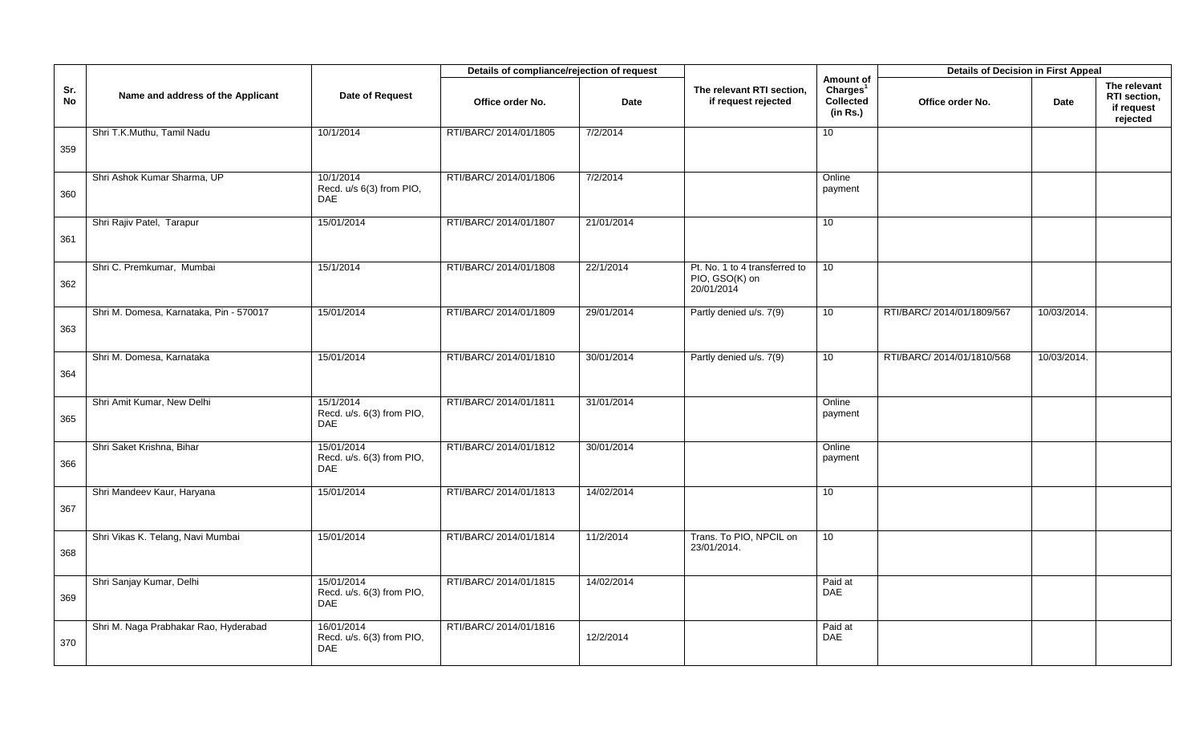|           |                                         |                                                       | Details of compliance/rejection of request |             |                                                               |                                                            | <b>Details of Decision in First Appeal</b> |             |                                                        |
|-----------|-----------------------------------------|-------------------------------------------------------|--------------------------------------------|-------------|---------------------------------------------------------------|------------------------------------------------------------|--------------------------------------------|-------------|--------------------------------------------------------|
| Sr.<br>No | Name and address of the Applicant       | Date of Request                                       | Office order No.                           | <b>Date</b> | The relevant RTI section,<br>if request rejected              | Amount of<br>Charles <sup>1</sup><br>Collected<br>(in Rs.) | Office order No.                           | Date        | The relevant<br>RTI section,<br>if request<br>rejected |
| 359       | Shri T.K.Muthu, Tamil Nadu              | 10/1/2014                                             | RTI/BARC/ 2014/01/1805                     | 7/2/2014    |                                                               | 10                                                         |                                            |             |                                                        |
| 360       | Shri Ashok Kumar Sharma, UP             | 10/1/2014<br>Recd. u/s 6(3) from PIO,<br><b>DAE</b>   | RTI/BARC/ 2014/01/1806                     | 7/2/2014    |                                                               | Online<br>payment                                          |                                            |             |                                                        |
| 361       | Shri Rajiv Patel, Tarapur               | 15/01/2014                                            | RTI/BARC/ 2014/01/1807                     | 21/01/2014  |                                                               | 10                                                         |                                            |             |                                                        |
| 362       | Shri C. Premkumar, Mumbai               | 15/1/2014                                             | RTI/BARC/ 2014/01/1808                     | 22/1/2014   | Pt. No. 1 to 4 transferred to<br>PIO, GSO(K) on<br>20/01/2014 | 10                                                         |                                            |             |                                                        |
| 363       | Shri M. Domesa, Karnataka, Pin - 570017 | 15/01/2014                                            | RTI/BARC/ 2014/01/1809                     | 29/01/2014  | Partly denied u/s. 7(9)                                       | 10                                                         | RTI/BARC/ 2014/01/1809/567                 | 10/03/2014. |                                                        |
| 364       | Shri M. Domesa, Karnataka               | 15/01/2014                                            | RTI/BARC/ 2014/01/1810                     | 30/01/2014  | Partly denied u/s. 7(9)                                       | 10 <sup>1</sup>                                            | RTI/BARC/ 2014/01/1810/568                 | 10/03/2014. |                                                        |
| 365       | Shri Amit Kumar, New Delhi              | 15/1/2014<br>Recd. u/s. 6(3) from PIO,<br><b>DAE</b>  | RTI/BARC/ 2014/01/1811                     | 31/01/2014  |                                                               | Online<br>payment                                          |                                            |             |                                                        |
| 366       | Shri Saket Krishna, Bihar               | 15/01/2014<br>Recd. u/s. 6(3) from PIO,<br><b>DAE</b> | RTI/BARC/ 2014/01/1812                     | 30/01/2014  |                                                               | Online<br>payment                                          |                                            |             |                                                        |
| 367       | Shri Mandeev Kaur, Haryana              | 15/01/2014                                            | RTI/BARC/ 2014/01/1813                     | 14/02/2014  |                                                               | 10                                                         |                                            |             |                                                        |
| 368       | Shri Vikas K. Telang, Navi Mumbai       | 15/01/2014                                            | RTI/BARC/ 2014/01/1814                     | 11/2/2014   | Trans. To PIO, NPCIL on<br>23/01/2014.                        | 10 <sup>°</sup>                                            |                                            |             |                                                        |
| 369       | Shri Sanjay Kumar, Delhi                | 15/01/2014<br>Recd. u/s. 6(3) from PIO,<br><b>DAE</b> | RTI/BARC/ 2014/01/1815                     | 14/02/2014  |                                                               | Paid at<br><b>DAE</b>                                      |                                            |             |                                                        |
| 370       | Shri M. Naga Prabhakar Rao, Hyderabad   | 16/01/2014<br>Recd. u/s. 6(3) from PIO,<br><b>DAE</b> | RTI/BARC/ 2014/01/1816                     | 12/2/2014   |                                                               | Paid at<br>DAE                                             |                                            |             |                                                        |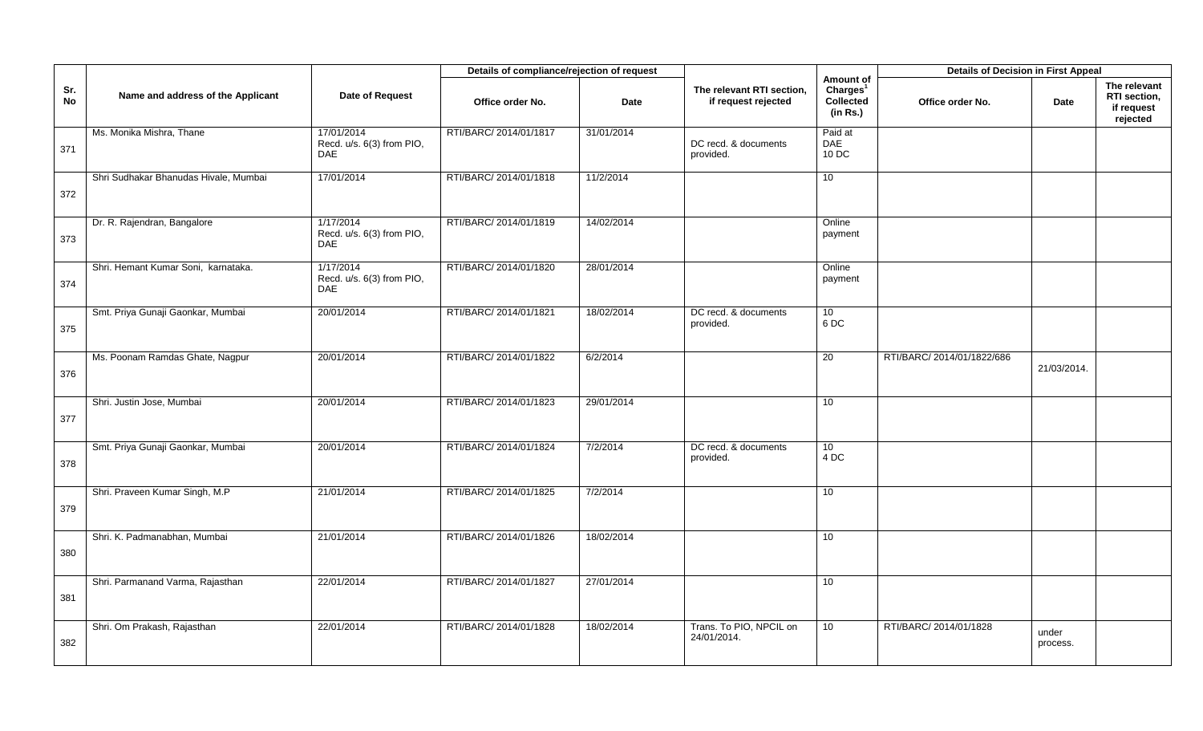|           |                                       |                                                       | Details of compliance/rejection of request |             |                                                  |                                                            | <b>Details of Decision in First Appeal</b> |                   |                                                        |
|-----------|---------------------------------------|-------------------------------------------------------|--------------------------------------------|-------------|--------------------------------------------------|------------------------------------------------------------|--------------------------------------------|-------------------|--------------------------------------------------------|
| Sr.<br>No | Name and address of the Applicant     | Date of Request                                       | Office order No.                           | <b>Date</b> | The relevant RTI section,<br>if request rejected | Amount of<br>Charles <sup>1</sup><br>Collected<br>(in Rs.) | Office order No.                           | Date              | The relevant<br>RTI section,<br>if request<br>rejected |
| 371       | Ms. Monika Mishra, Thane              | 17/01/2014<br>Recd. u/s. 6(3) from PIO,<br><b>DAE</b> | RTI/BARC/ 2014/01/1817                     | 31/01/2014  | DC recd. & documents<br>provided.                | Paid at<br>DAE<br>10 DC                                    |                                            |                   |                                                        |
| 372       | Shri Sudhakar Bhanudas Hivale, Mumbai | 17/01/2014                                            | RTI/BARC/ 2014/01/1818                     | 11/2/2014   |                                                  | 10                                                         |                                            |                   |                                                        |
| 373       | Dr. R. Rajendran, Bangalore           | 1/17/2014<br>Recd. u/s. 6(3) from PIO,<br><b>DAE</b>  | RTI/BARC/ 2014/01/1819                     | 14/02/2014  |                                                  | Online<br>payment                                          |                                            |                   |                                                        |
| 374       | Shri. Hemant Kumar Soni, karnataka.   | 1/17/2014<br>Recd. u/s. 6(3) from PIO,<br><b>DAE</b>  | RTI/BARC/ 2014/01/1820                     | 28/01/2014  |                                                  | Online<br>payment                                          |                                            |                   |                                                        |
| 375       | Smt. Priya Gunaji Gaonkar, Mumbai     | 20/01/2014                                            | RTI/BARC/ 2014/01/1821                     | 18/02/2014  | DC recd. & documents<br>provided.                | 10<br>6DC                                                  |                                            |                   |                                                        |
| 376       | Ms. Poonam Ramdas Ghate, Nagpur       | 20/01/2014                                            | RTI/BARC/ 2014/01/1822                     | 6/2/2014    |                                                  | 20                                                         | RTI/BARC/ 2014/01/1822/686                 | 21/03/2014.       |                                                        |
| 377       | Shri. Justin Jose, Mumbai             | 20/01/2014                                            | RTI/BARC/ 2014/01/1823                     | 29/01/2014  |                                                  | 10 <sup>1</sup>                                            |                                            |                   |                                                        |
| 378       | Smt. Priya Gunaji Gaonkar, Mumbai     | 20/01/2014                                            | RTI/BARC/ 2014/01/1824                     | 7/2/2014    | DC recd. & documents<br>provided.                | 10 <sup>°</sup><br>4DC                                     |                                            |                   |                                                        |
| 379       | Shri. Praveen Kumar Singh, M.P        | 21/01/2014                                            | RTI/BARC/ 2014/01/1825                     | 7/2/2014    |                                                  | 10 <sup>1</sup>                                            |                                            |                   |                                                        |
| 380       | Shri. K. Padmanabhan, Mumbai          | 21/01/2014                                            | RTI/BARC/ 2014/01/1826                     | 18/02/2014  |                                                  | 10                                                         |                                            |                   |                                                        |
| 381       | Shri. Parmanand Varma, Rajasthan      | 22/01/2014                                            | RTI/BARC/ 2014/01/1827                     | 27/01/2014  |                                                  | 10 <sup>1</sup>                                            |                                            |                   |                                                        |
| 382       | Shri. Om Prakash, Rajasthan           | 22/01/2014                                            | RTI/BARC/ 2014/01/1828                     | 18/02/2014  | Trans. To PIO, NPCIL on<br>24/01/2014.           | 10 <sup>°</sup>                                            | RTI/BARC/ 2014/01/1828                     | under<br>process. |                                                        |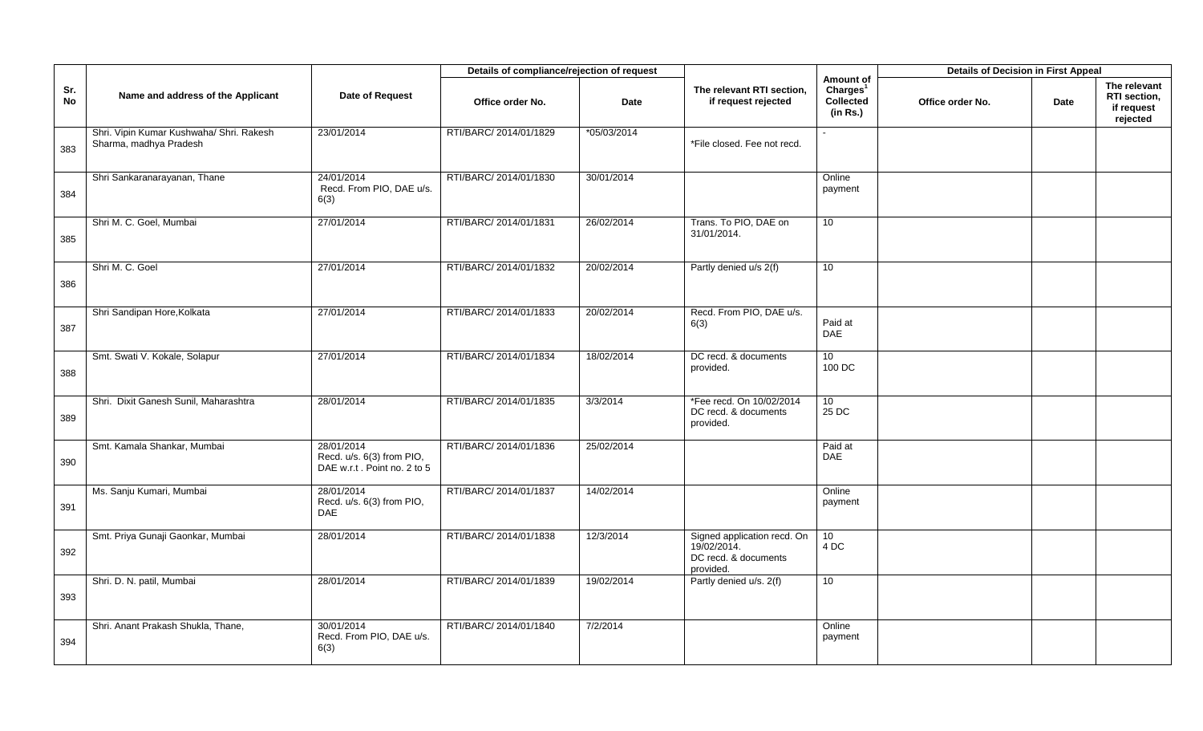|                  |                                                                    |                                                                        | Details of compliance/rejection of request |             |                                                                                 |                                                            | <b>Details of Decision in First Appeal</b> |      |                                                        |
|------------------|--------------------------------------------------------------------|------------------------------------------------------------------------|--------------------------------------------|-------------|---------------------------------------------------------------------------------|------------------------------------------------------------|--------------------------------------------|------|--------------------------------------------------------|
| Sr.<br><b>No</b> | Name and address of the Applicant                                  | <b>Date of Request</b>                                                 | Office order No.                           | <b>Date</b> | The relevant RTI section,<br>if request rejected                                | Amount of<br>Charles <sup>1</sup><br>Collected<br>(in Rs.) | Office order No.                           | Date | The relevant<br>RTI section,<br>if request<br>rejected |
| 383              | Shri. Vipin Kumar Kushwaha/ Shri. Rakesh<br>Sharma, madhya Pradesh | 23/01/2014                                                             | RTI/BARC/ 2014/01/1829                     | *05/03/2014 | *File closed. Fee not recd.                                                     |                                                            |                                            |      |                                                        |
| 384              | Shri Sankaranarayanan, Thane                                       | 24/01/2014<br>Recd. From PIO, DAE u/s.<br>6(3)                         | RTI/BARC/ 2014/01/1830                     | 30/01/2014  |                                                                                 | Online<br>payment                                          |                                            |      |                                                        |
| 385              | Shri M. C. Goel, Mumbai                                            | 27/01/2014                                                             | RTI/BARC/ 2014/01/1831                     | 26/02/2014  | Trans. To PIO, DAE on<br>31/01/2014.                                            | 10 <sup>°</sup>                                            |                                            |      |                                                        |
| 386              | Shri M. C. Goel                                                    | 27/01/2014                                                             | RTI/BARC/ 2014/01/1832                     | 20/02/2014  | Partly denied u/s 2(f)                                                          | 10                                                         |                                            |      |                                                        |
| 387              | Shri Sandipan Hore, Kolkata                                        | 27/01/2014                                                             | RTI/BARC/ 2014/01/1833                     | 20/02/2014  | Recd. From PIO, DAE u/s.<br>6(3)                                                | Paid at<br>DAE                                             |                                            |      |                                                        |
| 388              | Smt. Swati V. Kokale, Solapur                                      | 27/01/2014                                                             | RTI/BARC/ 2014/01/1834                     | 18/02/2014  | DC recd. & documents<br>provided.                                               | 10 <sup>°</sup><br>100 DC                                  |                                            |      |                                                        |
| 389              | Shri. Dixit Ganesh Sunil, Maharashtra                              | 28/01/2014                                                             | RTI/BARC/ 2014/01/1835                     | 3/3/2014    | *Fee recd. On 10/02/2014<br>DC recd. & documents<br>provided.                   | 10<br>25 DC                                                |                                            |      |                                                        |
| 390              | Smt. Kamala Shankar, Mumbai                                        | 28/01/2014<br>Recd. u/s. 6(3) from PIO,<br>DAE w.r.t. Point no. 2 to 5 | RTI/BARC/ 2014/01/1836                     | 25/02/2014  |                                                                                 | Paid at<br>DAE                                             |                                            |      |                                                        |
| 391              | Ms. Sanju Kumari, Mumbai                                           | 28/01/2014<br>Recd. u/s. 6(3) from PIO,<br><b>DAE</b>                  | RTI/BARC/ 2014/01/1837                     | 14/02/2014  |                                                                                 | Online<br>payment                                          |                                            |      |                                                        |
| 392              | Smt. Priya Gunaji Gaonkar, Mumbai                                  | 28/01/2014                                                             | RTI/BARC/ 2014/01/1838                     | 12/3/2014   | Signed application recd. On<br>19/02/2014.<br>DC recd. & documents<br>provided. | 10 <sup>1</sup><br>4DC                                     |                                            |      |                                                        |
| 393              | Shri. D. N. patil, Mumbai                                          | 28/01/2014                                                             | RTI/BARC/ 2014/01/1839                     | 19/02/2014  | Partly denied u/s. 2(f)                                                         | 10 <sup>°</sup>                                            |                                            |      |                                                        |
| 394              | Shri. Anant Prakash Shukla, Thane,                                 | 30/01/2014<br>Recd. From PIO, DAE u/s.<br>6(3)                         | RTI/BARC/ 2014/01/1840                     | 7/2/2014    |                                                                                 | Online<br>payment                                          |                                            |      |                                                        |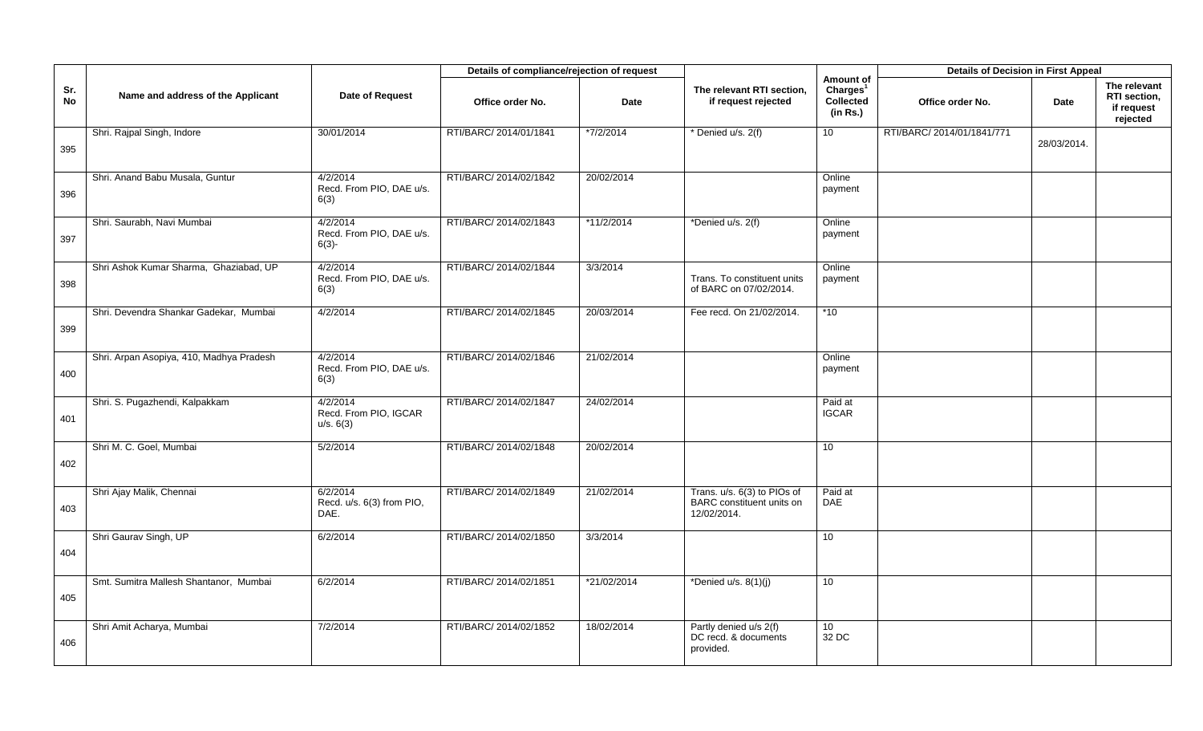|           |                                          |                                                  | Details of compliance/rejection of request |             |                                                                                |                                                                   | <b>Details of Decision in First Appeal</b> |             |                                                        |
|-----------|------------------------------------------|--------------------------------------------------|--------------------------------------------|-------------|--------------------------------------------------------------------------------|-------------------------------------------------------------------|--------------------------------------------|-------------|--------------------------------------------------------|
| Sr.<br>No | Name and address of the Applicant        | Date of Request                                  | Office order No.                           | <b>Date</b> | The relevant RTI section,<br>if request rejected                               | Amount of<br>Charles <sup>1</sup><br><b>Collected</b><br>(in Rs.) | Office order No.                           | Date        | The relevant<br>RTI section,<br>if request<br>rejected |
| 395       | Shri. Rajpal Singh, Indore               | 30/01/2014                                       | RTI/BARC/ 2014/01/1841                     | *7/2/2014   | * Denied u/s. 2(f)                                                             | 10 <sup>1</sup>                                                   | RTI/BARC/ 2014/01/1841/771                 | 28/03/2014. |                                                        |
| 396       | Shri. Anand Babu Musala, Guntur          | 4/2/2014<br>Recd. From PIO, DAE u/s.<br>6(3)     | RTI/BARC/ 2014/02/1842                     | 20/02/2014  |                                                                                | Online<br>payment                                                 |                                            |             |                                                        |
| 397       | Shri. Saurabh, Navi Mumbai               | 4/2/2014<br>Recd. From PIO, DAE u/s.<br>$6(3) -$ | RTI/BARC/ 2014/02/1843                     | *11/2/2014  | *Denied u/s. 2(f)                                                              | Online<br>payment                                                 |                                            |             |                                                        |
| 398       | Shri Ashok Kumar Sharma, Ghaziabad, UP   | 4/2/2014<br>Recd. From PIO, DAE u/s.<br>6(3)     | RTI/BARC/ 2014/02/1844                     | 3/3/2014    | Trans. To constituent units<br>of BARC on 07/02/2014.                          | Online<br>payment                                                 |                                            |             |                                                        |
| 399       | Shri. Devendra Shankar Gadekar, Mumbai   | 4/2/2014                                         | RTI/BARC/ 2014/02/1845                     | 20/03/2014  | Fee recd. On 21/02/2014.                                                       | $*10$                                                             |                                            |             |                                                        |
| 400       | Shri. Arpan Asopiya, 410, Madhya Pradesh | 4/2/2014<br>Recd. From PIO, DAE u/s.<br>6(3)     | RTI/BARC/ 2014/02/1846                     | 21/02/2014  |                                                                                | Online<br>payment                                                 |                                            |             |                                                        |
| 401       | Shri. S. Pugazhendi, Kalpakkam           | 4/2/2014<br>Recd. From PIO, IGCAR<br>u/s. 6(3)   | RTI/BARC/ 2014/02/1847                     | 24/02/2014  |                                                                                | Paid at<br><b>IGCAR</b>                                           |                                            |             |                                                        |
| 402       | Shri M. C. Goel, Mumbai                  | 5/2/2014                                         | RTI/BARC/ 2014/02/1848                     | 20/02/2014  |                                                                                | 10                                                                |                                            |             |                                                        |
| 403       | Shri Ajay Malik, Chennai                 | 6/2/2014<br>Recd. u/s. 6(3) from PIO,<br>DAE.    | RTI/BARC/ 2014/02/1849                     | 21/02/2014  | Trans. u/s. 6(3) to PIOs of<br><b>BARC</b> constituent units on<br>12/02/2014. | Paid at<br><b>DAE</b>                                             |                                            |             |                                                        |
| 404       | Shri Gaurav Singh, UP                    | 6/2/2014                                         | RTI/BARC/ 2014/02/1850                     | 3/3/2014    |                                                                                | 10                                                                |                                            |             |                                                        |
| 405       | Smt. Sumitra Mallesh Shantanor, Mumbai   | 6/2/2014                                         | RTI/BARC/ 2014/02/1851                     | *21/02/2014 | *Denied $u/s. 8(1)(i)$                                                         | 10                                                                |                                            |             |                                                        |
| 406       | Shri Amit Acharya, Mumbai                | 7/2/2014                                         | RTI/BARC/ 2014/02/1852                     | 18/02/2014  | Partly denied u/s 2(f)<br>DC recd. & documents<br>provided.                    | 10<br>32 DC                                                       |                                            |             |                                                        |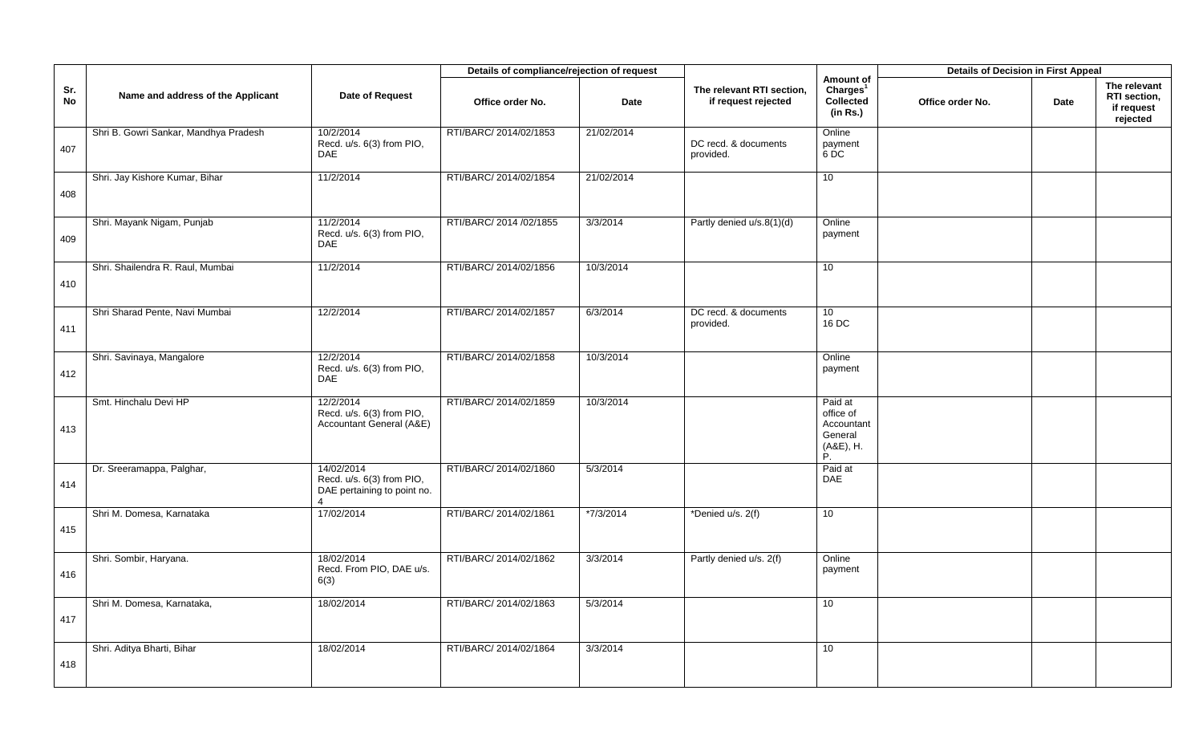|           |                                       |                                                                                        | Details of compliance/rejection of request |            |                                                  |                                                                  | <b>Details of Decision in First Appeal</b> |      |                                                        |
|-----------|---------------------------------------|----------------------------------------------------------------------------------------|--------------------------------------------|------------|--------------------------------------------------|------------------------------------------------------------------|--------------------------------------------|------|--------------------------------------------------------|
| Sr.<br>No | Name and address of the Applicant     | Date of Request                                                                        | Office order No.                           | Date       | The relevant RTI section,<br>if request rejected | Amount of<br>Charles <sup>1</sup><br>Collected<br>(in Rs.)       | Office order No.                           | Date | The relevant<br>RTI section,<br>if request<br>rejected |
| 407       | Shri B. Gowri Sankar, Mandhya Pradesh | 10/2/2014<br>Recd. u/s. 6(3) from PIO,<br><b>DAE</b>                                   | RTI/BARC/ 2014/02/1853                     | 21/02/2014 | DC recd. & documents<br>provided.                | Online<br>payment<br>$6$ DC                                      |                                            |      |                                                        |
| 408       | Shri. Jay Kishore Kumar, Bihar        | 11/2/2014                                                                              | RTI/BARC/ 2014/02/1854                     | 21/02/2014 |                                                  | 10                                                               |                                            |      |                                                        |
| 409       | Shri. Mayank Nigam, Punjab            | 11/2/2014<br>Recd. u/s. 6(3) from PIO,<br><b>DAE</b>                                   | RTI/BARC/ 2014 /02/1855                    | 3/3/2014   | Partly denied u/s.8(1)(d)                        | Online<br>payment                                                |                                            |      |                                                        |
| 410       | Shri. Shailendra R. Raul, Mumbai      | 11/2/2014                                                                              | RTI/BARC/ 2014/02/1856                     | 10/3/2014  |                                                  | 10 <sup>1</sup>                                                  |                                            |      |                                                        |
| 411       | Shri Sharad Pente, Navi Mumbai        | 12/2/2014                                                                              | RTI/BARC/ 2014/02/1857                     | 6/3/2014   | DC recd. & documents<br>provided.                | 10 <sup>1</sup><br>16 DC                                         |                                            |      |                                                        |
| 412       | Shri. Savinaya, Mangalore             | 12/2/2014<br>Recd. u/s. 6(3) from PIO,<br><b>DAE</b>                                   | RTI/BARC/ 2014/02/1858                     | 10/3/2014  |                                                  | Online<br>payment                                                |                                            |      |                                                        |
| 413       | Smt. Hinchalu Devi HP                 | 12/2/2014<br>Recd. u/s. 6(3) from PIO,<br>Accountant General (A&E)                     | RTI/BARC/ 2014/02/1859                     | 10/3/2014  |                                                  | Paid at<br>office of<br>Accountant<br>General<br>(A&E), H.<br>P. |                                            |      |                                                        |
| 414       | Dr. Sreeramappa, Palghar,             | 14/02/2014<br>Recd. u/s. 6(3) from PIO,<br>DAE pertaining to point no.<br>$\mathbf{A}$ | RTI/BARC/ 2014/02/1860                     | 5/3/2014   |                                                  | Paid at<br><b>DAE</b>                                            |                                            |      |                                                        |
| 415       | Shri M. Domesa, Karnataka             | 17/02/2014                                                                             | RTI/BARC/2014/02/1861                      | *7/3/2014  | *Denied u/s. 2(f)                                | 10 <sup>°</sup>                                                  |                                            |      |                                                        |
| 416       | Shri. Sombir, Haryana.                | 18/02/2014<br>Recd. From PIO, DAE u/s.<br>6(3)                                         | RTI/BARC/ 2014/02/1862                     | 3/3/2014   | Partly denied u/s. 2(f)                          | Online<br>payment                                                |                                            |      |                                                        |
| 417       | Shri M. Domesa, Karnataka,            | 18/02/2014                                                                             | RTI/BARC/ 2014/02/1863                     | 5/3/2014   |                                                  | 10                                                               |                                            |      |                                                        |
| 418       | Shri. Aditya Bharti, Bihar            | 18/02/2014                                                                             | RTI/BARC/ 2014/02/1864                     | 3/3/2014   |                                                  | 10                                                               |                                            |      |                                                        |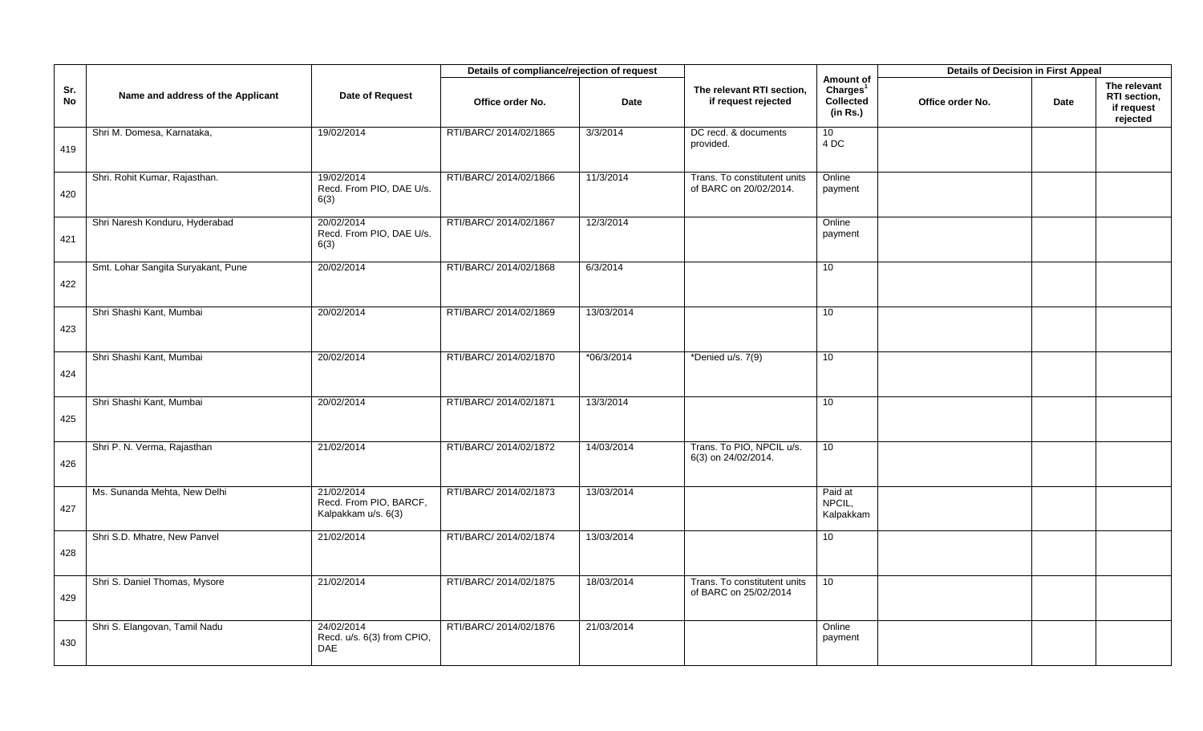|           |                                    |                                                             | Details of compliance/rejection of request |             |                                                        |                                                            | <b>Details of Decision in First Appeal</b> |      |                                                        |
|-----------|------------------------------------|-------------------------------------------------------------|--------------------------------------------|-------------|--------------------------------------------------------|------------------------------------------------------------|--------------------------------------------|------|--------------------------------------------------------|
| Sr.<br>No | Name and address of the Applicant  | Date of Request                                             | Office order No.                           | <b>Date</b> | The relevant RTI section,<br>if request rejected       | Amount of<br>Charles <sup>1</sup><br>Collected<br>(in Rs.) | Office order No.                           | Date | The relevant<br>RTI section,<br>if request<br>rejected |
| 419       | Shri M. Domesa, Karnataka,         | 19/02/2014                                                  | RTI/BARC/ 2014/02/1865                     | 3/3/2014    | DC recd. & documents<br>provided.                      | 10 <sup>1</sup><br>4 DC                                    |                                            |      |                                                        |
| 420       | Shri. Rohit Kumar, Rajasthan.      | 19/02/2014<br>Recd. From PIO, DAE U/s.<br>6(3)              | RTI/BARC/ 2014/02/1866                     | 11/3/2014   | Trans. To constitutent units<br>of BARC on 20/02/2014. | Online<br>payment                                          |                                            |      |                                                        |
| 421       | Shri Naresh Konduru, Hyderabad     | 20/02/2014<br>Recd. From PIO, DAE U/s.<br>6(3)              | RTI/BARC/ 2014/02/1867                     | 12/3/2014   |                                                        | Online<br>payment                                          |                                            |      |                                                        |
| 422       | Smt. Lohar Sangita Suryakant, Pune | 20/02/2014                                                  | RTI/BARC/ 2014/02/1868                     | 6/3/2014    |                                                        | 10 <sup>1</sup>                                            |                                            |      |                                                        |
| 423       | Shri Shashi Kant, Mumbai           | 20/02/2014                                                  | RTI/BARC/ 2014/02/1869                     | 13/03/2014  |                                                        | 10                                                         |                                            |      |                                                        |
| 424       | Shri Shashi Kant, Mumbai           | 20/02/2014                                                  | RTI/BARC/ 2014/02/1870                     | *06/3/2014  | *Denied u/s. 7(9)                                      | 10                                                         |                                            |      |                                                        |
| 425       | Shri Shashi Kant, Mumbai           | 20/02/2014                                                  | RTI/BARC/ 2014/02/1871                     | 13/3/2014   |                                                        | 10                                                         |                                            |      |                                                        |
| 426       | Shri P. N. Verma, Rajasthan        | 21/02/2014                                                  | RTI/BARC/ 2014/02/1872                     | 14/03/2014  | Trans. To PIO, NPCIL u/s.<br>6(3) on 24/02/2014.       | 10                                                         |                                            |      |                                                        |
| 427       | Ms. Sunanda Mehta, New Delhi       | 21/02/2014<br>Recd. From PIO, BARCF,<br>Kalpakkam u/s. 6(3) | RTI/BARC/ 2014/02/1873                     | 13/03/2014  |                                                        | Paid at<br>NPCIL,<br>Kalpakkam                             |                                            |      |                                                        |
| 428       | Shri S.D. Mhatre, New Panvel       | 21/02/2014                                                  | RTI/BARC/ 2014/02/1874                     | 13/03/2014  |                                                        | 10                                                         |                                            |      |                                                        |
| 429       | Shri S. Daniel Thomas, Mysore      | 21/02/2014                                                  | RTI/BARC/ 2014/02/1875                     | 18/03/2014  | Trans. To constitutent units<br>of BARC on 25/02/2014  | 10                                                         |                                            |      |                                                        |
| 430       | Shri S. Elangovan, Tamil Nadu      | 24/02/2014<br>Recd. u/s. 6(3) from CPIO,<br><b>DAE</b>      | RTI/BARC/ 2014/02/1876                     | 21/03/2014  |                                                        | Online<br>payment                                          |                                            |      |                                                        |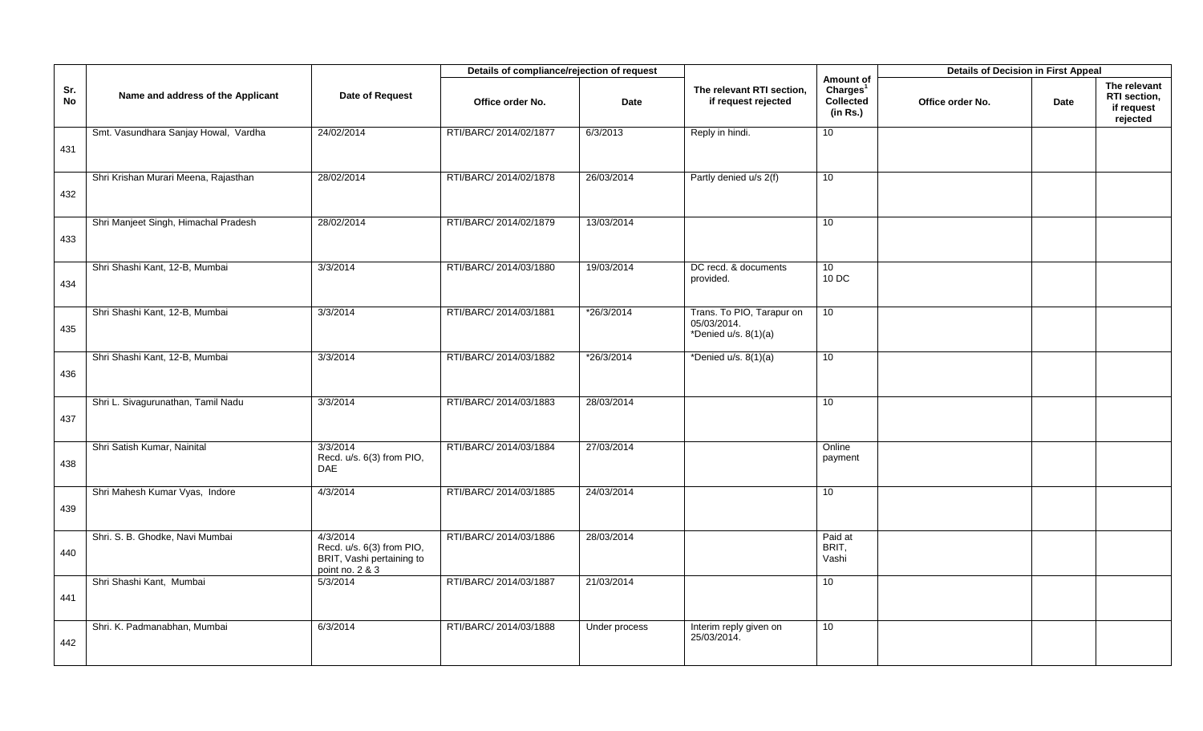|           |                                      |                                                                                       | Details of compliance/rejection of request |               |                                                                    |                                                            | <b>Details of Decision in First Appeal</b> |      |                                                        |
|-----------|--------------------------------------|---------------------------------------------------------------------------------------|--------------------------------------------|---------------|--------------------------------------------------------------------|------------------------------------------------------------|--------------------------------------------|------|--------------------------------------------------------|
| Sr.<br>No | Name and address of the Applicant    | Date of Request                                                                       | Office order No.                           | <b>Date</b>   | The relevant RTI section,<br>if request rejected                   | Amount of<br>Charles <sup>1</sup><br>Collected<br>(in Rs.) | Office order No.                           | Date | The relevant<br>RTI section,<br>if request<br>rejected |
| 431       | Smt. Vasundhara Sanjay Howal, Vardha | 24/02/2014                                                                            | RTI/BARC/ 2014/02/1877                     | 6/3/2013      | Reply in hindi.                                                    | 10 <sup>1</sup>                                            |                                            |      |                                                        |
| 432       | Shri Krishan Murari Meena, Rajasthan | 28/02/2014                                                                            | RTI/BARC/ 2014/02/1878                     | 26/03/2014    | Partly denied u/s 2(f)                                             | 10                                                         |                                            |      |                                                        |
| 433       | Shri Manjeet Singh, Himachal Pradesh | 28/02/2014                                                                            | RTI/BARC/ 2014/02/1879                     | 13/03/2014    |                                                                    | 10                                                         |                                            |      |                                                        |
| 434       | Shri Shashi Kant, 12-B, Mumbai       | 3/3/2014                                                                              | RTI/BARC/ 2014/03/1880                     | 19/03/2014    | DC recd. & documents<br>provided.                                  | 10 <sup>°</sup><br>10 DC                                   |                                            |      |                                                        |
| 435       | Shri Shashi Kant, 12-B, Mumbai       | 3/3/2014                                                                              | RTI/BARC/ 2014/03/1881                     | *26/3/2014    | Trans. To PIO, Tarapur on<br>05/03/2014.<br>*Denied $u/s. 8(1)(a)$ | 10                                                         |                                            |      |                                                        |
| 436       | Shri Shashi Kant, 12-B, Mumbai       | 3/3/2014                                                                              | RTI/BARC/ 2014/03/1882                     | *26/3/2014    | *Denied $u/s. 8(1)(a)$                                             | 10                                                         |                                            |      |                                                        |
| 437       | Shri L. Sivagurunathan, Tamil Nadu   | 3/3/2014                                                                              | RTI/BARC/ 2014/03/1883                     | 28/03/2014    |                                                                    | 10                                                         |                                            |      |                                                        |
| 438       | Shri Satish Kumar, Nainital          | 3/3/2014<br>Recd. u/s. 6(3) from PIO,<br><b>DAE</b>                                   | RTI/BARC/ 2014/03/1884                     | 27/03/2014    |                                                                    | Online<br>payment                                          |                                            |      |                                                        |
| 439       | Shri Mahesh Kumar Vyas, Indore       | 4/3/2014                                                                              | RTI/BARC/ 2014/03/1885                     | 24/03/2014    |                                                                    | 10 <sup>1</sup>                                            |                                            |      |                                                        |
| 440       | Shri. S. B. Ghodke, Navi Mumbai      | 4/3/2014<br>Recd. u/s. 6(3) from PIO,<br>BRIT, Vashi pertaining to<br>point no. 2 & 3 | RTI/BARC/ 2014/03/1886                     | 28/03/2014    |                                                                    | Paid at<br>BRIT.<br>Vashi                                  |                                            |      |                                                        |
| 441       | Shri Shashi Kant, Mumbai             | 5/3/2014                                                                              | RTI/BARC/ 2014/03/1887                     | 21/03/2014    |                                                                    | 10                                                         |                                            |      |                                                        |
| 442       | Shri. K. Padmanabhan, Mumbai         | 6/3/2014                                                                              | RTI/BARC/ 2014/03/1888                     | Under process | Interim reply given on<br>25/03/2014.                              | 10 <sup>°</sup>                                            |                                            |      |                                                        |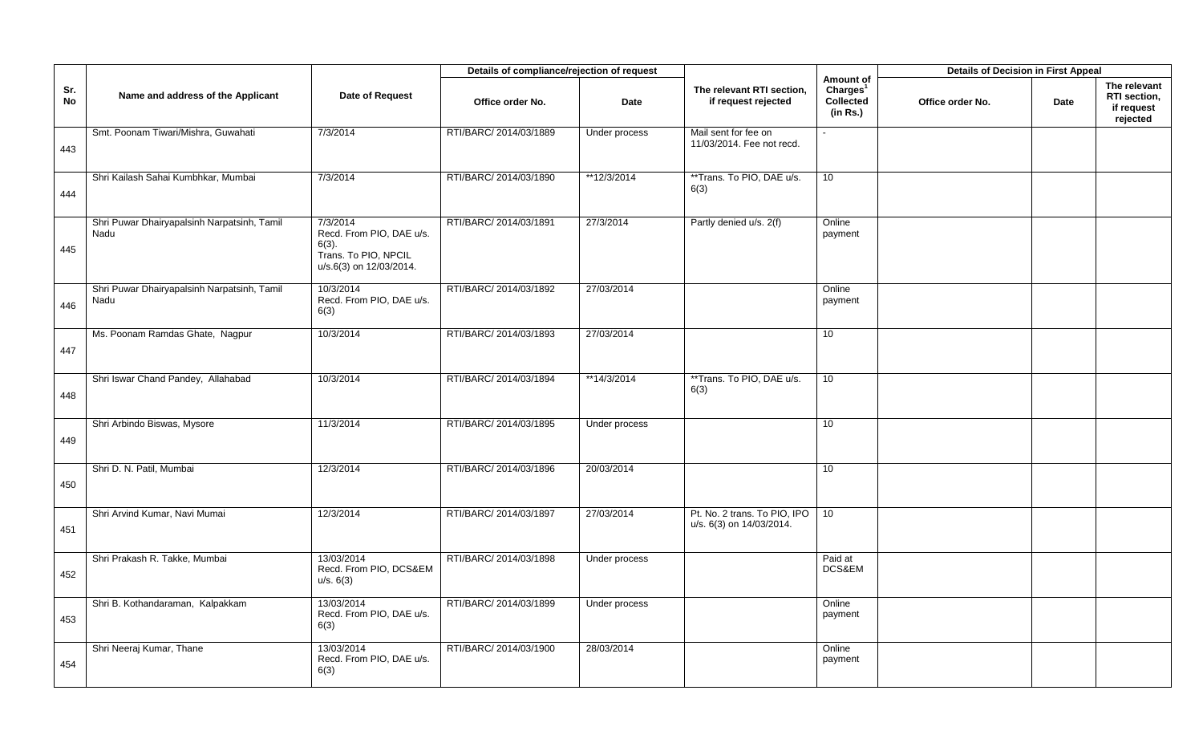|                  |                                                     |                                                                                                     | Details of compliance/rejection of request |                |                                                          |                                                            | <b>Details of Decision in First Appeal</b> |      |                                                        |
|------------------|-----------------------------------------------------|-----------------------------------------------------------------------------------------------------|--------------------------------------------|----------------|----------------------------------------------------------|------------------------------------------------------------|--------------------------------------------|------|--------------------------------------------------------|
| Sr.<br><b>No</b> | Name and address of the Applicant                   | Date of Request                                                                                     | Office order No.                           | <b>Date</b>    | The relevant RTI section,<br>if request rejected         | Amount of<br>Charles <sup>1</sup><br>Collected<br>(in Rs.) | Office order No.                           | Date | The relevant<br>RTI section,<br>if request<br>rejected |
| 443              | Smt. Poonam Tiwari/Mishra, Guwahati                 | 7/3/2014                                                                                            | RTI/BARC/ 2014/03/1889                     | Under process  | Mail sent for fee on<br>11/03/2014. Fee not recd.        |                                                            |                                            |      |                                                        |
| 444              | Shri Kailash Sahai Kumbhkar, Mumbai                 | 7/3/2014                                                                                            | RTI/BARC/ 2014/03/1890                     | **12/3/2014    | **Trans. To PIO, DAE u/s.<br>6(3)                        | 10                                                         |                                            |      |                                                        |
| 445              | Shri Puwar Dhairyapalsinh Narpatsinh, Tamil<br>Nadu | 7/3/2014<br>Recd. From PIO, DAE u/s.<br>$6(3)$ .<br>Trans. To PIO, NPCIL<br>u/s.6(3) on 12/03/2014. | RTI/BARC/ 2014/03/1891                     | 27/3/2014      | Partly denied u/s. 2(f)                                  | Online<br>payment                                          |                                            |      |                                                        |
| 446              | Shri Puwar Dhairyapalsinh Narpatsinh, Tamil<br>Nadu | 10/3/2014<br>Recd. From PIO, DAE u/s.<br>6(3)                                                       | RTI/BARC/ 2014/03/1892                     | 27/03/2014     |                                                          | Online<br>payment                                          |                                            |      |                                                        |
| 447              | Ms. Poonam Ramdas Ghate, Nagpur                     | 10/3/2014                                                                                           | RTI/BARC/ 2014/03/1893                     | 27/03/2014     |                                                          | 10 <sup>1</sup>                                            |                                            |      |                                                        |
| 448              | Shri Iswar Chand Pandey, Allahabad                  | 10/3/2014                                                                                           | RTI/BARC/ 2014/03/1894                     | $*$ *14/3/2014 | **Trans. To PIO, DAE u/s.<br>6(3)                        | 10                                                         |                                            |      |                                                        |
| 449              | Shri Arbindo Biswas, Mysore                         | 11/3/2014                                                                                           | RTI/BARC/ 2014/03/1895                     | Under process  |                                                          | 10 <sup>°</sup>                                            |                                            |      |                                                        |
| 450              | Shri D. N. Patil, Mumbai                            | 12/3/2014                                                                                           | RTI/BARC/ 2014/03/1896                     | 20/03/2014     |                                                          | 10                                                         |                                            |      |                                                        |
| 451              | Shri Arvind Kumar, Navi Mumai                       | 12/3/2014                                                                                           | RTI/BARC/ 2014/03/1897                     | 27/03/2014     | Pt. No. 2 trans. To PIO, IPO<br>u/s. 6(3) on 14/03/2014. | 10                                                         |                                            |      |                                                        |
| 452              | Shri Prakash R. Takke, Mumbai                       | 13/03/2014<br>Recd. From PIO, DCS&EM<br>u/s. 6(3)                                                   | RTI/BARC/ 2014/03/1898                     | Under process  |                                                          | Paid at<br>DCS&EM                                          |                                            |      |                                                        |
| 453              | Shri B. Kothandaraman, Kalpakkam                    | 13/03/2014<br>Recd. From PIO, DAE u/s.<br>6(3)                                                      | RTI/BARC/ 2014/03/1899                     | Under process  |                                                          | Online<br>payment                                          |                                            |      |                                                        |
| 454              | Shri Neeraj Kumar, Thane                            | 13/03/2014<br>Recd. From PIO, DAE u/s.<br>6(3)                                                      | RTI/BARC/ 2014/03/1900                     | 28/03/2014     |                                                          | Online<br>payment                                          |                                            |      |                                                        |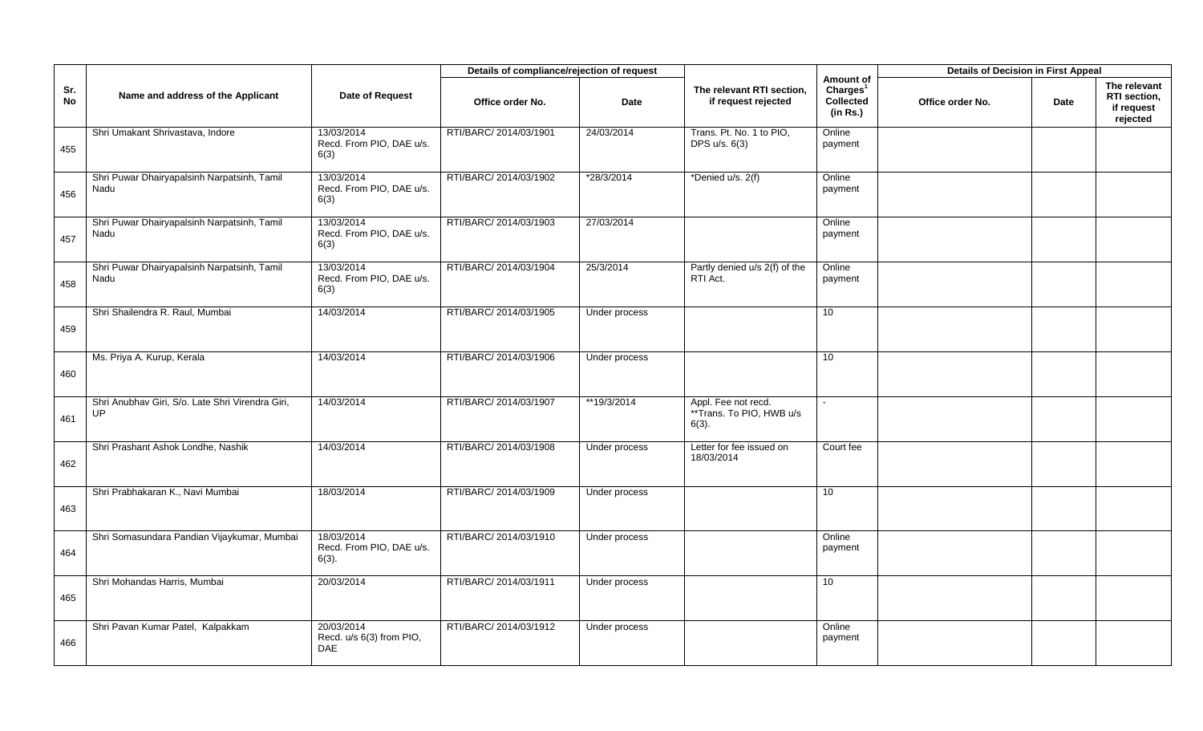|                  |                                                        |                                                      | Details of compliance/rejection of request |               |                                                             |                                                            | <b>Details of Decision in First Appeal</b> |      |                                                        |
|------------------|--------------------------------------------------------|------------------------------------------------------|--------------------------------------------|---------------|-------------------------------------------------------------|------------------------------------------------------------|--------------------------------------------|------|--------------------------------------------------------|
| Sr.<br><b>No</b> | Name and address of the Applicant                      | Date of Request                                      | Office order No.                           | <b>Date</b>   | The relevant RTI section,<br>if request rejected            | Amount of<br>Charles <sup>1</sup><br>Collected<br>(in Rs.) | Office order No.                           | Date | The relevant<br>RTI section,<br>if request<br>rejected |
| 455              | Shri Umakant Shrivastava, Indore                       | 13/03/2014<br>Recd. From PIO, DAE u/s.<br>6(3)       | RTI/BARC/ 2014/03/1901                     | 24/03/2014    | Trans. Pt. No. 1 to PIO,<br>DPS u/s. 6(3)                   | Online<br>payment                                          |                                            |      |                                                        |
| 456              | Shri Puwar Dhairyapalsinh Narpatsinh, Tamil<br>Nadu    | 13/03/2014<br>Recd. From PIO, DAE u/s.<br>6(3)       | RTI/BARC/ 2014/03/1902                     | *28/3/2014    | *Denied u/s. 2(f)                                           | Online<br>payment                                          |                                            |      |                                                        |
| 457              | Shri Puwar Dhairyapalsinh Narpatsinh, Tamil<br>Nadu    | 13/03/2014<br>Recd. From PIO, DAE u/s.<br>6(3)       | RTI/BARC/ 2014/03/1903                     | 27/03/2014    |                                                             | Online<br>payment                                          |                                            |      |                                                        |
| 458              | Shri Puwar Dhairyapalsinh Narpatsinh, Tamil<br>Nadu    | 13/03/2014<br>Recd. From PIO, DAE u/s.<br>6(3)       | RTI/BARC/ 2014/03/1904                     | 25/3/2014     | Partly denied u/s 2(f) of the<br>RTI Act.                   | Online<br>payment                                          |                                            |      |                                                        |
| 459              | Shri Shailendra R. Raul, Mumbai                        | 14/03/2014                                           | RTI/BARC/ 2014/03/1905                     | Under process |                                                             | 10                                                         |                                            |      |                                                        |
| 460              | Ms. Priya A. Kurup, Kerala                             | 14/03/2014                                           | RTI/BARC/ 2014/03/1906                     | Under process |                                                             | 10                                                         |                                            |      |                                                        |
| 461              | Shri Anubhav Giri, S/o. Late Shri Virendra Giri,<br>UP | 14/03/2014                                           | RTI/BARC/ 2014/03/1907                     | **19/3/2014   | Appl. Fee not recd.<br>**Trans. To PIO, HWB u/s<br>$6(3)$ . |                                                            |                                            |      |                                                        |
| 462              | Shri Prashant Ashok Londhe, Nashik                     | 14/03/2014                                           | RTI/BARC/ 2014/03/1908                     | Under process | Letter for fee issued on<br>18/03/2014                      | Court fee                                                  |                                            |      |                                                        |
| 463              | Shri Prabhakaran K., Navi Mumbai                       | 18/03/2014                                           | RTI/BARC/ 2014/03/1909                     | Under process |                                                             | 10                                                         |                                            |      |                                                        |
| 464              | Shri Somasundara Pandian Vijaykumar, Mumbai            | 18/03/2014<br>Recd. From PIO, DAE u/s.<br>$6(3)$ .   | RTI/BARC/ 2014/03/1910                     | Under process |                                                             | Online<br>payment                                          |                                            |      |                                                        |
| 465              | Shri Mohandas Harris, Mumbai                           | 20/03/2014                                           | RTI/BARC/ 2014/03/1911                     | Under process |                                                             | 10                                                         |                                            |      |                                                        |
| 466              | Shri Pavan Kumar Patel, Kalpakkam                      | 20/03/2014<br>Recd. u/s 6(3) from PIO,<br><b>DAE</b> | RTI/BARC/ 2014/03/1912                     | Under process |                                                             | Online<br>payment                                          |                                            |      |                                                        |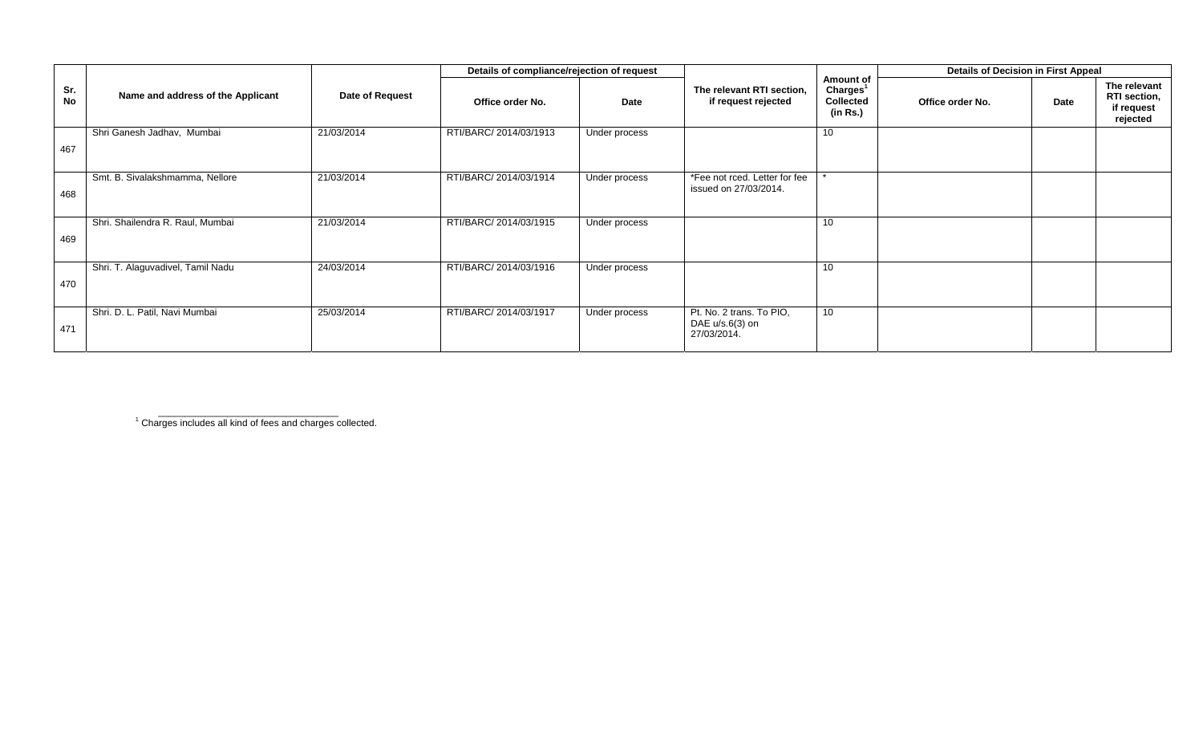|           |                                   |                 | Details of compliance/rejection of request |               |                                                            |                                                                   | <b>Details of Decision in First Appeal</b> |      |                                                        |
|-----------|-----------------------------------|-----------------|--------------------------------------------|---------------|------------------------------------------------------------|-------------------------------------------------------------------|--------------------------------------------|------|--------------------------------------------------------|
| Sr.<br>No | Name and address of the Applicant | Date of Request | Office order No.                           | Date          | The relevant RTI section,<br>if request rejected           | Amount of<br>Charles <sup>1</sup><br><b>Collected</b><br>(in Rs.) | Office order No.                           | Date | The relevant<br>RTI section,<br>if request<br>rejected |
| 467       | Shri Ganesh Jadhav, Mumbai        | 21/03/2014      | RTI/BARC/ 2014/03/1913                     | Under process |                                                            | 10                                                                |                                            |      |                                                        |
| 468       | Smt. B. Sivalakshmamma, Nellore   | 21/03/2014      | RTI/BARC/ 2014/03/1914                     | Under process | *Fee not rced. Letter for fee<br>issued on 27/03/2014.     |                                                                   |                                            |      |                                                        |
| 469       | Shri. Shailendra R. Raul, Mumbai  | 21/03/2014      | RTI/BARC/ 2014/03/1915                     | Under process |                                                            | 10                                                                |                                            |      |                                                        |
| 470       | Shri. T. Alaguvadivel, Tamil Nadu | 24/03/2014      | RTI/BARC/ 2014/03/1916                     | Under process |                                                            | 10                                                                |                                            |      |                                                        |
| 471       | Shri. D. L. Patil, Navi Mumbai    | 25/03/2014      | RTI/BARC/ 2014/03/1917                     | Under process | Pt. No. 2 trans. To PIO,<br>DAE u/s.6(3) on<br>27/03/2014. | 10                                                                |                                            |      |                                                        |

<sup>1</sup> Charges includes all kind of fees and charges collected.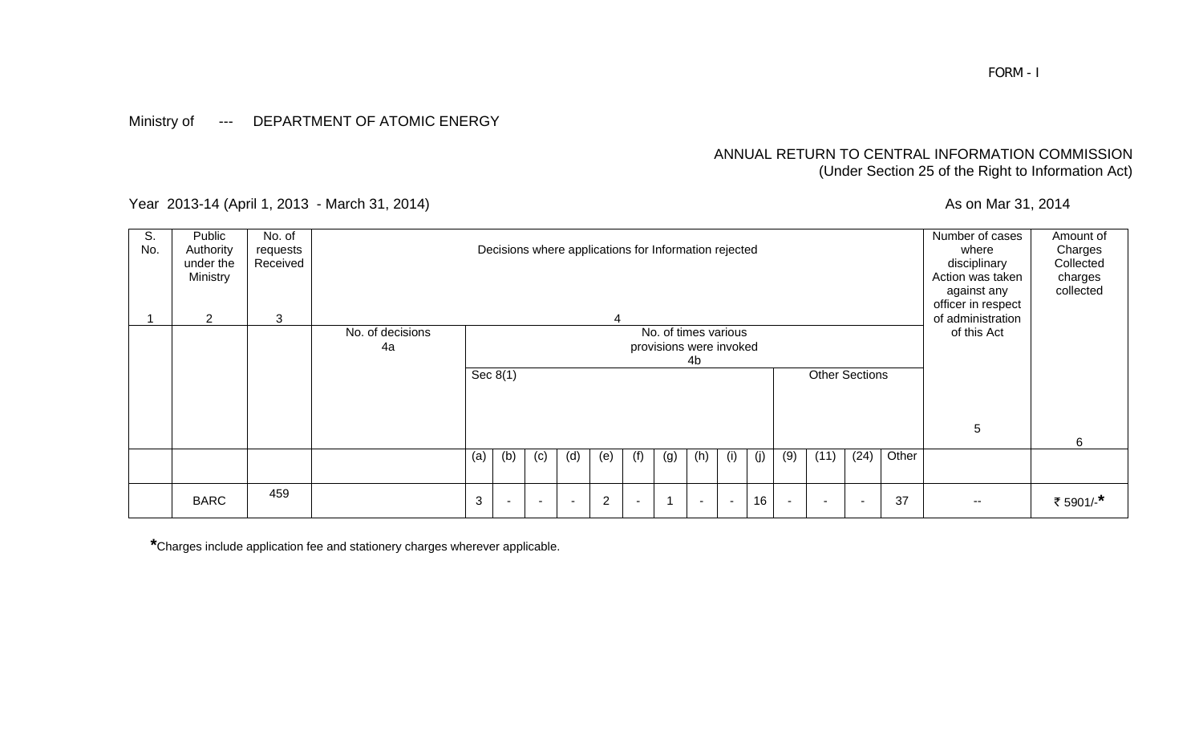### Ministry of --- DEPARTMENT OF ATOMIC ENERGY

### ANNUAL RETURN TO CENTRAL INFORMATION COMMISSION (Under Section 25 of the Right to Information Act)

Year 2013-14 (April 1, 2013 - March 31, 2014) <br>
As on Mar 31, 2014

| S.<br>No. | Public<br>Authority<br>under the<br>Ministry | No. of<br>requests<br>Received |                  |                                                       |                          |     |                          | Decisions where applications for Information rejected |     |                         |     |                          |     |                          |      |      |       | Number of cases<br>where<br>disciplinary<br>Action was taken<br>against any<br>officer in respect | Amount of<br>Charges<br>Collected<br>charges<br>collected |
|-----------|----------------------------------------------|--------------------------------|------------------|-------------------------------------------------------|--------------------------|-----|--------------------------|-------------------------------------------------------|-----|-------------------------|-----|--------------------------|-----|--------------------------|------|------|-------|---------------------------------------------------------------------------------------------------|-----------------------------------------------------------|
|           | $\overline{2}$                               | 3                              | No. of decisions | 4<br>No. of times various<br>provisions were invoked  |                          |     |                          |                                                       |     |                         |     |                          |     |                          |      |      |       | of administration<br>of this Act                                                                  |                                                           |
|           |                                              |                                | 4a               | 4 <sub>b</sub><br>Sec $8(1)$<br><b>Other Sections</b> |                          |     |                          |                                                       |     |                         |     |                          |     |                          |      |      |       |                                                                                                   |                                                           |
|           |                                              |                                |                  |                                                       |                          |     |                          |                                                       |     |                         |     |                          |     |                          |      |      |       |                                                                                                   |                                                           |
|           |                                              |                                |                  |                                                       |                          |     |                          |                                                       |     |                         |     |                          |     |                          |      |      |       |                                                                                                   |                                                           |
|           |                                              |                                |                  |                                                       |                          |     |                          |                                                       |     |                         |     |                          |     |                          |      |      |       | 5                                                                                                 |                                                           |
|           |                                              |                                |                  |                                                       |                          |     |                          |                                                       |     |                         |     |                          |     |                          |      |      |       |                                                                                                   | 6                                                         |
|           |                                              |                                |                  | (a)                                                   | (b)                      | (c) | (d)                      | (e)                                                   | (f) | (g)                     | (h) | (i)                      | (j) | (9)                      | (11) | (24) | Other |                                                                                                   |                                                           |
|           |                                              |                                |                  |                                                       |                          |     |                          |                                                       |     |                         |     |                          |     |                          |      |      |       |                                                                                                   |                                                           |
|           | <b>BARC</b>                                  | 459                            |                  | 3                                                     | $\overline{\phantom{a}}$ |     | $\overline{\phantom{a}}$ | $\overline{2}$                                        |     | $\overline{\mathbf{1}}$ |     | $\overline{\phantom{a}}$ | 16  | $\overline{\phantom{a}}$ |      |      | 37    | $- -$                                                                                             | ₹ 5901/-*                                                 |

**\***Charges include application fee and stationery charges wherever applicable.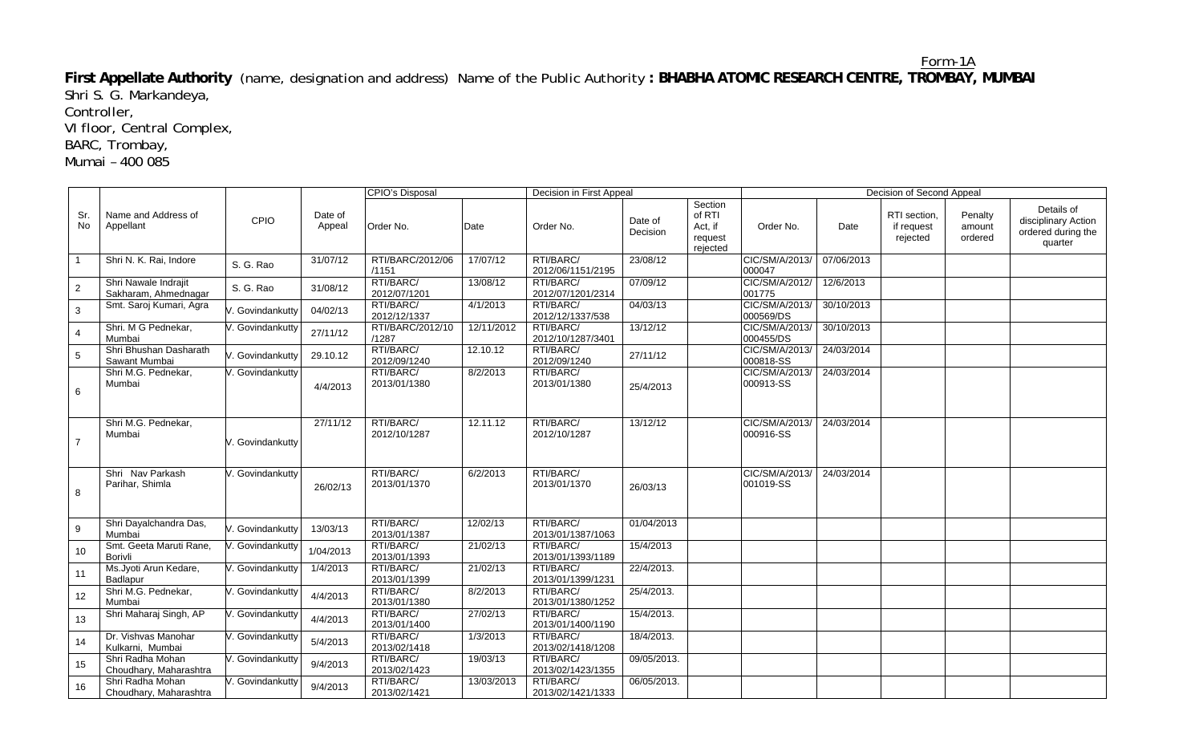#### Form-1A

**First Appellate Authority** (name, designation and address) Name of the Public Authority **: BHABHA ATOMIC RESEARCH CENTRE, TROMBAY, MUMBAI**  Shri S. G. Markandeya,

Controller,

VI floor, Central Complex,

BARC, Trombay,

Mumai – 400 085

|                  |                                              |                  |                   | CPIO's Disposal           |            | Decision in First Appeal       |                     |                                                     |                             |            | Decision of Second Appeal              |                              |                                                                    |
|------------------|----------------------------------------------|------------------|-------------------|---------------------------|------------|--------------------------------|---------------------|-----------------------------------------------------|-----------------------------|------------|----------------------------------------|------------------------------|--------------------------------------------------------------------|
| Sr.<br>No        | Name and Address of<br>Appellant             | CPIO             | Date of<br>Appeal | Order No.                 | Date       | Order No.                      | Date of<br>Decision | Section<br>of RTI<br>Act, if<br>request<br>rejected | Order No.                   | Date       | RTI section.<br>if request<br>rejected | Penalty<br>amount<br>ordered | Details of<br>disciplinary Action<br>ordered during the<br>quarter |
|                  | Shri N. K. Rai, Indore                       | S. G. Rao        | 31/07/12          | RTI/BARC/2012/06<br>/1151 | 17/07/12   | RTI/BARC/<br>2012/06/1151/2195 | 23/08/12            |                                                     | CIC/SM/A/2013/<br>000047    | 07/06/2013 |                                        |                              |                                                                    |
| $\overline{2}$   | Shri Nawale Indrajit<br>Sakharam, Ahmednagar | S. G. Rao        | 31/08/12          | RTI/BARC/<br>2012/07/1201 | 13/08/12   | RTI/BARC/<br>2012/07/1201/2314 | 07/09/12            |                                                     | CIC/SM/A/2012/<br>001775    | 12/6/2013  |                                        |                              |                                                                    |
| 3                | Smt. Saroj Kumari, Agra                      | . Govindankutty  | 04/02/13          | RTI/BARC/<br>2012/12/1337 | 4/1/2013   | RTI/BARC/<br>2012/12/1337/538  | 04/03/13            |                                                     | CIC/SM/A/2013/<br>000569/DS | 30/10/2013 |                                        |                              |                                                                    |
| 4                | Shri. M G Pednekar,<br>Mumbai                | /. Govindankutty | 27/11/12          | RTI/BARC/2012/10<br>/1287 | 12/11/2012 | RTI/BARC/<br>2012/10/1287/3401 | 13/12/12            |                                                     | CIC/SM/A/2013/<br>000455/DS | 30/10/2013 |                                        |                              |                                                                    |
| 5                | Shri Bhushan Dasharath<br>Sawant Mumbai      | . Govindankutty  | 29.10.12          | RTI/BARC/<br>2012/09/1240 | 12.10.12   | RTI/BARC/<br>2012/09/1240      | 27/11/12            |                                                     | CIC/SM/A/2013/<br>000818-SS | 24/03/2014 |                                        |                              |                                                                    |
| 6                | Shri M.G. Pednekar,<br>Mumbai                | . Govindankutty  | 4/4/2013          | RTI/BARC/<br>2013/01/1380 | 8/2/2013   | RTI/BARC/<br>2013/01/1380      | 25/4/2013           |                                                     | CIC/SM/A/2013/<br>000913-SS | 24/03/2014 |                                        |                              |                                                                    |
| $\overline{7}$   | Shri M.G. Pednekar,<br>Mumbai                | /. Govindankutty | 27/11/12          | RTI/BARC/<br>2012/10/1287 | 12.11.12   | RTI/BARC/<br>2012/10/1287      | 13/12/12            |                                                     | CIC/SM/A/2013/<br>000916-SS | 24/03/2014 |                                        |                              |                                                                    |
| 8                | Shri Nav Parkash<br>Parihar, Shimla          | V. Govindankutty | 26/02/13          | RTI/BARC/<br>2013/01/1370 | 6/2/2013   | RTI/BARC/<br>2013/01/1370      | 26/03/13            |                                                     | CIC/SM/A/2013/<br>001019-SS | 24/03/2014 |                                        |                              |                                                                    |
| 9                | Shri Dayalchandra Das,<br>Mumbai             | . Govindankutty  | 13/03/13          | RTI/BARC/<br>2013/01/1387 | 12/02/13   | RTI/BARC/<br>2013/01/1387/1063 | 01/04/2013          |                                                     |                             |            |                                        |                              |                                                                    |
| 10               | Smt. Geeta Maruti Rane,<br>Borivli           | V. Govindankutty | 1/04/2013         | RTI/BARC/<br>2013/01/1393 | 21/02/13   | RTI/BARC/<br>2013/01/1393/1189 | 15/4/2013           |                                                     |                             |            |                                        |                              |                                                                    |
| 11               | Ms.Jyoti Arun Kedare,<br>Badlapur            | /. Govindankutty | 1/4/2013          | RTI/BARC/<br>2013/01/1399 | 21/02/13   | RTI/BARC/<br>2013/01/1399/1231 | 22/4/2013.          |                                                     |                             |            |                                        |                              |                                                                    |
| 12               | Shri M.G. Pednekar,<br>Mumbai                | V. Govindankutty | 4/4/2013          | RTI/BARC/<br>2013/01/1380 | 8/2/2013   | RTI/BARC/<br>2013/01/1380/1252 | 25/4/2013.          |                                                     |                             |            |                                        |                              |                                                                    |
| 13               | Shri Maharaj Singh, AP                       | V. Govindankutty | 4/4/2013          | RTI/BARC/<br>2013/01/1400 | 27/02/13   | RTI/BARC/<br>2013/01/1400/1190 | 15/4/2013.          |                                                     |                             |            |                                        |                              |                                                                    |
| 14               | Dr. Vishvas Manohar<br>Kulkarni, Mumbai      | V. Govindankutty | 5/4/2013          | RTI/BARC/<br>2013/02/1418 | 1/3/2013   | RTI/BARC/<br>2013/02/1418/1208 | 18/4/2013.          |                                                     |                             |            |                                        |                              |                                                                    |
| 15 <sub>15</sub> | Shri Radha Mohan<br>Choudhary, Maharashtra   | V. Govindankutty | 9/4/2013          | RTI/BARC/<br>2013/02/1423 | 19/03/13   | RTI/BARC/<br>2013/02/1423/1355 | 09/05/2013.         |                                                     |                             |            |                                        |                              |                                                                    |
| 16               | Shri Radha Mohan<br>Choudhary, Maharashtra   | V. Govindankutty | 9/4/2013          | RTI/BARC/<br>2013/02/1421 | 13/03/2013 | RTI/BARC/<br>2013/02/1421/1333 | 06/05/2013.         |                                                     |                             |            |                                        |                              |                                                                    |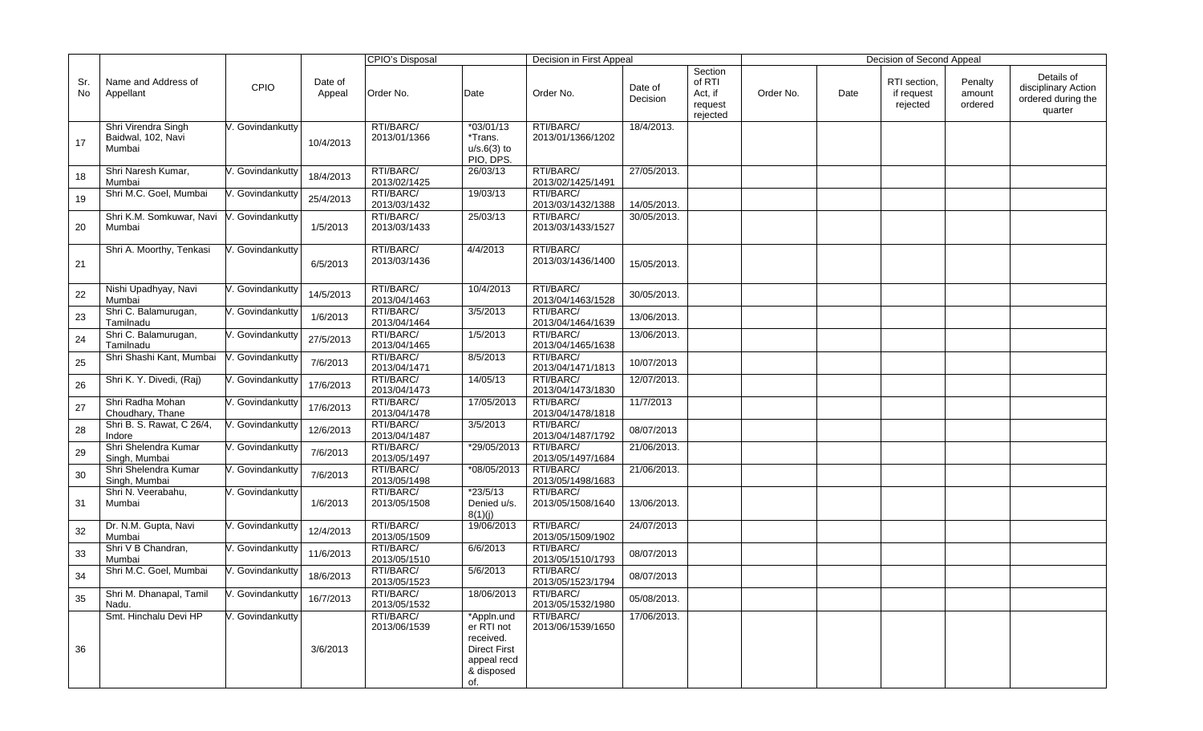|           |                                                     |                  |                   | CPIO's Disposal           |                                                                                                  | Decision in First Appeal       |                     |                                                     |           |      | Decision of Second Appeal              |                              |                                                                    |
|-----------|-----------------------------------------------------|------------------|-------------------|---------------------------|--------------------------------------------------------------------------------------------------|--------------------------------|---------------------|-----------------------------------------------------|-----------|------|----------------------------------------|------------------------------|--------------------------------------------------------------------|
| Sr.<br>No | Name and Address of<br>Appellant                    | CPIO             | Date of<br>Appeal | Order No.                 | Date                                                                                             | Order No.                      | Date of<br>Decision | Section<br>of RTI<br>Act, if<br>request<br>rejected | Order No. | Date | RTI section,<br>if request<br>rejected | Penalty<br>amount<br>ordered | Details of<br>disciplinary Action<br>ordered during the<br>quarter |
| 17        | Shri Virendra Singh<br>Baidwal, 102, Navi<br>Mumbai | V. Govindankutty | 10/4/2013         | RTI/BARC/<br>2013/01/1366 | $*03/01/13$<br>*Trans.<br>$u/s.6(3)$ to<br>PIO, DPS.                                             | RTI/BARC/<br>2013/01/1366/1202 | 18/4/2013.          |                                                     |           |      |                                        |                              |                                                                    |
| 18        | Shri Naresh Kumar,<br>Mumbai                        | . Govindankutty  | 18/4/2013         | RTI/BARC/<br>2013/02/1425 | 26/03/13                                                                                         | RTI/BARC/<br>2013/02/1425/1491 | 27/05/2013.         |                                                     |           |      |                                        |                              |                                                                    |
| 19        | Shri M.C. Goel, Mumbai                              | /. Govindankutty | 25/4/2013         | RTI/BARC/<br>2013/03/1432 | 19/03/13                                                                                         | RTI/BARC/<br>2013/03/1432/1388 | 14/05/2013.         |                                                     |           |      |                                        |                              |                                                                    |
| 20        | Shri K.M. Somkuwar, Navi<br>Mumbai                  | V. Govindankutty | 1/5/2013          | RTI/BARC/<br>2013/03/1433 | 25/03/13                                                                                         | RTI/BARC/<br>2013/03/1433/1527 | 30/05/2013.         |                                                     |           |      |                                        |                              |                                                                    |
| 21        | Shri A. Moorthy, Tenkasi                            | . Govindankutty  | 6/5/2013          | RTI/BARC/<br>2013/03/1436 | 4/4/2013                                                                                         | RTI/BARC/<br>2013/03/1436/1400 | 15/05/2013.         |                                                     |           |      |                                        |                              |                                                                    |
| 22        | Nishi Upadhyay, Navi<br>Mumbai                      | V. Govindankutty | 14/5/2013         | RTI/BARC/<br>2013/04/1463 | 10/4/2013                                                                                        | RTI/BARC/<br>2013/04/1463/1528 | 30/05/2013.         |                                                     |           |      |                                        |                              |                                                                    |
| 23        | Shri C. Balamurugan,<br>Tamilnadu                   | V. Govindankutty | 1/6/2013          | RTI/BARC/<br>2013/04/1464 | 3/5/2013                                                                                         | RTI/BARC/<br>2013/04/1464/1639 | 13/06/2013.         |                                                     |           |      |                                        |                              |                                                                    |
| 24        | Shri C. Balamurugan,<br>Tamilnadu                   | /. Govindankutty | 27/5/2013         | RTI/BARC/<br>2013/04/1465 | 1/5/2013                                                                                         | RTI/BARC/<br>2013/04/1465/1638 | 13/06/2013.         |                                                     |           |      |                                        |                              |                                                                    |
| 25        | Shri Shashi Kant, Mumbai                            | /. Govindankutty | 7/6/2013          | RTI/BARC/<br>2013/04/1471 | 8/5/2013                                                                                         | RTI/BARC/<br>2013/04/1471/1813 | 10/07/2013          |                                                     |           |      |                                        |                              |                                                                    |
| 26        | Shri K. Y. Divedi, (Raj)                            | V. Govindankutty | 17/6/2013         | RTI/BARC/<br>2013/04/1473 | 14/05/13                                                                                         | RTI/BARC/<br>2013/04/1473/1830 | 12/07/2013.         |                                                     |           |      |                                        |                              |                                                                    |
| $27\,$    | Shri Radha Mohan<br>Choudhary, Thane                | /. Govindankutty | 17/6/2013         | RTI/BARC/<br>2013/04/1478 | 17/05/2013                                                                                       | RTI/BARC/<br>2013/04/1478/1818 | 11/7/2013           |                                                     |           |      |                                        |                              |                                                                    |
| 28        | Shri B. S. Rawat, C 26/4,<br>Indore                 | V. Govindankutty | 12/6/2013         | RTI/BARC/<br>2013/04/1487 | 3/5/2013                                                                                         | RTI/BARC/<br>2013/04/1487/1792 | 08/07/2013          |                                                     |           |      |                                        |                              |                                                                    |
| 29        | Shri Shelendra Kumar<br>Singh, Mumbai               | . Govindankutty  | 7/6/2013          | RTI/BARC/<br>2013/05/1497 | *29/05/2013                                                                                      | RTI/BARC/<br>2013/05/1497/1684 | 21/06/2013.         |                                                     |           |      |                                        |                              |                                                                    |
| 30        | Shri Shelendra Kumar<br>Singh, Mumbai               | /. Govindankutty | 7/6/2013          | RTI/BARC/<br>2013/05/1498 | *08/05/2013                                                                                      | RTI/BARC/<br>2013/05/1498/1683 | 21/06/2013.         |                                                     |           |      |                                        |                              |                                                                    |
| 31        | Shri N. Veerabahu,<br>Mumbai                        | /. Govindankutty | 1/6/2013          | RTI/BARC/<br>2013/05/1508 | $*23/5/13$<br>Denied u/s.<br>8(1)(j)                                                             | RTI/BARC/<br>2013/05/1508/1640 | 13/06/2013.         |                                                     |           |      |                                        |                              |                                                                    |
| 32        | Dr. N.M. Gupta, Navi<br>Mumbai                      | /. Govindankutty | 12/4/2013         | RTI/BARC/<br>2013/05/1509 | 19/06/2013                                                                                       | RTI/BARC/<br>2013/05/1509/1902 | 24/07/2013          |                                                     |           |      |                                        |                              |                                                                    |
| 33        | Shri V B Chandran,<br>Mumbai                        | . Govindankutty  | 11/6/2013         | RTI/BARC/<br>2013/05/1510 | 6/6/2013                                                                                         | RTI/BARC/<br>2013/05/1510/1793 | 08/07/2013          |                                                     |           |      |                                        |                              |                                                                    |
| 34        | Shri M.C. Goel, Mumbai                              | V. Govindankutty | 18/6/2013         | RTI/BARC/<br>2013/05/1523 | 5/6/2013                                                                                         | RTI/BARC/<br>2013/05/1523/1794 | 08/07/2013          |                                                     |           |      |                                        |                              |                                                                    |
| 35        | Shri M. Dhanapal, Tamil<br>Nadu.                    | V. Govindankutty | 16/7/2013         | RTI/BARC/<br>2013/05/1532 | 18/06/2013                                                                                       | RTI/BARC/<br>2013/05/1532/1980 | 05/08/2013.         |                                                     |           |      |                                        |                              |                                                                    |
| 36        | Smt. Hinchalu Devi HP                               | V. Govindankutty | 3/6/2013          | RTI/BARC/<br>2013/06/1539 | *Appln.und<br>er RTI not<br>received.<br><b>Direct First</b><br>appeal recd<br>& disposed<br>of. | RTI/BARC/<br>2013/06/1539/1650 | 17/06/2013.         |                                                     |           |      |                                        |                              |                                                                    |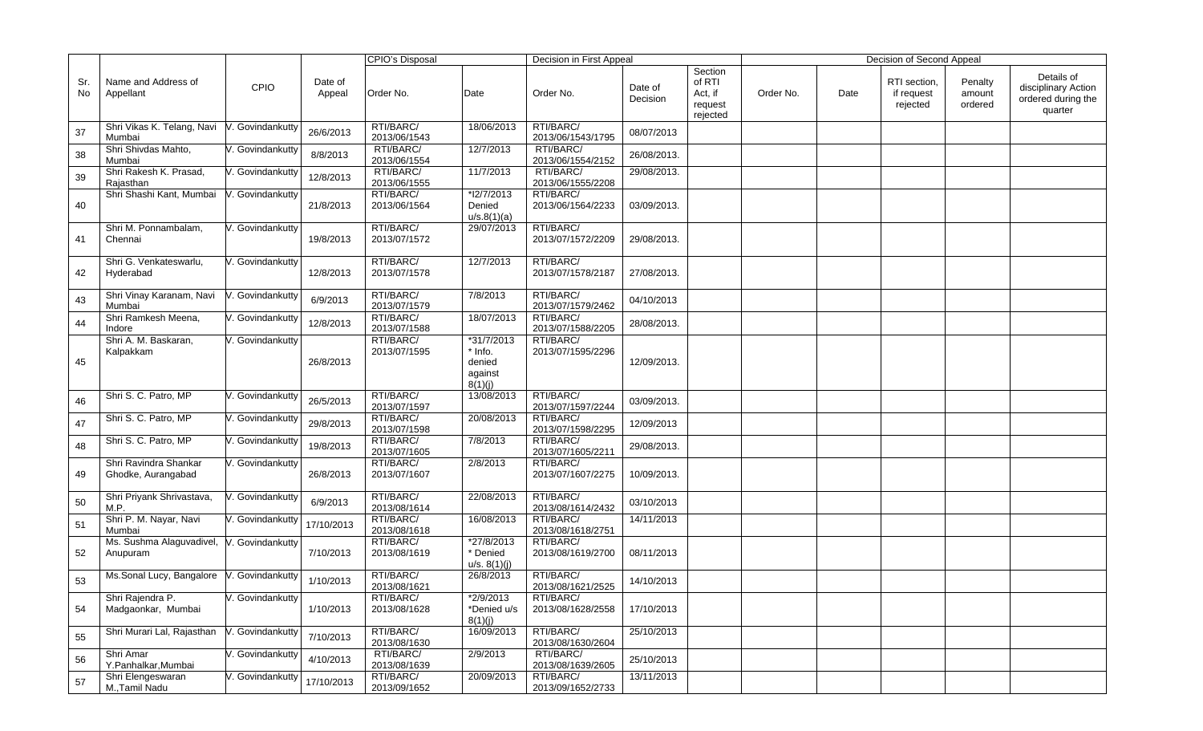|           |                                             |                  |                   | <b>CPIO's Disposal</b>    |                                                       | Decision in First Appeal       |                     |                                                     |           |      | Decision of Second Appeal              |                              |                                                                    |
|-----------|---------------------------------------------|------------------|-------------------|---------------------------|-------------------------------------------------------|--------------------------------|---------------------|-----------------------------------------------------|-----------|------|----------------------------------------|------------------------------|--------------------------------------------------------------------|
| Sr.<br>No | Name and Address of<br>Appellant            | <b>CPIO</b>      | Date of<br>Appeal | Order No.                 | Date                                                  | Order No.                      | Date of<br>Decision | Section<br>of RTI<br>Act, if<br>request<br>rejected | Order No. | Date | RTI section,<br>if request<br>rejected | Penalty<br>amount<br>ordered | Details of<br>disciplinary Action<br>ordered during the<br>quarter |
| 37        | Shri Vikas K. Telang, Navi<br>Mumbai        | V. Govindankutty | 26/6/2013         | RTI/BARC/<br>2013/06/1543 | 18/06/2013                                            | RTI/BARC/<br>2013/06/1543/1795 | 08/07/2013          |                                                     |           |      |                                        |                              |                                                                    |
| 38        | Shri Shivdas Mahto,<br>Mumbai               | . Govindankutty  | 8/8/2013          | RTI/BARC/<br>2013/06/1554 | 12/7/2013                                             | RTI/BARC/<br>2013/06/1554/2152 | 26/08/2013.         |                                                     |           |      |                                        |                              |                                                                    |
| 39        | Shri Rakesh K. Prasad,<br>Rajasthan         | . Govindankutty  | 12/8/2013         | RTI/BARC/<br>2013/06/1555 | 11/7/2013                                             | RTI/BARC/<br>2013/06/1555/2208 | 29/08/2013.         |                                                     |           |      |                                        |                              |                                                                    |
| 40        | Shri Shashi Kant, Mumbai                    | V. Govindankutty | 21/8/2013         | RTI/BARC/<br>2013/06/1564 | *l2/7/2013<br>Denied<br>u/s.8(1)(a)                   | RTI/BARC/<br>2013/06/1564/2233 | 03/09/2013.         |                                                     |           |      |                                        |                              |                                                                    |
| 41        | Shri M. Ponnambalam,<br>Chennai             | Govindankutty    | 19/8/2013         | RTI/BARC/<br>2013/07/1572 | 29/07/2013                                            | RTI/BARC/<br>2013/07/1572/2209 | 29/08/2013.         |                                                     |           |      |                                        |                              |                                                                    |
| 42        | Shri G. Venkateswarlu,<br>Hyderabad         | . Govindankutty  | 12/8/2013         | RTI/BARC/<br>2013/07/1578 | 12/7/2013                                             | RTI/BARC/<br>2013/07/1578/2187 | 27/08/2013.         |                                                     |           |      |                                        |                              |                                                                    |
| 43        | Shri Vinay Karanam, Navi<br>Mumbai          | V. Govindankutty | 6/9/2013          | RTI/BARC/<br>2013/07/1579 | 7/8/2013                                              | RTI/BARC/<br>2013/07/1579/2462 | 04/10/2013          |                                                     |           |      |                                        |                              |                                                                    |
| 44        | Shri Ramkesh Meena,<br>Indore               | Govindankutty    | 12/8/2013         | RTI/BARC/<br>2013/07/1588 | 18/07/2013                                            | RTI/BARC/<br>2013/07/1588/2205 | 28/08/2013.         |                                                     |           |      |                                        |                              |                                                                    |
| 45        | Shri A. M. Baskaran,<br>Kalpakkam           | /. Govindankutty | 26/8/2013         | RTI/BARC/<br>2013/07/1595 | *31/7/2013<br>* Info.<br>denied<br>against<br>8(1)(j) | RTI/BARC/<br>2013/07/1595/2296 | 12/09/2013.         |                                                     |           |      |                                        |                              |                                                                    |
| 46        | Shri S. C. Patro, MP                        | . Govindankutty  | 26/5/2013         | RTI/BARC/<br>2013/07/1597 | 13/08/2013                                            | RTI/BARC/<br>2013/07/1597/2244 | 03/09/2013.         |                                                     |           |      |                                        |                              |                                                                    |
| 47        | Shri S. C. Patro, MP                        | . Govindankutty  | 29/8/2013         | RTI/BARC/<br>2013/07/1598 | 20/08/2013                                            | RTI/BARC/<br>2013/07/1598/2295 | 12/09/2013          |                                                     |           |      |                                        |                              |                                                                    |
| 48        | Shri S. C. Patro, MP                        | . Govindankutty  | 19/8/2013         | RTI/BARC/<br>2013/07/1605 | 7/8/2013                                              | RTI/BARC/<br>2013/07/1605/2211 | 29/08/2013.         |                                                     |           |      |                                        |                              |                                                                    |
| 49        | Shri Ravindra Shankar<br>Ghodke, Aurangabad | V. Govindankutty | 26/8/2013         | RTI/BARC/<br>2013/07/1607 | 2/8/2013                                              | RTI/BARC/<br>2013/07/1607/2275 | 10/09/2013.         |                                                     |           |      |                                        |                              |                                                                    |
| 50        | Shri Priyank Shrivastava,<br>M.P.           | . Govindankutty  | 6/9/2013          | RTI/BARC/<br>2013/08/1614 | 22/08/2013                                            | RTI/BARC/<br>2013/08/1614/2432 | 03/10/2013          |                                                     |           |      |                                        |                              |                                                                    |
| 51        | Shri P. M. Nayar, Navi<br>Mumbai            | . Govindankutty  | 17/10/2013        | RTI/BARC/<br>2013/08/1618 | 16/08/2013                                            | RTI/BARC/<br>2013/08/1618/2751 | 14/11/2013          |                                                     |           |      |                                        |                              |                                                                    |
| 52        | Ms. Sushma Alaguvadivel,<br>Anupuram        | V. Govindankutty | 7/10/2013         | RTI/BARC/<br>2013/08/1619 | *27/8/2013<br>* Denied<br>u/s. 8(1)(i)                | RTI/BARC/<br>2013/08/1619/2700 | 08/11/2013          |                                                     |           |      |                                        |                              |                                                                    |
| 53        | Ms.Sonal Lucy, Bangalore                    | V. Govindankutty | 1/10/2013         | RTI/BARC/<br>2013/08/1621 | 26/8/2013                                             | RTI/BARC/<br>2013/08/1621/2525 | 14/10/2013          |                                                     |           |      |                                        |                              |                                                                    |
| 54        | Shri Rajendra P.<br>Madgaonkar, Mumbai      | V. Govindankutty | 1/10/2013         | RTI/BARC/<br>2013/08/1628 | *2/9/2013<br>*Denied u/s<br>8(1)(j)                   | RTI/BARC/<br>2013/08/1628/2558 | 17/10/2013          |                                                     |           |      |                                        |                              |                                                                    |
| 55        | Shri Murari Lal, Rajasthan                  | V. Govindankutty | 7/10/2013         | RTI/BARC/<br>2013/08/1630 | 16/09/2013                                            | RTI/BARC/<br>2013/08/1630/2604 | 25/10/2013          |                                                     |           |      |                                        |                              |                                                                    |
| 56        | Shri Amar<br>Y.Panhalkar, Mumbai            | . Govindankutty  | 4/10/2013         | RTI/BARC/<br>2013/08/1639 | 2/9/2013                                              | RTI/BARC/<br>2013/08/1639/2605 | 25/10/2013          |                                                     |           |      |                                        |                              |                                                                    |
| 57        | Shri Elengeswaran<br>M., Tamil Nadu         | . Govindankutty  | 17/10/2013        | RTI/BARC/<br>2013/09/1652 | 20/09/2013                                            | RTI/BARC/<br>2013/09/1652/2733 | 13/11/2013          |                                                     |           |      |                                        |                              |                                                                    |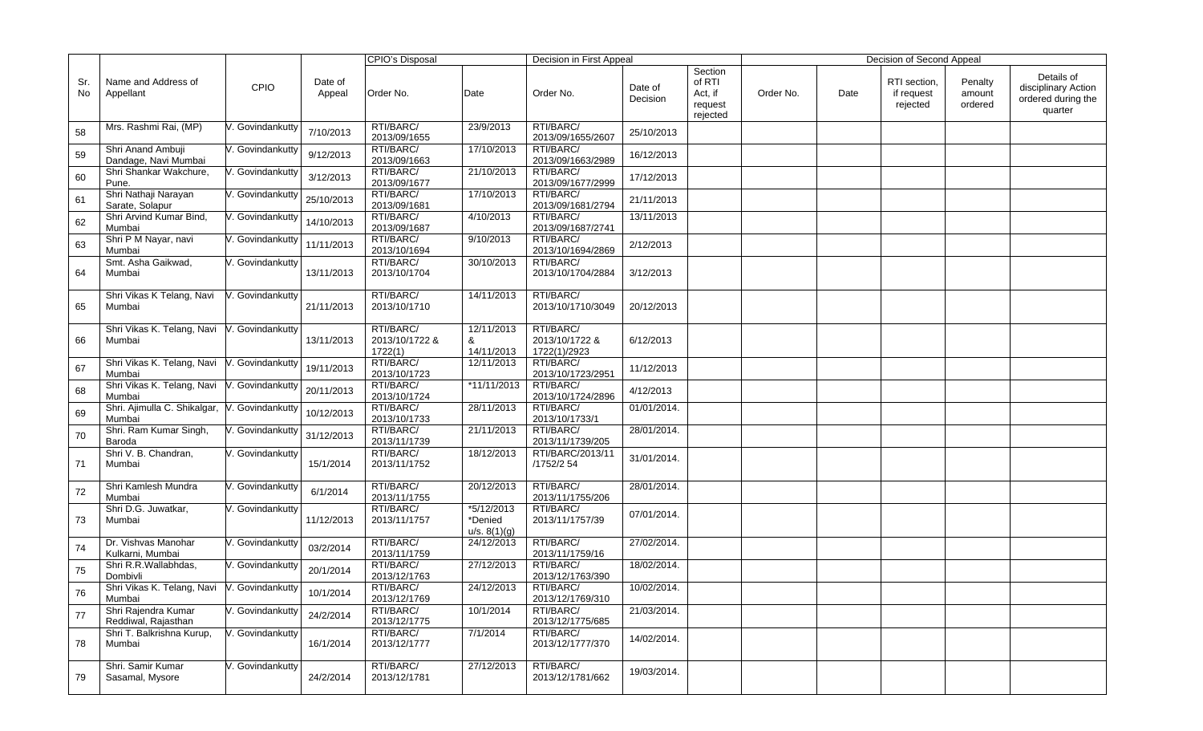|           |                                                       |                  |                   | CPIO's Disposal                        |                                       | Decision in First Appeal                    |                     |                                                     |           |      | Decision of Second Appeal              |                              |                                                                    |
|-----------|-------------------------------------------------------|------------------|-------------------|----------------------------------------|---------------------------------------|---------------------------------------------|---------------------|-----------------------------------------------------|-----------|------|----------------------------------------|------------------------------|--------------------------------------------------------------------|
| Sr.<br>No | Name and Address of<br>Appellant                      | <b>CPIO</b>      | Date of<br>Appeal | Order No.                              | Date                                  | Order No.                                   | Date of<br>Decision | Section<br>of RTI<br>Act, if<br>request<br>rejected | Order No. | Date | RTI section,<br>if request<br>rejected | Penalty<br>amount<br>ordered | Details of<br>disciplinary Action<br>ordered during the<br>quarter |
| 58        | Mrs. Rashmi Rai, (MP)                                 | /. Govindankutty | 7/10/2013         | RTI/BARC/<br>2013/09/1655              | 23/9/2013                             | RTI/BARC/<br>2013/09/1655/2607              | 25/10/2013          |                                                     |           |      |                                        |                              |                                                                    |
| 59        | Shri Anand Ambuji<br>Dandage, Navi Mumbai             | /. Govindankutty | 9/12/2013         | RTI/BARC/<br>2013/09/1663              | 17/10/2013                            | RTI/BARC/<br>2013/09/1663/2989              | 16/12/2013          |                                                     |           |      |                                        |                              |                                                                    |
| 60        | Shri Shankar Wakchure,<br>Pune.                       | . Govindankutty  | 3/12/2013         | RTI/BARC/<br>2013/09/1677              | 21/10/2013                            | RTI/BARC/<br>2013/09/1677/2999              | 17/12/2013          |                                                     |           |      |                                        |                              |                                                                    |
| 61        | Shri Nathaji Narayan<br>Sarate, Solapur               | V. Govindankutty | 25/10/2013        | RTI/BARC/<br>2013/09/1681              | 17/10/2013                            | RTI/BARC/<br>2013/09/1681/2794              | 21/11/2013          |                                                     |           |      |                                        |                              |                                                                    |
| 62        | Shri Arvind Kumar Bind.<br>Mumbai                     | V. Govindankutty | 14/10/2013        | RTI/BARC/<br>2013/09/1687              | 4/10/2013                             | RTI/BARC/<br>2013/09/1687/2741              | 13/11/2013          |                                                     |           |      |                                        |                              |                                                                    |
| 63        | Shri P M Nayar, navi<br>Mumbai                        | V. Govindankutty | 11/11/2013        | RTI/BARC/<br>2013/10/1694              | 9/10/2013                             | RTI/BARC/<br>2013/10/1694/2869              | 2/12/2013           |                                                     |           |      |                                        |                              |                                                                    |
| 64        | Smt. Asha Gaikwad,<br>Mumbai                          | . Govindankutty  | 13/11/2013        | RTI/BARC/<br>2013/10/1704              | 30/10/2013                            | RTI/BARC/<br>2013/10/1704/2884              | 3/12/2013           |                                                     |           |      |                                        |                              |                                                                    |
| 65        | Shri Vikas K Telang, Navi<br>Mumbai                   | V. Govindankutty | 21/11/2013        | RTI/BARC/<br>2013/10/1710              | 14/11/2013                            | RTI/BARC/<br>2013/10/1710/3049              | 20/12/2013          |                                                     |           |      |                                        |                              |                                                                    |
| 66        | Shri Vikas K. Telang, Navi<br>Mumbai                  | V. Govindankutty | 13/11/2013        | RTI/BARC/<br>2013/10/1722 &<br>1722(1) | 12/11/2013<br>&<br>14/11/2013         | RTI/BARC/<br>2013/10/1722 &<br>1722(1)/2923 | 6/12/2013           |                                                     |           |      |                                        |                              |                                                                    |
| 67        | Shri Vikas K. Telang, Navi<br>Mumbai                  | V. Govindankutty | 19/11/2013        | RTI/BARC/<br>2013/10/1723              | 12/11/2013                            | RTI/BARC/<br>2013/10/1723/2951              | 11/12/2013          |                                                     |           |      |                                        |                              |                                                                    |
| 68        | Shri Vikas K. Telang, Navi<br>Mumbai                  | V. Govindankutty | 20/11/2013        | RTI/BARC/<br>2013/10/1724              | *11/11/2013                           | RTI/BARC/<br>2013/10/1724/2896              | 4/12/2013           |                                                     |           |      |                                        |                              |                                                                    |
| 69        | Shri. Ajimulla C. Shikalgar,<br>Mumbai                | V. Govindankutty | 10/12/2013        | RTI/BARC/<br>2013/10/1733              | 28/11/2013                            | RTI/BARC/<br>2013/10/1733/1                 | 01/01/2014.         |                                                     |           |      |                                        |                              |                                                                    |
| 70        | Shri. Ram Kumar Singh,<br>Baroda                      | /. Govindankutty | 31/12/2013        | RTI/BARC/<br>2013/11/1739              | 21/11/2013                            | RTI/BARC/<br>2013/11/1739/205               | 28/01/2014.         |                                                     |           |      |                                        |                              |                                                                    |
| 71        | Shri V. B. Chandran,<br>Mumbai                        | V. Govindankutty | 15/1/2014         | RTI/BARC/<br>2013/11/1752              | 18/12/2013                            | RTI/BARC/2013/11<br>/1752/2 54              | 31/01/2014.         |                                                     |           |      |                                        |                              |                                                                    |
| 72        | Shri Kamlesh Mundra<br>Mumbai                         | V. Govindankutty | 6/1/2014          | RTI/BARC/<br>2013/11/1755              | 20/12/2013                            | RTI/BARC/<br>2013/11/1755/206               | 28/01/2014.         |                                                     |           |      |                                        |                              |                                                                    |
| 73        | Shri D.G. Juwatkar,<br>Mumbai                         | /. Govindankutty | 11/12/2013        | RTI/BARC/<br>2013/11/1757              | *5/12/2013<br>*Denied<br>u/s. 8(1)(g) | RTI/BARC/<br>2013/11/1757/39                | 07/01/2014.         |                                                     |           |      |                                        |                              |                                                                    |
| 74        | Dr. Vishvas Manohar<br>Kulkarni, Mumbai               | V. Govindankutty | 03/2/2014         | RTI/BARC/<br>2013/11/1759              | 24/12/2013                            | RTI/BARC/<br>2013/11/1759/16                | 27/02/2014.         |                                                     |           |      |                                        |                              |                                                                    |
| 75        | Shri R.R.Wallabhdas,<br>Dombivli                      | V. Govindankutty | 20/1/2014         | RTI/BARC/<br>2013/12/1763              | 27/12/2013                            | RTI/BARC/<br>2013/12/1763/390               | 18/02/2014.         |                                                     |           |      |                                        |                              |                                                                    |
| 76        | Shri Vikas K. Telang, Navi V. Govindankutty<br>Mumbai |                  | 10/1/2014         | RTI/BARC/<br>2013/12/1769              | 24/12/2013                            | RTI/BARC/<br>2013/12/1769/310               | 10/02/2014.         |                                                     |           |      |                                        |                              |                                                                    |
| 77        | Shri Rajendra Kumar<br>Reddiwal, Rajasthan            | V. Govindankutty | 24/2/2014         | RTI/BARC/<br>2013/12/1775              | 10/1/2014                             | RTI/BARC/<br>2013/12/1775/685               | 21/03/2014.         |                                                     |           |      |                                        |                              |                                                                    |
| 78        | Shri T. Balkrishna Kurup,<br>Mumbai                   | /. Govindankutty | 16/1/2014         | RTI/BARC/<br>2013/12/1777              | 7/1/2014                              | RTI/BARC/<br>2013/12/1777/370               | 14/02/2014.         |                                                     |           |      |                                        |                              |                                                                    |
| 79        | Shri, Samir Kumar<br>Sasamal, Mysore                  | V. Govindankutty | 24/2/2014         | RTI/BARC/<br>2013/12/1781              | 27/12/2013                            | RTI/BARC/<br>2013/12/1781/662               | 19/03/2014.         |                                                     |           |      |                                        |                              |                                                                    |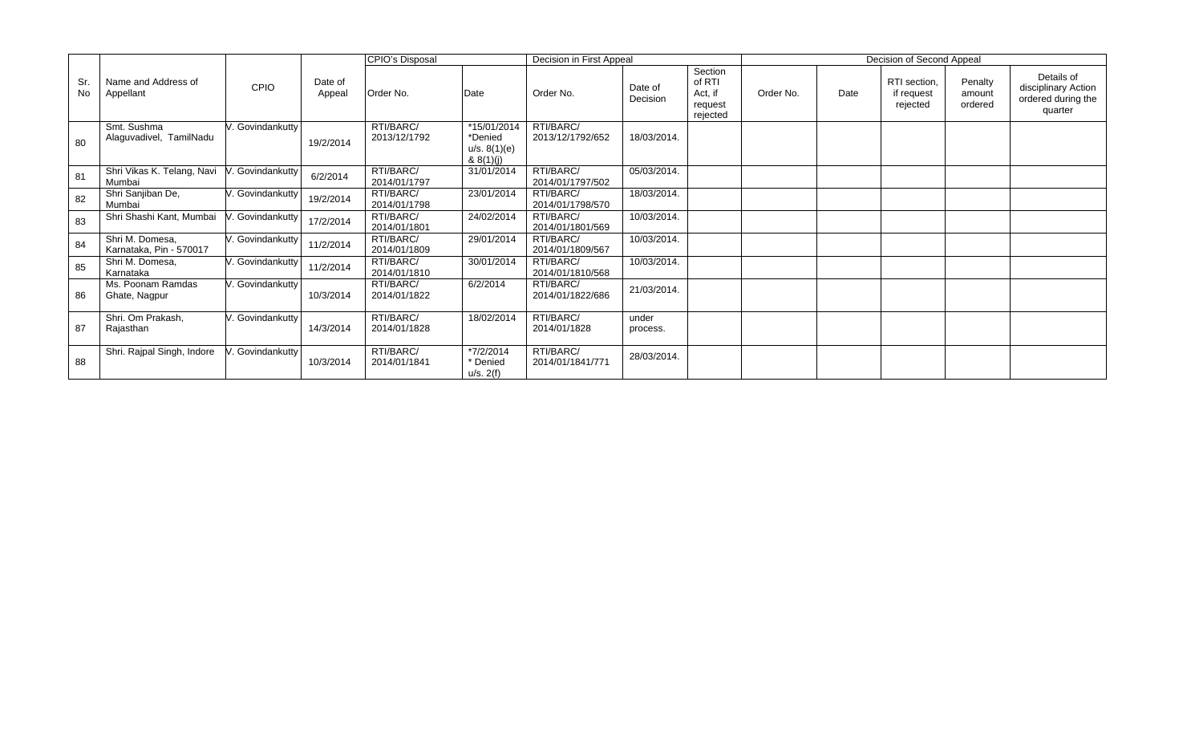|            |                                            |                  |                   | <b>CPIO's Disposal</b>    |                                                     | Decision in First Appeal      |                     |                                                     |           |      | Decision of Second Appeal              |                              |                                                                    |
|------------|--------------------------------------------|------------------|-------------------|---------------------------|-----------------------------------------------------|-------------------------------|---------------------|-----------------------------------------------------|-----------|------|----------------------------------------|------------------------------|--------------------------------------------------------------------|
| Sr.<br>No. | Name and Address of<br>Appellant           | CPIO             | Date of<br>Appeal | Order No.                 | Date                                                | Order No.                     | Date of<br>Decision | Section<br>of RTI<br>Act, if<br>request<br>rejected | Order No. | Date | RTI section,<br>if request<br>rejected | Penalty<br>amount<br>ordered | Details of<br>disciplinary Action<br>ordered during the<br>quarter |
| 80         | Smt. Sushma<br>Alaguvadivel, TamilNadu     | V. Govindankutty | 19/2/2014         | RTI/BARC/<br>2013/12/1792 | *15/01/2014<br>*Denied<br>u/s. 8(1)(e)<br>& 8(1)(j) | RTI/BARC/<br>2013/12/1792/652 | 18/03/2014.         |                                                     |           |      |                                        |                              |                                                                    |
| 81         | Shri Vikas K. Telang, Navi<br>Mumbai       | V. Govindankutty | 6/2/2014          | RTI/BARC/<br>2014/01/1797 | 31/01/2014                                          | RTI/BARC/<br>2014/01/1797/502 | 05/03/2014.         |                                                     |           |      |                                        |                              |                                                                    |
| 82         | Shri Sanjiban De,<br>Mumbai                | V. Govindankutty | 19/2/2014         | RTI/BARC/<br>2014/01/1798 | 23/01/2014                                          | RTI/BARC/<br>2014/01/1798/570 | 18/03/2014.         |                                                     |           |      |                                        |                              |                                                                    |
| 83         | Shri Shashi Kant, Mumbai                   | /. Govindankutty | 17/2/2014         | RTI/BARC/<br>2014/01/1801 | 24/02/2014                                          | RTI/BARC/<br>2014/01/1801/569 | 10/03/2014.         |                                                     |           |      |                                        |                              |                                                                    |
| 84         | Shri M. Domesa,<br>Karnataka, Pin - 570017 | V. Govindankutty | 11/2/2014         | RTI/BARC/<br>2014/01/1809 | 29/01/2014                                          | RTI/BARC/<br>2014/01/1809/567 | 10/03/2014.         |                                                     |           |      |                                        |                              |                                                                    |
| 85         | Shri M. Domesa,<br>Karnataka               | V. Govindankutty | 11/2/2014         | RTI/BARC/<br>2014/01/1810 | 30/01/2014                                          | RTI/BARC/<br>2014/01/1810/568 | 10/03/2014.         |                                                     |           |      |                                        |                              |                                                                    |
| 86         | Ms. Poonam Ramdas<br>Ghate, Nagpur         | V. Govindankutty | 10/3/2014         | RTI/BARC/<br>2014/01/1822 | 6/2/2014                                            | RTI/BARC/<br>2014/01/1822/686 | 21/03/2014.         |                                                     |           |      |                                        |                              |                                                                    |
| 87         | Shri. Om Prakash,<br>Rajasthan             | V. Govindankutty | 14/3/2014         | RTI/BARC/<br>2014/01/1828 | 18/02/2014                                          | RTI/BARC/<br>2014/01/1828     | under<br>process.   |                                                     |           |      |                                        |                              |                                                                    |
| 88         | Shri. Rajpal Singh, Indore                 | . Govindankutty  | 10/3/2014         | RTI/BARC/<br>2014/01/1841 | *7/2/2014<br>* Denied<br>u/s. 2(f)                  | RTI/BARC/<br>2014/01/1841/771 | 28/03/2014.         |                                                     |           |      |                                        |                              |                                                                    |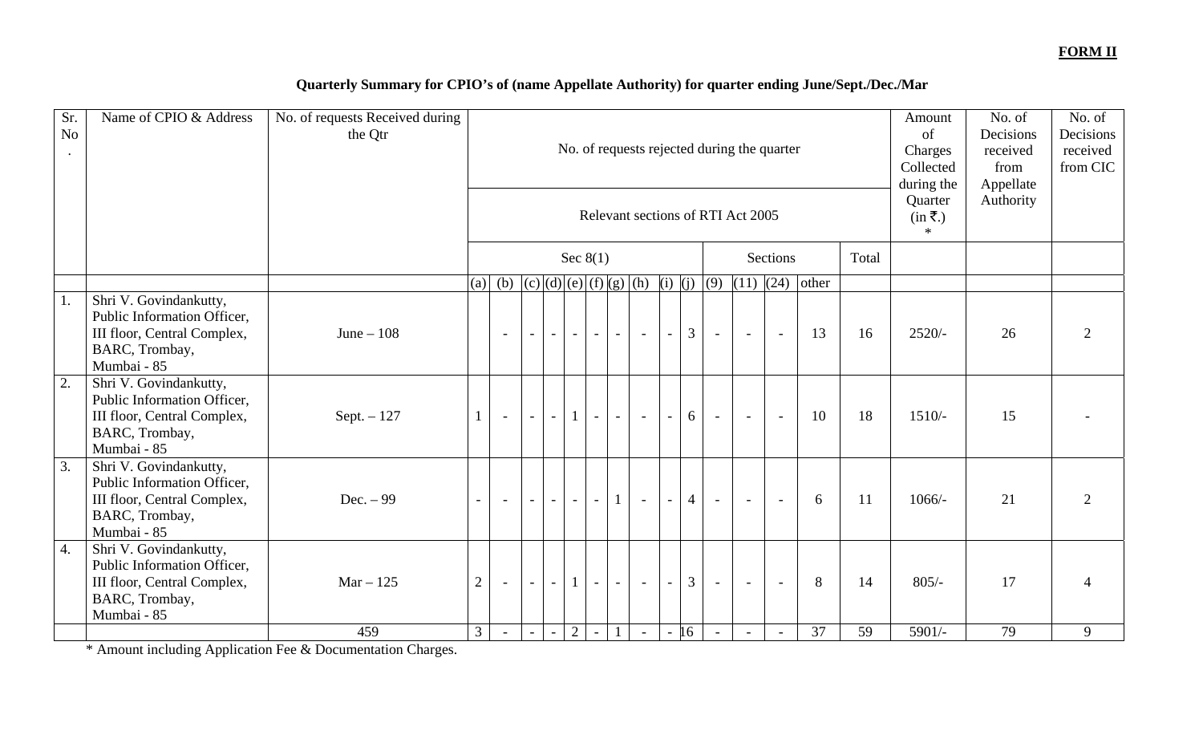### **FORM II**

## **Quarterly Summary for CPIO's of (name Appellate Authority) for quarter ending June/Sept./Dec./Mar**

| Sr.<br>No<br>$\ddot{\phantom{a}}$ | Name of CPIO & Address                                                                                                | No. of requests Received during<br>the Qtr |                |                          |        |                          |              |                          |                          |                                   |                          |                |        | No. of requests rejected during the quarter<br>Relevant sections of RTI Act 2005 |                          |       |       | Amount<br>of<br>Charges<br>Collected<br>during the<br>Quarter<br>$(in \bar{\mathbf{\tau}}.)$<br>$*$ | No. of<br>Decisions<br>received<br>from<br>Appellate<br>Authority | No. of<br>Decisions<br>received<br>from CIC |
|-----------------------------------|-----------------------------------------------------------------------------------------------------------------------|--------------------------------------------|----------------|--------------------------|--------|--------------------------|--------------|--------------------------|--------------------------|-----------------------------------|--------------------------|----------------|--------|----------------------------------------------------------------------------------|--------------------------|-------|-------|-----------------------------------------------------------------------------------------------------|-------------------------------------------------------------------|---------------------------------------------|
|                                   |                                                                                                                       |                                            |                |                          |        |                          |              | Sec $8(1)$               |                          |                                   |                          |                |        |                                                                                  | <b>Sections</b>          |       | Total |                                                                                                     |                                                                   |                                             |
|                                   |                                                                                                                       |                                            | (a)            |                          |        |                          |              |                          |                          | (b) $(c)(d)(e)(f)(g)(h)(i)(j)(j)$ |                          |                | (9)    | $\overline{(11)}$ $\overline{(24)}$                                              |                          | other |       |                                                                                                     |                                                                   |                                             |
| 1.                                | Shri V. Govindankutty,<br>Public Information Officer,<br>III floor, Central Complex,<br>BARC, Trombay,<br>Mumbai - 85 | June $-108$                                |                | $\overline{\phantom{a}}$ | $\sim$ | $\equiv$ .               | $\sim$       | $-1$                     | $\sim$                   | $\sim$                            | $\sim$ $^{-1}$           | 3              | $\sim$ | $\sim$                                                                           | $\sim$                   | 13    | 16    | $2520/-$                                                                                            | 26                                                                | 2                                           |
| 2.                                | Shri V. Govindankutty,<br>Public Information Officer,<br>III floor, Central Complex,<br>BARC, Trombay,<br>Mumbai - 85 | Sept. $-127$                               |                | $\blacksquare$           |        | $\sim$                   | $\mathbf{1}$ | $\overline{\phantom{a}}$ | $\overline{\phantom{a}}$ | $\sim$                            | $\sim$ $^{-1}$           | 6              | $\sim$ | $\sim$                                                                           | $\sim$                   | 10    | 18    | $1510/-$                                                                                            | 15                                                                |                                             |
| $\overline{3}$ .                  | Shri V. Govindankutty,<br>Public Information Officer,<br>III floor, Central Complex,<br>BARC, Trombay,<br>Mumbai - 85 | Dec. $-99$                                 | $\sim$         |                          |        | $\sim$                   | $\sim$       | $\overline{\phantom{a}}$ |                          | $\overline{\phantom{a}}$          | $\sim$                   | $\overline{4}$ | $\sim$ | $\overline{\phantom{a}}$                                                         | $\overline{\phantom{a}}$ | 6     | 11    | $1066/-$                                                                                            | 21                                                                | $\overline{2}$                              |
| 4.                                | Shri V. Govindankutty,<br>Public Information Officer,<br>III floor, Central Complex,<br>BARC, Trombay,<br>Mumbai - 85 | $Mar - 125$                                | 2              | $\sim$                   | $\sim$ | $\overline{\phantom{a}}$ | $\mathbf{1}$ | $\equiv$                 | $\sim$                   | $\blacksquare$                    | $\sim$                   | 3              | $\sim$ | $\sim$                                                                           | $\sim$                   | 8     | 14    | $805/-$                                                                                             | 17                                                                | Δ                                           |
|                                   |                                                                                                                       | 459                                        | 3 <sup>1</sup> |                          |        |                          | 2            |                          |                          | $\sim$                            | $\overline{\phantom{a}}$ | 16             |        |                                                                                  |                          | 37    | 59    | $5901/-$                                                                                            | 79                                                                | 9                                           |

\* Amount including Application Fee & Documentation Charges.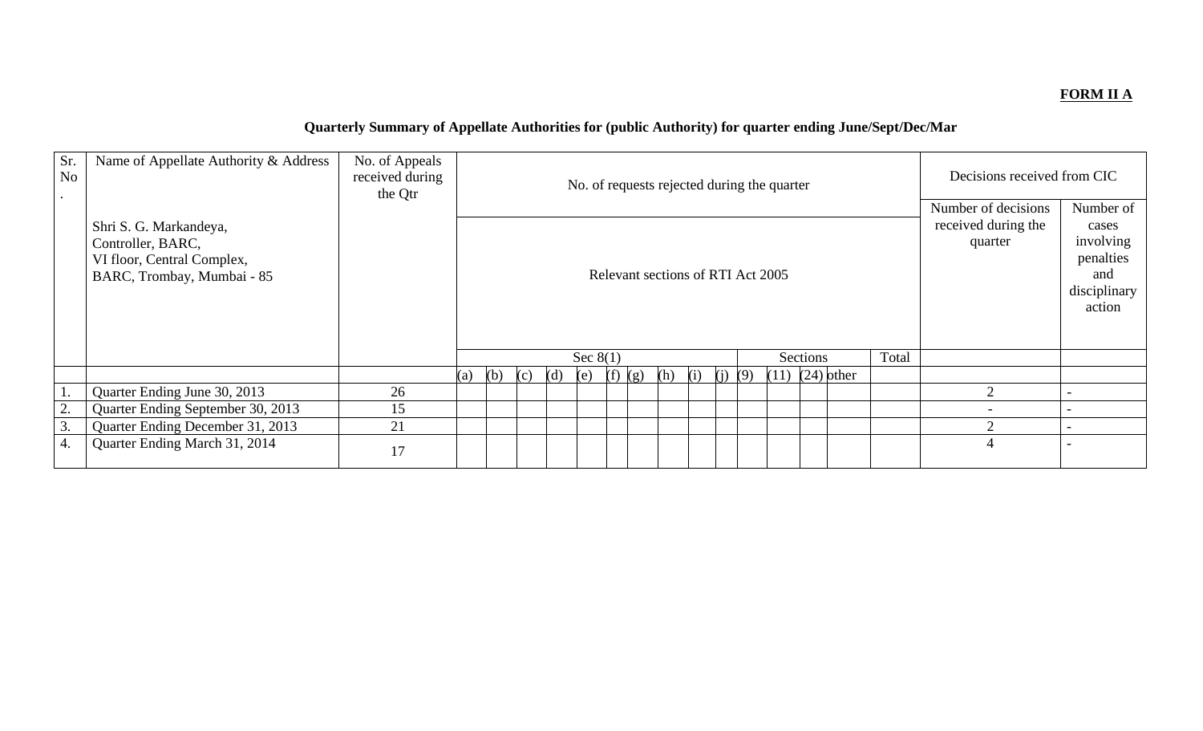### **FORM II A**

# **Quarterly Summary of Appellate Authorities for (public Authority) for quarter ending June/Sept/Dec/Mar**

| Sr.<br>No | Name of Appellate Authority & Address                                                                   | No. of Appeals<br>received during<br>the Qtr |     |     |     |     |            |             |     |     | No. of requests rejected during the quarter |                     |       | Decisions received from CIC<br>Number of decisions |                                                                               |
|-----------|---------------------------------------------------------------------------------------------------------|----------------------------------------------|-----|-----|-----|-----|------------|-------------|-----|-----|---------------------------------------------|---------------------|-------|----------------------------------------------------|-------------------------------------------------------------------------------|
|           | Shri S. G. Markandeya,<br>Controller, BARC,<br>VI floor, Central Complex,<br>BARC, Trombay, Mumbai - 85 |                                              |     |     |     |     |            |             |     |     | Relevant sections of RTI Act 2005           |                     |       | received during the<br>quarter                     | Number of<br>cases<br>involving<br>penalties<br>and<br>disciplinary<br>action |
|           |                                                                                                         |                                              |     |     |     |     | Sec $8(1)$ |             |     |     |                                             | Sections            | Total |                                                    |                                                                               |
|           |                                                                                                         |                                              | (a) | (b) | (c) | (d) | (e)        | $(f)$ $(g)$ | (h) | (i) | $(i)$ (9)                                   | $(11)$ $(24)$ other |       |                                                    |                                                                               |
|           | Quarter Ending June 30, 2013                                                                            | 26                                           |     |     |     |     |            |             |     |     |                                             |                     |       | $\mathcal{D}_{\mathcal{A}}$                        |                                                                               |
| 2.        | Quarter Ending September 30, 2013                                                                       | 15                                           |     |     |     |     |            |             |     |     |                                             |                     |       |                                                    |                                                                               |
| 3.        | Quarter Ending December 31, 2013                                                                        | 21                                           |     |     |     |     |            |             |     |     |                                             |                     |       | C                                                  |                                                                               |
| 4.        | Quarter Ending March 31, 2014                                                                           | 17                                           |     |     |     |     |            |             |     |     |                                             |                     |       | 4                                                  |                                                                               |